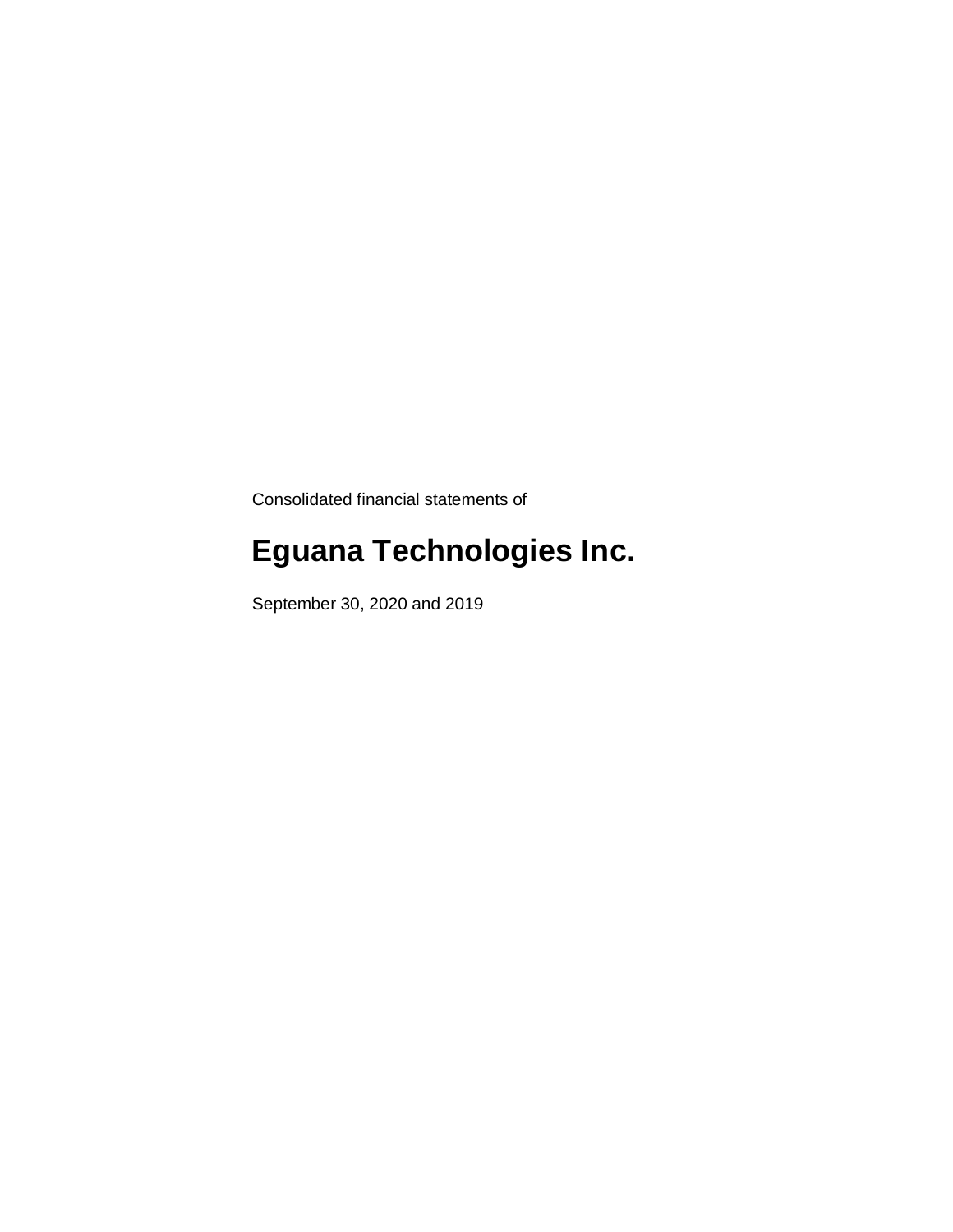Consolidated financial statements of

# **Eguana Technologies Inc.**

September 30, 2020 and 2019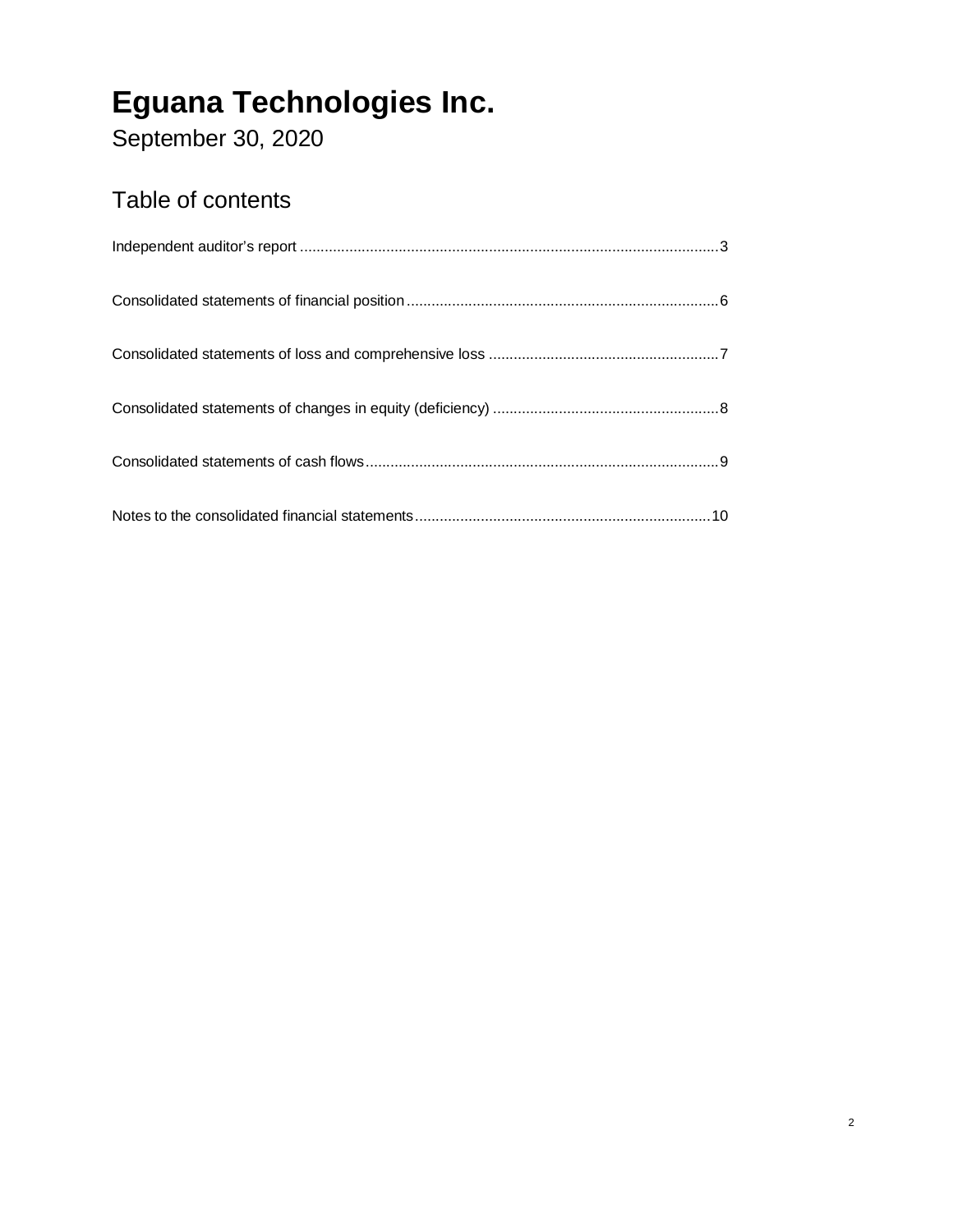September 30, 2020

### Table of contents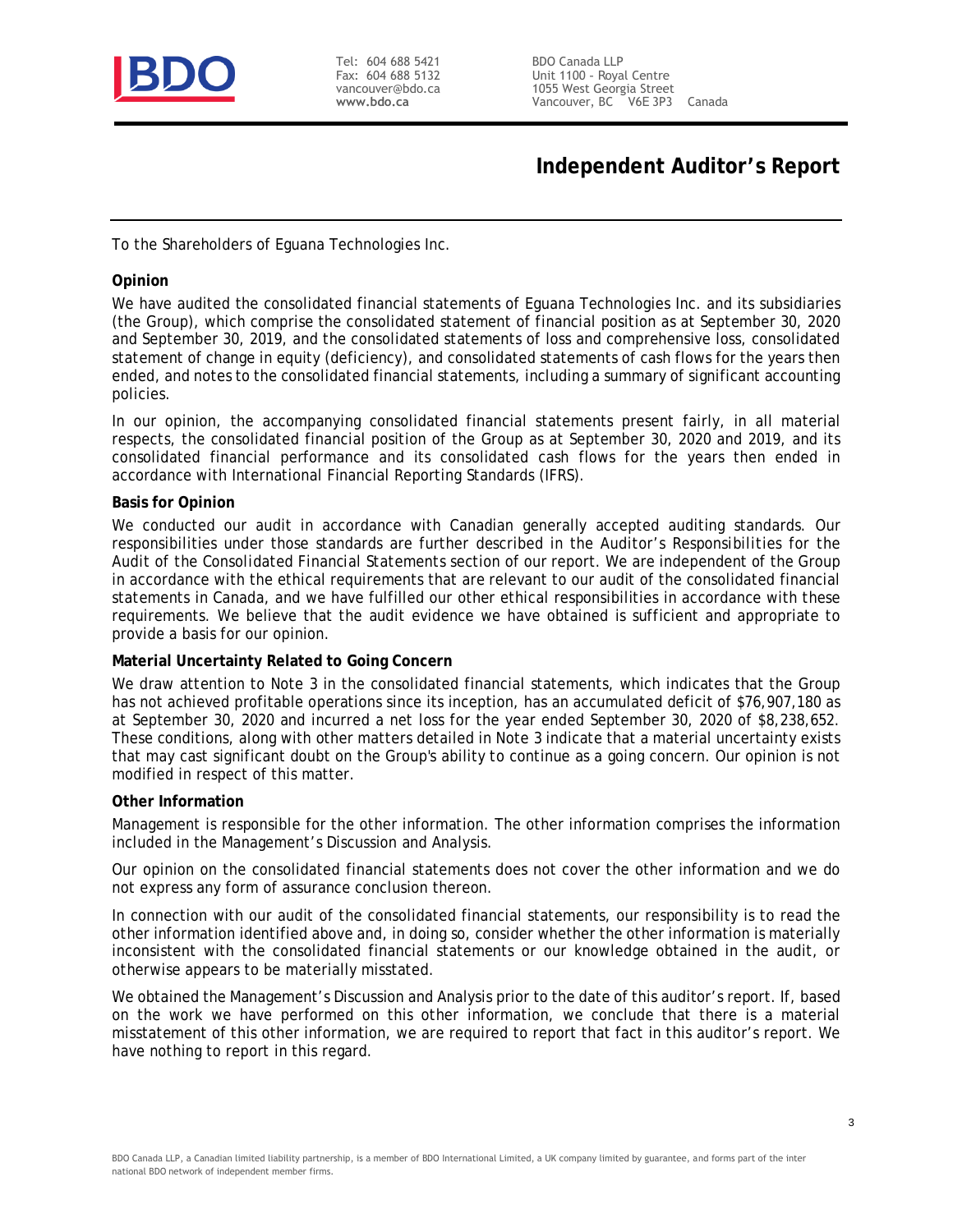

Tel: 604 688 5421 Fax: 604 688 5132 vancouver@bdo.ca **www.bdo.ca**

### **Independent Auditor's Report**

To the Shareholders of Eguana Technologies Inc.

#### **Opinion**

We have audited the consolidated financial statements of Eguana Technologies Inc. and its subsidiaries (the Group), which comprise the consolidated statement of financial position as at September 30, 2020 and September 30, 2019, and the consolidated statements of loss and comprehensive loss, consolidated statement of change in equity (deficiency), and consolidated statements of cash flows for the years then ended, and notes to the consolidated financial statements, including a summary of significant accounting policies.

In our opinion, the accompanying consolidated financial statements present fairly, in all material respects, the consolidated financial position of the Group as at September 30, 2020 and 2019, and its consolidated financial performance and its consolidated cash flows for the years then ended in accordance with International Financial Reporting Standards (IFRS).

#### **Basis for Opinion**

We conducted our audit in accordance with Canadian generally accepted auditing standards. Our responsibilities under those standards are further described in the *Auditor's Responsibilities for the Audit of the Consolidated Financial Statements* section of our report. We are independent of the Group in accordance with the ethical requirements that are relevant to our audit of the consolidated financial statements in Canada, and we have fulfilled our other ethical responsibilities in accordance with these requirements. We believe that the audit evidence we have obtained is sufficient and appropriate to provide a basis for our opinion.

#### **Material Uncertainty Related to Going Concern**

We draw attention to Note 3 in the consolidated financial statements, which indicates that the Group has not achieved profitable operations since its inception, has an accumulated deficit of \$76,907,180 as at September 30, 2020 and incurred a net loss for the year ended September 30, 2020 of \$8,238,652. These conditions, along with other matters detailed in Note 3 indicate that a material uncertainty exists that may cast significant doubt on the Group's ability to continue as a going concern. Our opinion is not modified in respect of this matter.

#### **Other Information**

Management is responsible for the other information. The other information comprises the information included in the Management's Discussion and Analysis.

Our opinion on the consolidated financial statements does not cover the other information and we do not express any form of assurance conclusion thereon.

In connection with our audit of the consolidated financial statements, our responsibility is to read the other information identified above and, in doing so, consider whether the other information is materially inconsistent with the consolidated financial statements or our knowledge obtained in the audit, or otherwise appears to be materially misstated.

We obtained the Management's Discussion and Analysis prior to the date of this auditor's report. If, based on the work we have performed on this other information, we conclude that there is a material misstatement of this other information, we are required to report that fact in this auditor's report. We have nothing to report in this regard.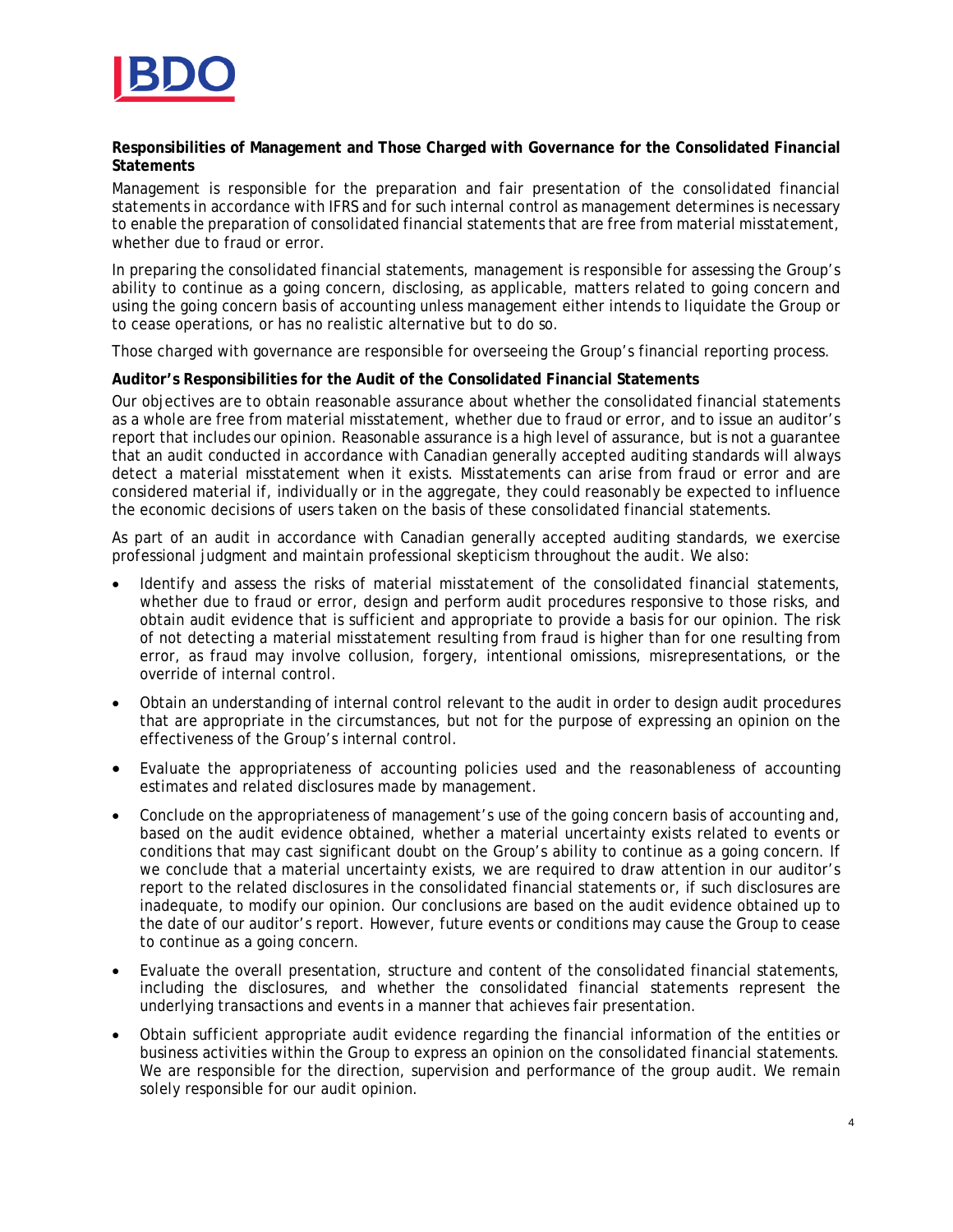

**Responsibilities of Management and Those Charged with Governance for the Consolidated Financial Statements**

Management is responsible for the preparation and fair presentation of the consolidated financial statements in accordance with IFRS and for such internal control as management determines is necessary to enable the preparation of consolidated financial statements that are free from material misstatement, whether due to fraud or error.

In preparing the consolidated financial statements, management is responsible for assessing the Group's ability to continue as a going concern, disclosing, as applicable, matters related to going concern and using the going concern basis of accounting unless management either intends to liquidate the Group or to cease operations, or has no realistic alternative but to do so.

Those charged with governance are responsible for overseeing the Group's financial reporting process.

**Auditor's Responsibilities for the Audit of the Consolidated Financial Statements**

Our objectives are to obtain reasonable assurance about whether the consolidated financial statements as a whole are free from material misstatement, whether due to fraud or error, and to issue an auditor's report that includes our opinion. Reasonable assurance is a high level of assurance, but is not a guarantee that an audit conducted in accordance with Canadian generally accepted auditing standards will always detect a material misstatement when it exists. Misstatements can arise from fraud or error and are considered material if, individually or in the aggregate, they could reasonably be expected to influence the economic decisions of users taken on the basis of these consolidated financial statements.

As part of an audit in accordance with Canadian generally accepted auditing standards, we exercise professional judgment and maintain professional skepticism throughout the audit. We also:

- · Identify and assess the risks of material misstatement of the consolidated financial statements, whether due to fraud or error, design and perform audit procedures responsive to those risks, and obtain audit evidence that is sufficient and appropriate to provide a basis for our opinion. The risk of not detecting a material misstatement resulting from fraud is higher than for one resulting from error, as fraud may involve collusion, forgery, intentional omissions, misrepresentations, or the override of internal control.
- · Obtain an understanding of internal control relevant to the audit in order to design audit procedures that are appropriate in the circumstances, but not for the purpose of expressing an opinion on the effectiveness of the Group's internal control.
- Evaluate the appropriateness of accounting policies used and the reasonableness of accounting estimates and related disclosures made by management.
- · Conclude on the appropriateness of management's use of the going concern basis of accounting and, based on the audit evidence obtained, whether a material uncertainty exists related to events or conditions that may cast significant doubt on the Group's ability to continue as a going concern. If we conclude that a material uncertainty exists, we are required to draw attention in our auditor's report to the related disclosures in the consolidated financial statements or, if such disclosures are inadequate, to modify our opinion. Our conclusions are based on the audit evidence obtained up to the date of our auditor's report. However, future events or conditions may cause the Group to cease to continue as a going concern.
- Evaluate the overall presentation, structure and content of the consolidated financial statements, including the disclosures, and whether the consolidated financial statements represent the underlying transactions and events in a manner that achieves fair presentation.
- · Obtain sufficient appropriate audit evidence regarding the financial information of the entities or business activities within the Group to express an opinion on the consolidated financial statements. We are responsible for the direction, supervision and performance of the group audit. We remain solely responsible for our audit opinion.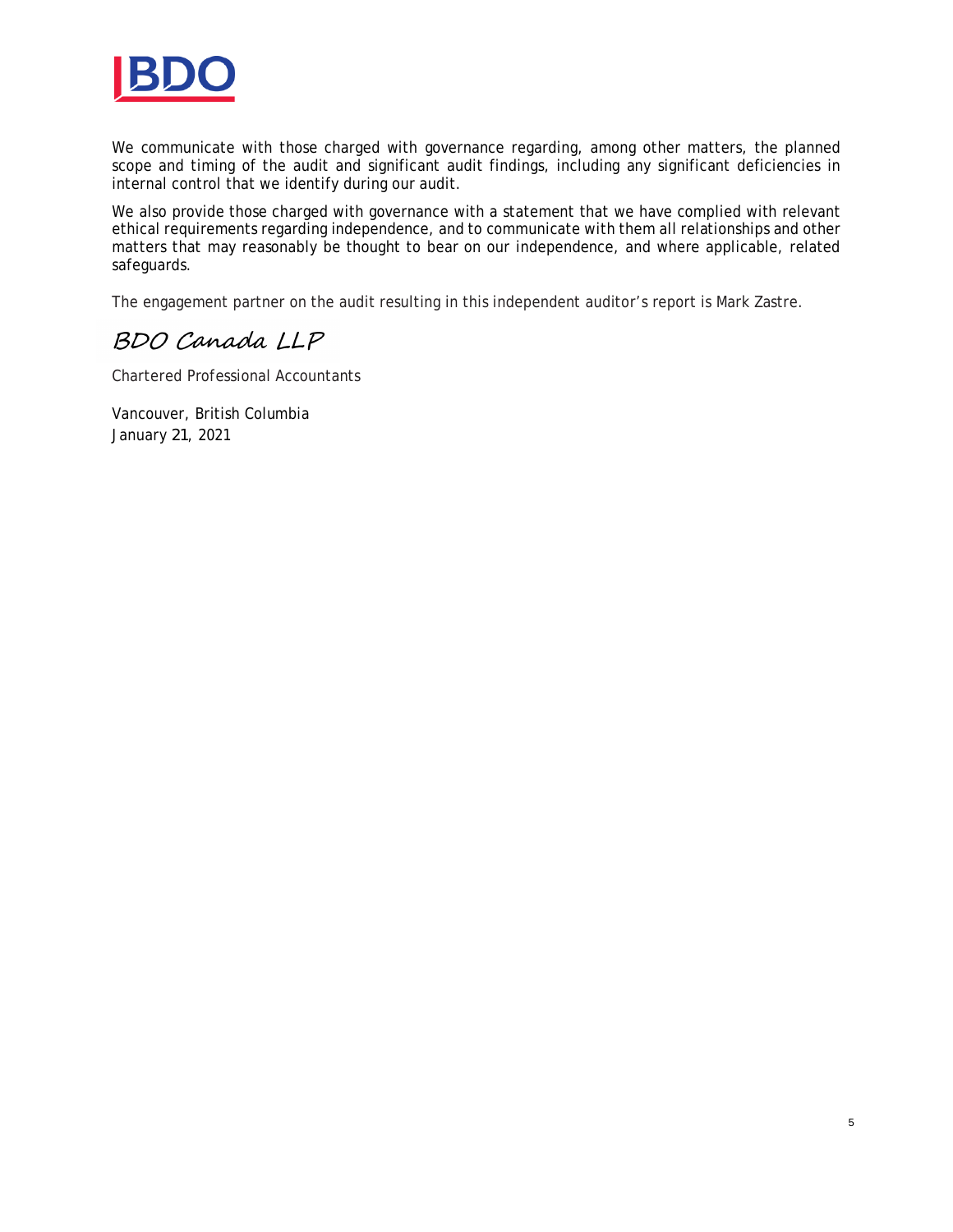

We communicate with those charged with governance regarding, among other matters, the planned scope and timing of the audit and significant audit findings, including any significant deficiencies in internal control that we identify during our audit.

We also provide those charged with governance with a statement that we have complied with relevant ethical requirements regarding independence, and to communicate with them all relationships and other matters that may reasonably be thought to bear on our independence, and where applicable, related safeguards.

The engagement partner on the audit resulting in this independent auditor's report is Mark Zastre.

### BDO Canada LLP

Chartered Professional Accountants

Vancouver, British Columbia January 21, 2021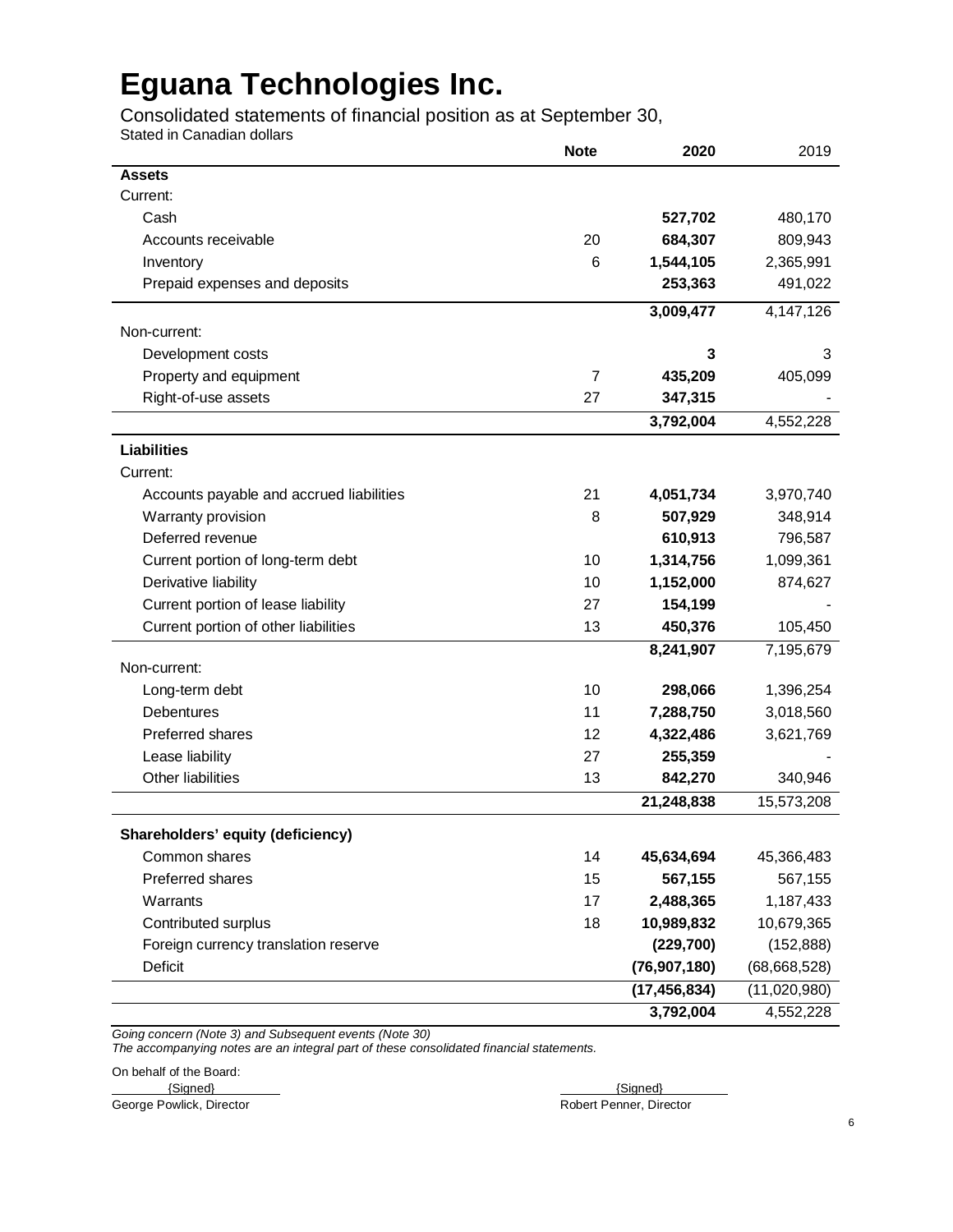Consolidated statements of financial position as at September 30,

Stated in Canadian dollars

|                                          | <b>Note</b> | 2020           | 2019           |
|------------------------------------------|-------------|----------------|----------------|
| <b>Assets</b>                            |             |                |                |
| Current:                                 |             |                |                |
| Cash                                     |             | 527,702        | 480,170        |
| Accounts receivable                      | 20          | 684,307        | 809,943        |
| Inventory                                | 6           | 1,544,105      | 2,365,991      |
| Prepaid expenses and deposits            |             | 253,363        | 491,022        |
|                                          |             | 3,009,477      | 4,147,126      |
| Non-current:                             |             |                |                |
| Development costs                        |             | 3              | 3              |
| Property and equipment                   | 7           | 435,209        | 405,099        |
| Right-of-use assets                      | 27          | 347,315        |                |
|                                          |             | 3,792,004      | 4,552,228      |
| <b>Liabilities</b>                       |             |                |                |
| Current:                                 |             |                |                |
| Accounts payable and accrued liabilities | 21          | 4,051,734      | 3,970,740      |
| Warranty provision                       | 8           | 507,929        | 348,914        |
| Deferred revenue                         |             | 610,913        | 796,587        |
| Current portion of long-term debt        | 10          | 1,314,756      | 1,099,361      |
| Derivative liability                     | 10          | 1,152,000      | 874,627        |
| Current portion of lease liability       | 27          | 154,199        |                |
| Current portion of other liabilities     | 13          | 450,376        | 105,450        |
| Non-current:                             |             | 8,241,907      | 7,195,679      |
| Long-term debt                           | 10          | 298,066        | 1,396,254      |
| <b>Debentures</b>                        | 11          | 7,288,750      | 3,018,560      |
| Preferred shares                         | 12          | 4,322,486      | 3,621,769      |
| Lease liability                          | 27          | 255,359        |                |
| Other liabilities                        | 13          | 842,270        | 340,946        |
|                                          |             | 21,248,838     | 15,573,208     |
|                                          |             |                |                |
| Shareholders' equity (deficiency)        |             |                |                |
| Common shares                            | 14          | 45,634,694     | 45,366,483     |
| Preferred shares                         | 15          | 567,155        | 567,155        |
| Warrants                                 | 17          | 2,488,365      | 1,187,433      |
| Contributed surplus                      | 18          | 10,989,832     | 10,679,365     |
| Foreign currency translation reserve     |             | (229, 700)     | (152, 888)     |
| Deficit                                  |             | (76, 907, 180) | (68, 668, 528) |
|                                          |             | (17, 456, 834) | (11,020,980)   |
|                                          |             | 3,792,004      | 4,552,228      |

*Going concern (Note 3) and Subsequent events (Note 30)*

*The accompanying notes are an integral part of these consolidated financial statements.*

On behalf of the Board:  ${Signed}$ 

George Powlick, Director **Robert Penner**, Director Robert Penner, Director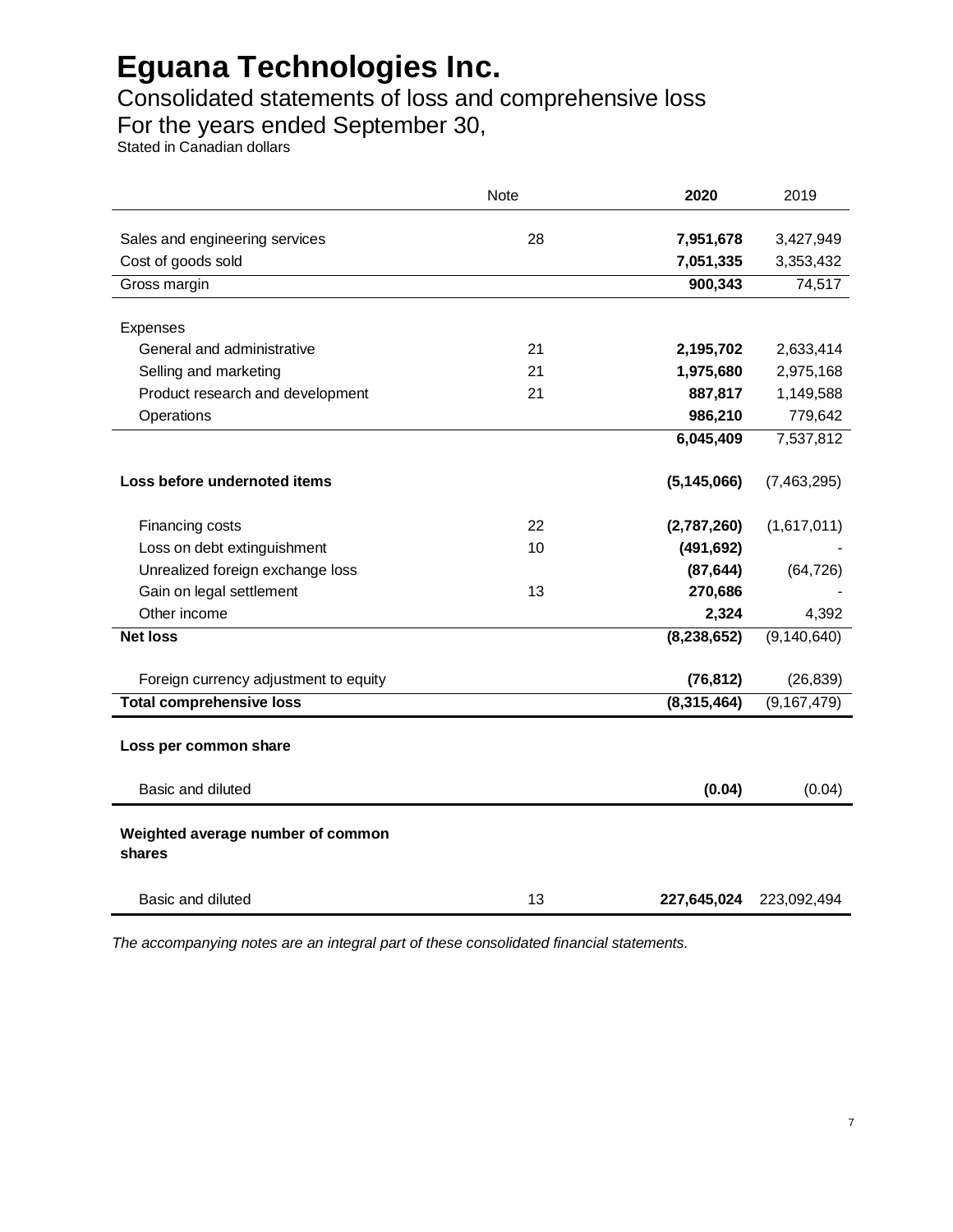### Consolidated statements of loss and comprehensive loss

For the years ended September 30,

Stated in Canadian dollars

|                                             | 2020<br>Note |               | 2019          |  |
|---------------------------------------------|--------------|---------------|---------------|--|
| Sales and engineering services              | 28           | 7,951,678     | 3,427,949     |  |
| Cost of goods sold                          |              | 7,051,335     | 3,353,432     |  |
| Gross margin                                |              | 900,343       | 74,517        |  |
|                                             |              |               |               |  |
| Expenses                                    |              |               |               |  |
| General and administrative                  | 21           | 2,195,702     | 2,633,414     |  |
| Selling and marketing                       | 21           | 1,975,680     | 2,975,168     |  |
| Product research and development            | 21           | 887,817       | 1,149,588     |  |
| Operations                                  |              | 986,210       | 779,642       |  |
|                                             |              | 6,045,409     | 7,537,812     |  |
| Loss before undernoted items                |              | (5, 145, 066) | (7,463,295)   |  |
| Financing costs                             | 22           | (2,787,260)   | (1,617,011)   |  |
| Loss on debt extinguishment                 | 10           | (491, 692)    |               |  |
| Unrealized foreign exchange loss            |              | (87, 644)     | (64, 726)     |  |
| Gain on legal settlement                    | 13           | 270,686       |               |  |
| Other income                                |              | 2,324         | 4,392         |  |
| <b>Net loss</b>                             |              | (8, 238, 652) | (9, 140, 640) |  |
| Foreign currency adjustment to equity       |              | (76, 812)     | (26, 839)     |  |
| <b>Total comprehensive loss</b>             |              | (8,315,464)   | (9, 167, 479) |  |
| Loss per common share                       |              |               |               |  |
| Basic and diluted                           |              | (0.04)        | (0.04)        |  |
| Weighted average number of common<br>shares |              |               |               |  |
| Basic and diluted                           | 13           | 227,645,024   | 223,092,494   |  |

*The accompanying notes are an integral part of these consolidated financial statements.*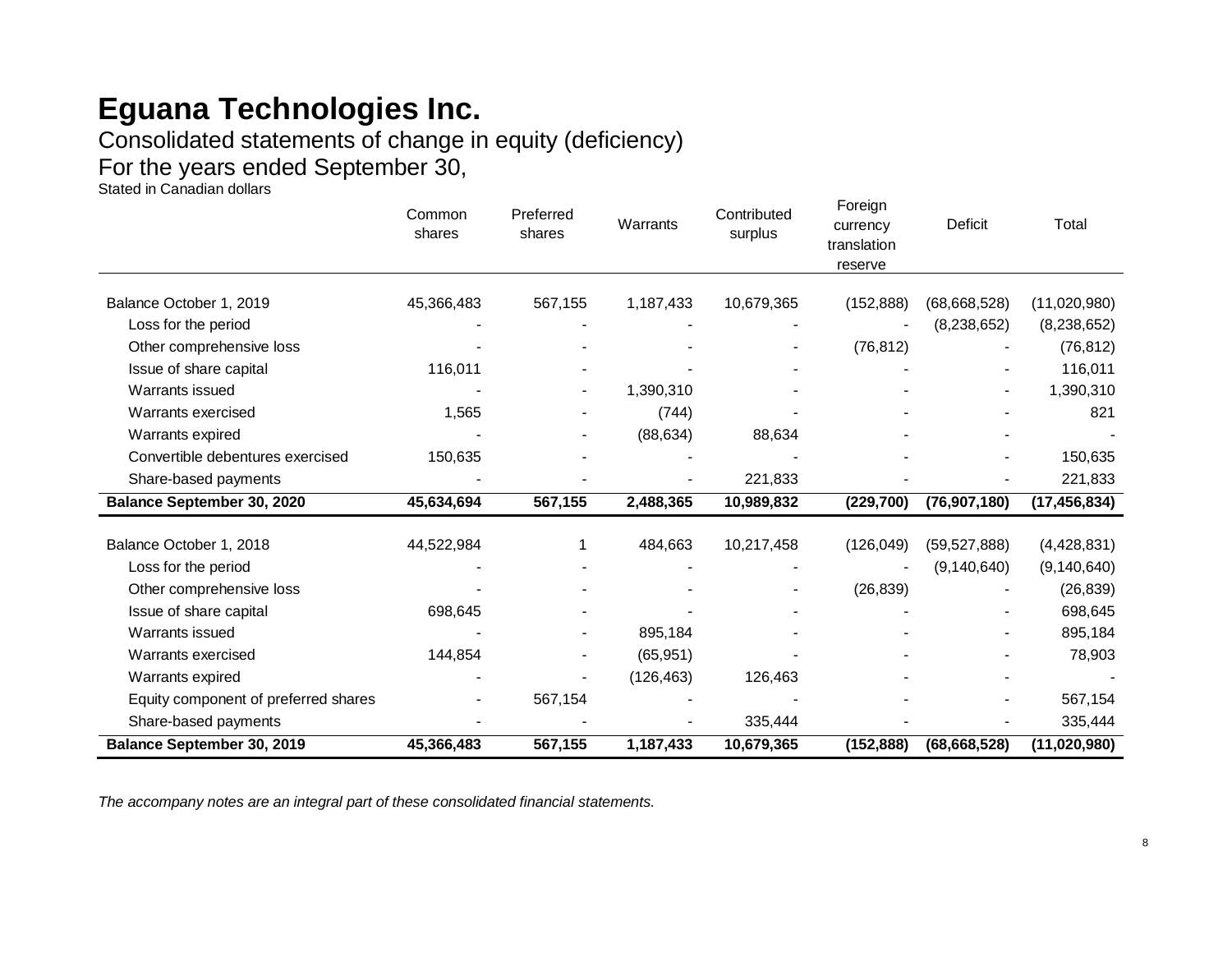Consolidated statements of change in equity (deficiency)

### For the years ended September 30,

Stated in Canadian dollars

|                                      | Common<br>shares | Preferred<br>shares | Warrants   | Contributed<br>surplus | Foreign<br>currency<br>translation<br>reserve | Deficit                  | Total          |
|--------------------------------------|------------------|---------------------|------------|------------------------|-----------------------------------------------|--------------------------|----------------|
| Balance October 1, 2019              | 45,366,483       | 567,155             | 1,187,433  | 10,679,365             | (152, 888)                                    | (68, 668, 528)           | (11,020,980)   |
| Loss for the period                  |                  |                     |            |                        |                                               | (8, 238, 652)            | (8, 238, 652)  |
| Other comprehensive loss             |                  |                     |            |                        | (76, 812)                                     |                          | (76, 812)      |
| Issue of share capital               | 116,011          |                     |            |                        |                                               |                          | 116,011        |
| Warrants issued                      |                  |                     | 1,390,310  |                        |                                               | $\blacksquare$           | 1,390,310      |
| Warrants exercised                   | 1,565            |                     | (744)      |                        |                                               |                          | 821            |
| Warrants expired                     |                  |                     | (88, 634)  | 88,634                 |                                               |                          |                |
| Convertible debentures exercised     | 150,635          |                     |            |                        |                                               | $\blacksquare$           | 150,635        |
| Share-based payments                 |                  |                     |            | 221,833                |                                               |                          | 221,833        |
| Balance September 30, 2020           | 45,634,694       | 567,155             | 2,488,365  | 10,989,832             | (229,700)                                     | (76, 907, 180)           | (17, 456, 834) |
|                                      |                  |                     |            |                        |                                               |                          |                |
| Balance October 1, 2018              | 44,522,984       | 1.                  | 484,663    | 10,217,458             | (126, 049)                                    | (59, 527, 888)           | (4,428,831)    |
| Loss for the period                  |                  |                     |            |                        |                                               | (9, 140, 640)            | (9, 140, 640)  |
| Other comprehensive loss             |                  |                     |            |                        | (26, 839)                                     |                          | (26, 839)      |
| Issue of share capital               | 698,645          |                     |            |                        |                                               |                          | 698,645        |
| Warrants issued                      |                  |                     | 895,184    |                        |                                               |                          | 895,184        |
| Warrants exercised                   | 144,854          |                     | (65, 951)  |                        |                                               |                          | 78,903         |
| Warrants expired                     |                  |                     | (126, 463) | 126,463                |                                               |                          |                |
| Equity component of preferred shares |                  | 567,154             |            |                        |                                               | $\overline{\phantom{0}}$ | 567,154        |
| Share-based payments                 |                  |                     |            | 335,444                |                                               |                          | 335,444        |
| Balance September 30, 2019           | 45,366,483       | 567,155             | 1,187,433  | 10,679,365             | (152, 888)                                    | (68, 668, 528)           | (11,020,980)   |

*The accompany notes are an integral part of these consolidated financial statements.*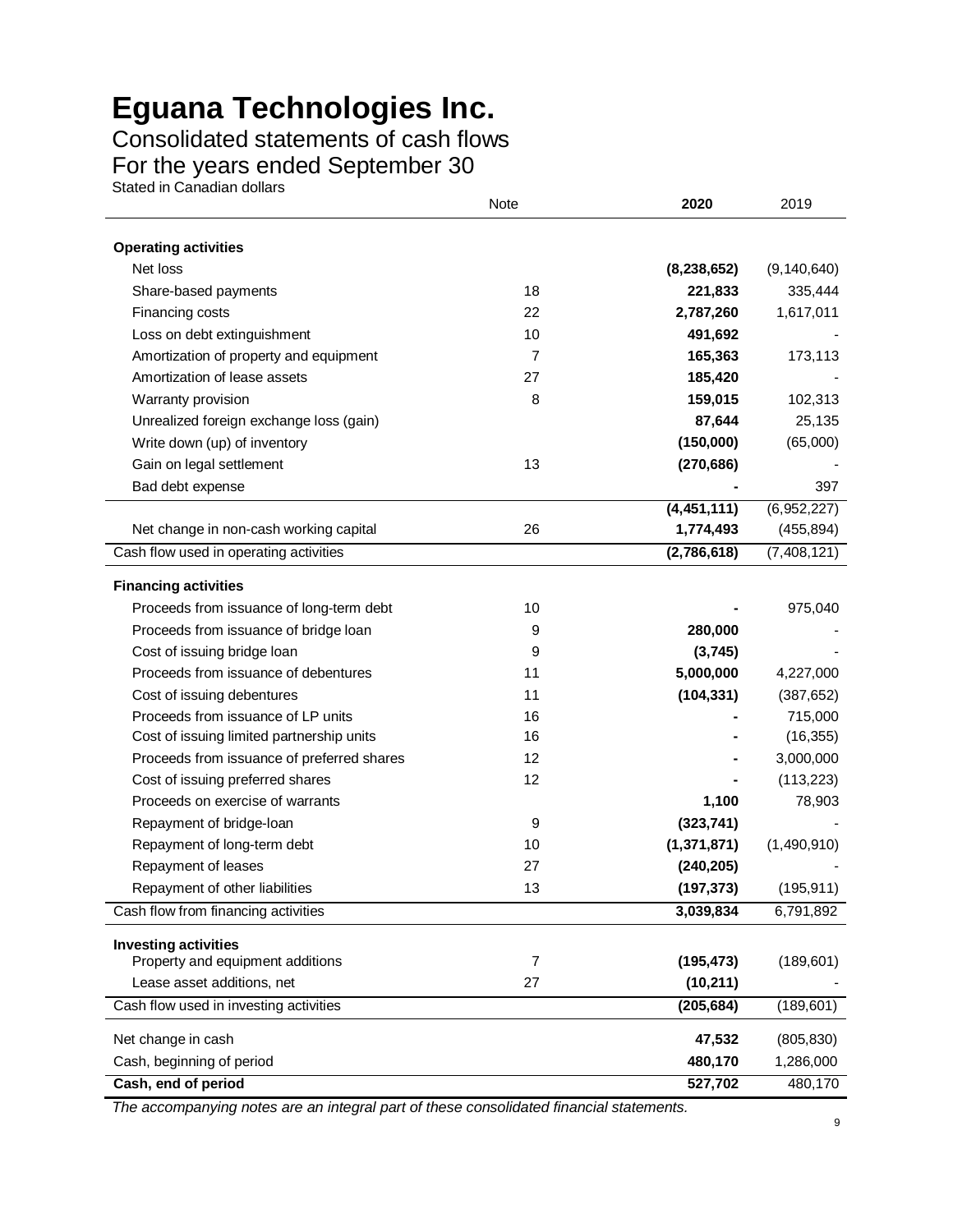Consolidated statements of cash flows For the years ended September 30

Stated in Canadian dollars

|                                            | Note           | 2020          | 2019          |
|--------------------------------------------|----------------|---------------|---------------|
| <b>Operating activities</b>                |                |               |               |
| Net loss                                   |                | (8, 238, 652) | (9, 140, 640) |
| Share-based payments                       | 18             | 221,833       | 335,444       |
| Financing costs                            | 22             | 2,787,260     | 1,617,011     |
| Loss on debt extinguishment                | 10             | 491,692       |               |
| Amortization of property and equipment     | $\overline{7}$ | 165,363       | 173,113       |
| Amortization of lease assets               | 27             | 185,420       |               |
| Warranty provision                         | 8              | 159,015       | 102,313       |
| Unrealized foreign exchange loss (gain)    |                | 87,644        | 25,135        |
| Write down (up) of inventory               |                | (150,000)     | (65,000)      |
| Gain on legal settlement                   | 13             | (270, 686)    |               |
| Bad debt expense                           |                |               | 397           |
|                                            |                | (4, 451, 111) | (6,952,227)   |
| Net change in non-cash working capital     | 26             | 1,774,493     | (455, 894)    |
| Cash flow used in operating activities     |                | (2,786,618)   | (7,408,121)   |
|                                            |                |               |               |
| <b>Financing activities</b>                |                |               |               |
| Proceeds from issuance of long-term debt   | 10             |               | 975,040       |
| Proceeds from issuance of bridge loan      | 9              | 280,000       |               |
| Cost of issuing bridge loan                | 9              | (3,745)       |               |
| Proceeds from issuance of debentures       | 11             | 5,000,000     | 4,227,000     |
| Cost of issuing debentures                 | 11             | (104, 331)    | (387, 652)    |
| Proceeds from issuance of LP units         | 16             |               | 715,000       |
| Cost of issuing limited partnership units  | 16             |               | (16, 355)     |
| Proceeds from issuance of preferred shares | 12             |               | 3,000,000     |
| Cost of issuing preferred shares           | 12             |               | (113, 223)    |
| Proceeds on exercise of warrants           |                | 1,100         | 78,903        |
| Repayment of bridge-loan                   | 9              | (323, 741)    |               |
| Repayment of long-term debt                | 10             | (1,371,871)   | (1,490,910)   |
| Repayment of leases                        | 27             | (240, 205)    |               |
| Repayment of other liabilities             | 13             | (197, 373)    | (195, 911)    |
| Cash flow from financing activities        |                | 3,039,834     | 6,791,892     |
| <b>Investing activities</b>                |                |               |               |
| Property and equipment additions           | 7              | (195, 473)    | (189, 601)    |
| Lease asset additions, net                 | 27             | (10, 211)     |               |
| Cash flow used in investing activities     |                | (205, 684)    | (189, 601)    |
| Net change in cash                         |                | 47,532        | (805, 830)    |
| Cash, beginning of period                  |                | 480,170       | 1,286,000     |
| Cash, end of period                        |                | 527,702       | 480,170       |

*The accompanying notes are an integral part of these consolidated financial statements.*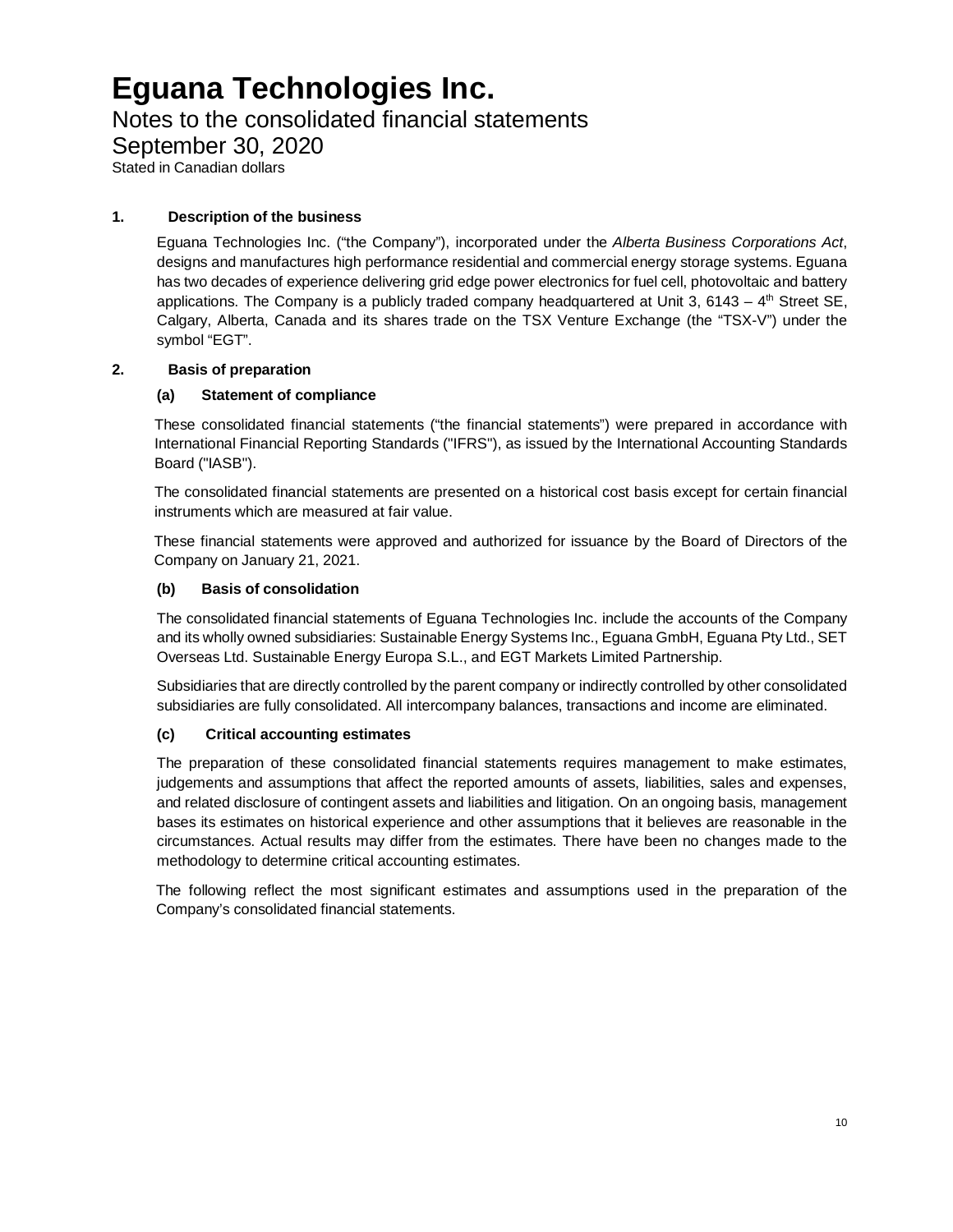### Notes to the consolidated financial statements

September 30, 2020

Stated in Canadian dollars

#### **1. Description of the business**

Eguana Technologies Inc. ("the Company"), incorporated under the *Alberta Business Corporations Act*, designs and manufactures high performance residential and commercial energy storage systems. Eguana has two decades of experience delivering grid edge power electronics for fuel cell, photovoltaic and battery applications. The Company is a publicly traded company headquartered at Unit 3, 6143 –  $4<sup>th</sup>$  Street SE, Calgary, Alberta, Canada and its shares trade on the TSX Venture Exchange (the "TSX-V") under the symbol "EGT".

#### **2. Basis of preparation**

#### **(a) Statement of compliance**

These consolidated financial statements ("the financial statements") were prepared in accordance with International Financial Reporting Standards ("IFRS"), as issued by the International Accounting Standards Board ("IASB").

The consolidated financial statements are presented on a historical cost basis except for certain financial instruments which are measured at fair value.

These financial statements were approved and authorized for issuance by the Board of Directors of the Company on January 21, 2021.

#### **(b) Basis of consolidation**

The consolidated financial statements of Eguana Technologies Inc. include the accounts of the Company and its wholly owned subsidiaries: Sustainable Energy Systems Inc., Eguana GmbH, Eguana Pty Ltd., SET Overseas Ltd. Sustainable Energy Europa S.L., and EGT Markets Limited Partnership.

Subsidiaries that are directly controlled by the parent company or indirectly controlled by other consolidated subsidiaries are fully consolidated. All intercompany balances, transactions and income are eliminated.

#### **(c) Critical accounting estimates**

The preparation of these consolidated financial statements requires management to make estimates, judgements and assumptions that affect the reported amounts of assets, liabilities, sales and expenses, and related disclosure of contingent assets and liabilities and litigation. On an ongoing basis, management bases its estimates on historical experience and other assumptions that it believes are reasonable in the circumstances. Actual results may differ from the estimates. There have been no changes made to the methodology to determine critical accounting estimates.

The following reflect the most significant estimates and assumptions used in the preparation of the Company's consolidated financial statements.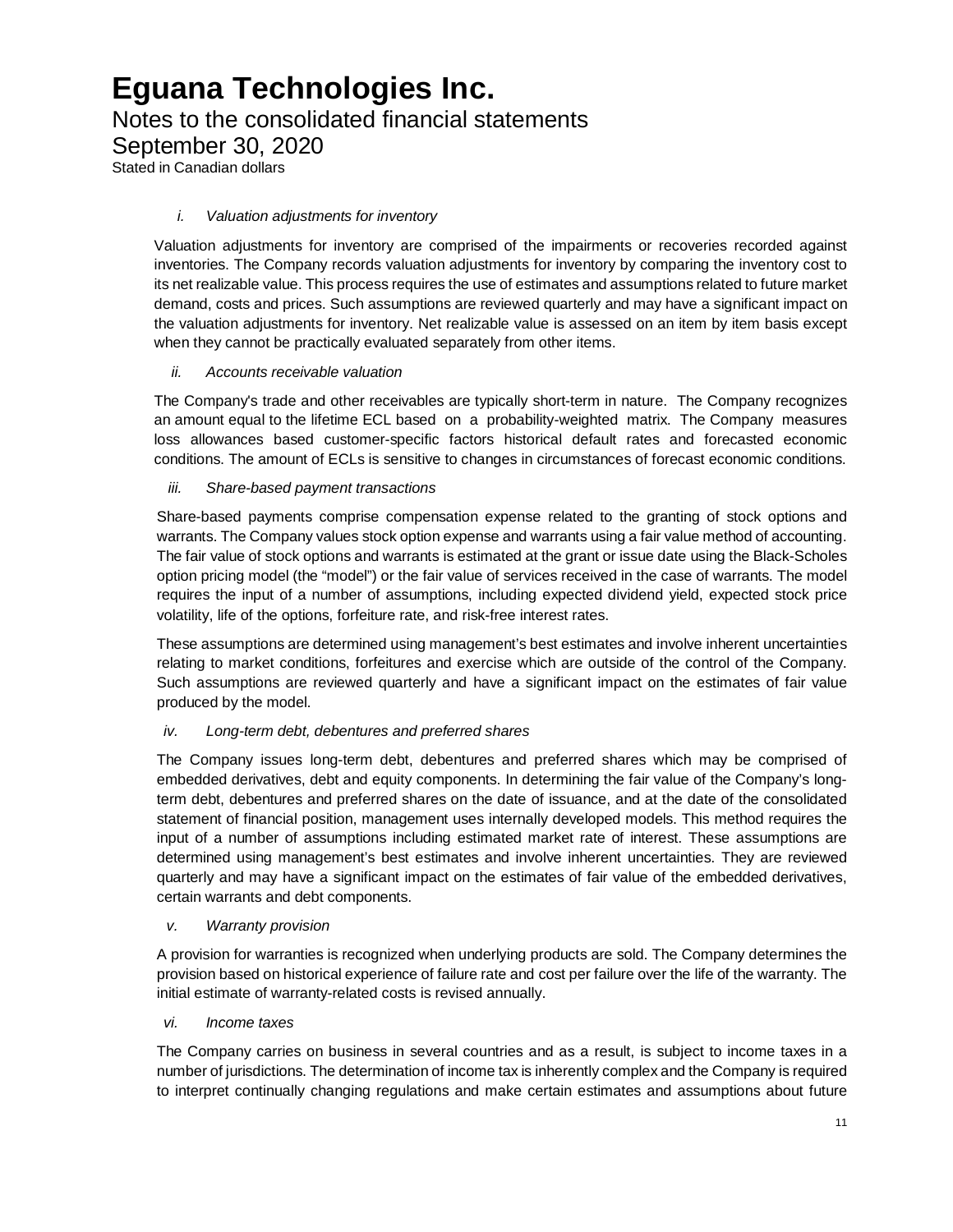Notes to the consolidated financial statements

September 30, 2020

Stated in Canadian dollars

#### *i. Valuation adjustments for inventory*

Valuation adjustments for inventory are comprised of the impairments or recoveries recorded against inventories. The Company records valuation adjustments for inventory by comparing the inventory cost to its net realizable value. This process requires the use of estimates and assumptions related to future market demand, costs and prices. Such assumptions are reviewed quarterly and may have a significant impact on the valuation adjustments for inventory. Net realizable value is assessed on an item by item basis except when they cannot be practically evaluated separately from other items.

#### *ii. Accounts receivable valuation*

The Company's trade and other receivables are typically short-term in nature. The Company recognizes an amount equal to the lifetime ECL based on a probability-weighted matrix. The Company measures loss allowances based customer-specific factors historical default rates and forecasted economic conditions. The amount of ECLs is sensitive to changes in circumstances of forecast economic conditions.

#### *iii. Share-based payment transactions*

Share-based payments comprise compensation expense related to the granting of stock options and warrants. The Company values stock option expense and warrants using a fair value method of accounting. The fair value of stock options and warrants is estimated at the grant or issue date using the Black-Scholes option pricing model (the "model") or the fair value of services received in the case of warrants. The model requires the input of a number of assumptions, including expected dividend yield, expected stock price volatility, life of the options, forfeiture rate, and risk-free interest rates.

These assumptions are determined using management's best estimates and involve inherent uncertainties relating to market conditions, forfeitures and exercise which are outside of the control of the Company. Such assumptions are reviewed quarterly and have a significant impact on the estimates of fair value produced by the model.

#### *iv. Long-term debt, debentures and preferred shares*

The Company issues long-term debt, debentures and preferred shares which may be comprised of embedded derivatives, debt and equity components. In determining the fair value of the Company's longterm debt, debentures and preferred shares on the date of issuance, and at the date of the consolidated statement of financial position, management uses internally developed models. This method requires the input of a number of assumptions including estimated market rate of interest. These assumptions are determined using management's best estimates and involve inherent uncertainties. They are reviewed quarterly and may have a significant impact on the estimates of fair value of the embedded derivatives, certain warrants and debt components.

#### *v. Warranty provision*

A provision for warranties is recognized when underlying products are sold. The Company determines the provision based on historical experience of failure rate and cost per failure over the life of the warranty. The initial estimate of warranty-related costs is revised annually.

#### *vi. Income taxes*

The Company carries on business in several countries and as a result, is subject to income taxes in a number of jurisdictions. The determination of income tax is inherently complex and the Company is required to interpret continually changing regulations and make certain estimates and assumptions about future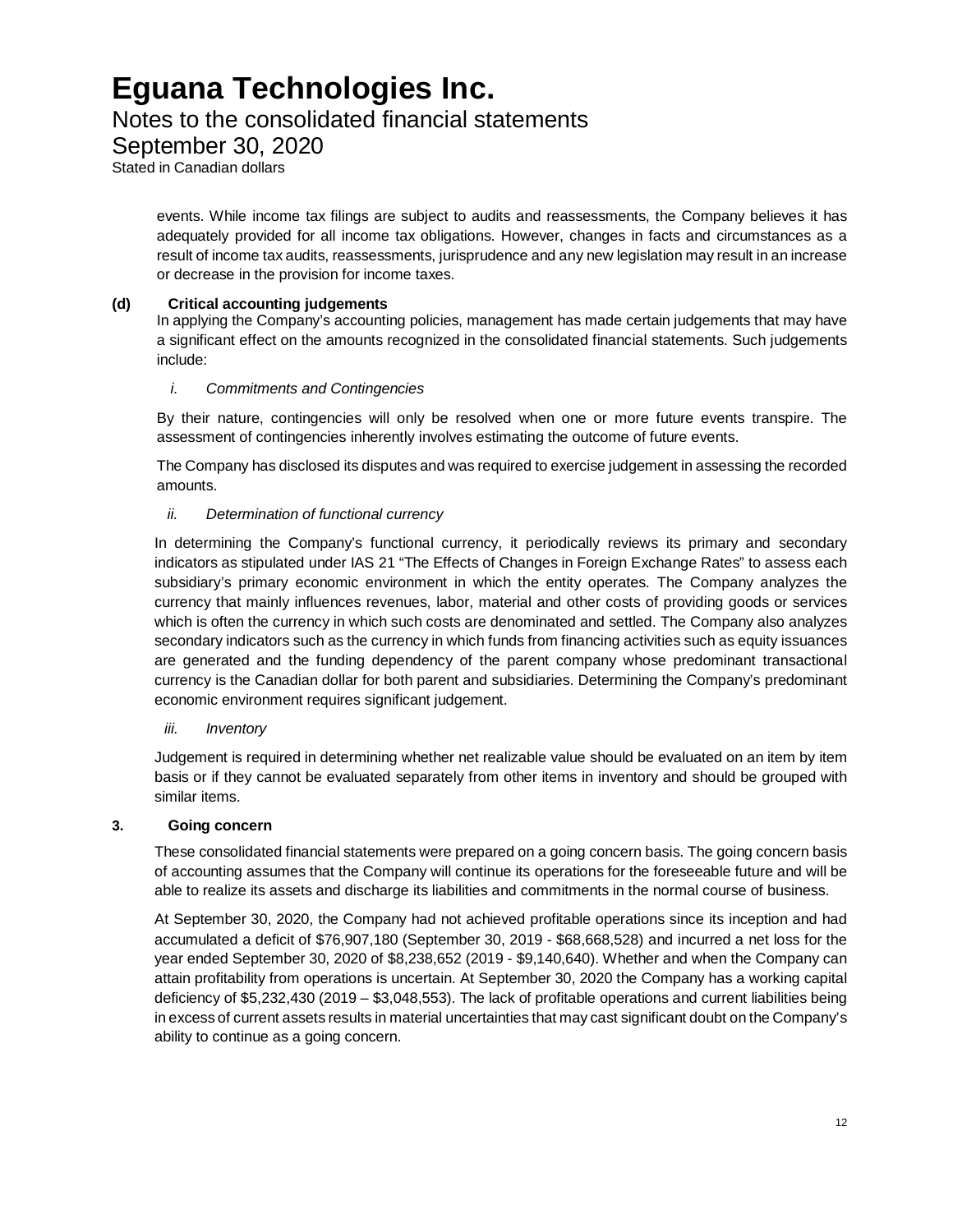### Notes to the consolidated financial statements

September 30, 2020

Stated in Canadian dollars

events. While income tax filings are subject to audits and reassessments, the Company believes it has adequately provided for all income tax obligations. However, changes in facts and circumstances as a result of income tax audits, reassessments, jurisprudence and any new legislation may result in an increase or decrease in the provision for income taxes.

#### **(d) Critical accounting judgements**

In applying the Company's accounting policies, management has made certain judgements that may have a significant effect on the amounts recognized in the consolidated financial statements. Such judgements include:

#### *i. Commitments and Contingencies*

By their nature, contingencies will only be resolved when one or more future events transpire. The assessment of contingencies inherently involves estimating the outcome of future events.

The Company has disclosed its disputes and was required to exercise judgement in assessing the recorded amounts.

#### *ii. Determination of functional currency*

In determining the Company's functional currency, it periodically reviews its primary and secondary indicators as stipulated under IAS 21 "The Effects of Changes in Foreign Exchange Rates" to assess each subsidiary's primary economic environment in which the entity operates. The Company analyzes the currency that mainly influences revenues, labor, material and other costs of providing goods or services which is often the currency in which such costs are denominated and settled. The Company also analyzes secondary indicators such as the currency in which funds from financing activities such as equity issuances are generated and the funding dependency of the parent company whose predominant transactional currency is the Canadian dollar for both parent and subsidiaries. Determining the Company's predominant economic environment requires significant judgement.

#### *iii. Inventory*

Judgement is required in determining whether net realizable value should be evaluated on an item by item basis or if they cannot be evaluated separately from other items in inventory and should be grouped with similar items.

#### **3. Going concern**

These consolidated financial statements were prepared on a going concern basis. The going concern basis of accounting assumes that the Company will continue its operations for the foreseeable future and will be able to realize its assets and discharge its liabilities and commitments in the normal course of business.

At September 30, 2020, the Company had not achieved profitable operations since its inception and had accumulated a deficit of \$76,907,180 (September 30, 2019 - \$68,668,528) and incurred a net loss for the year ended September 30, 2020 of \$8,238,652 (2019 - \$9,140,640). Whether and when the Company can attain profitability from operations is uncertain. At September 30, 2020 the Company has a working capital deficiency of \$5,232,430 (2019 – \$3,048,553). The lack of profitable operations and current liabilities being in excess of current assets results in material uncertainties that may cast significant doubt on the Company's ability to continue as a going concern.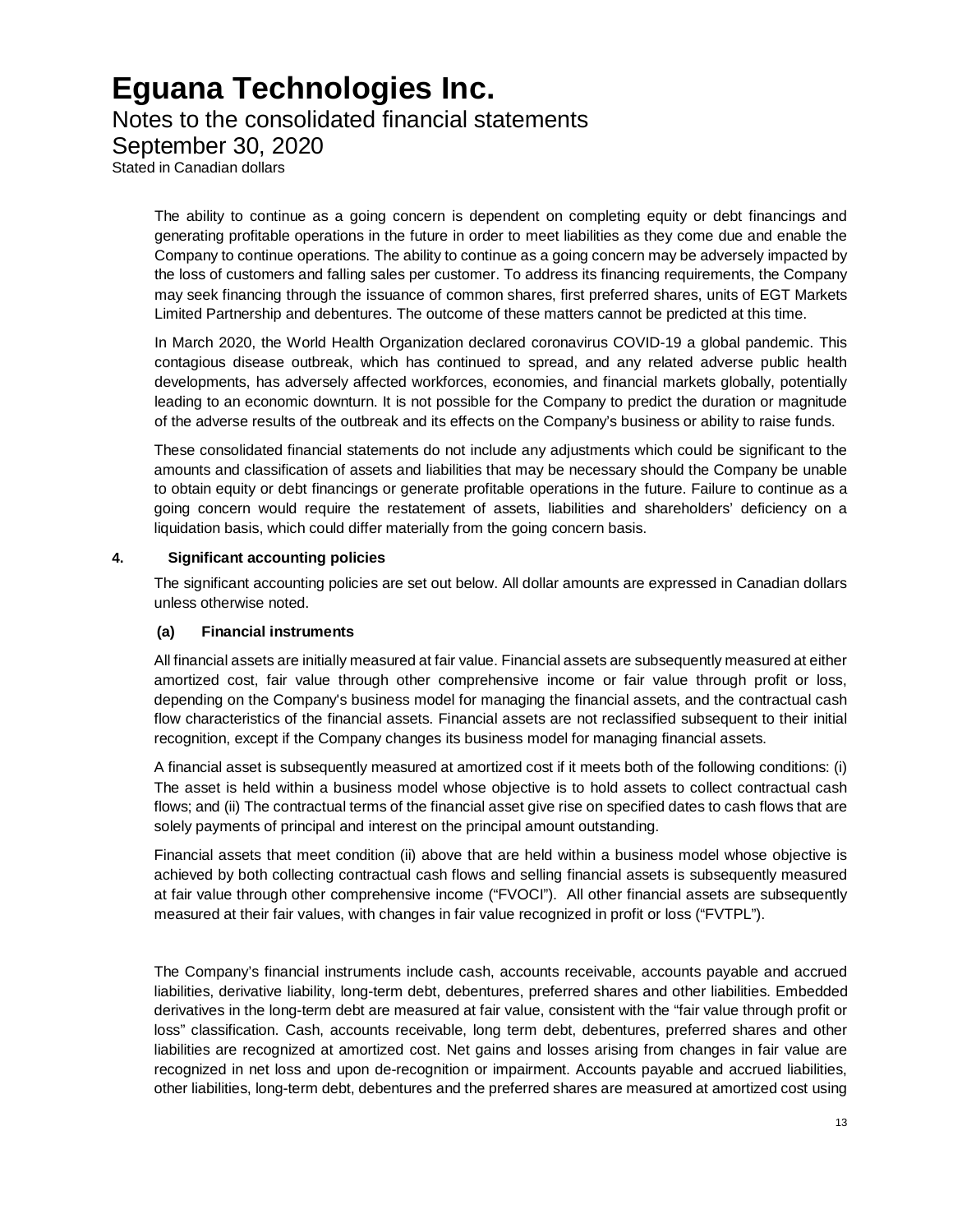### Notes to the consolidated financial statements

September 30, 2020

Stated in Canadian dollars

The ability to continue as a going concern is dependent on completing equity or debt financings and generating profitable operations in the future in order to meet liabilities as they come due and enable the Company to continue operations. The ability to continue as a going concern may be adversely impacted by the loss of customers and falling sales per customer. To address its financing requirements, the Company may seek financing through the issuance of common shares, first preferred shares, units of EGT Markets Limited Partnership and debentures. The outcome of these matters cannot be predicted at this time.

In March 2020, the World Health Organization declared coronavirus COVID-19 a global pandemic. This contagious disease outbreak, which has continued to spread, and any related adverse public health developments, has adversely affected workforces, economies, and financial markets globally, potentially leading to an economic downturn. It is not possible for the Company to predict the duration or magnitude of the adverse results of the outbreak and its effects on the Company's business or ability to raise funds.

These consolidated financial statements do not include any adjustments which could be significant to the amounts and classification of assets and liabilities that may be necessary should the Company be unable to obtain equity or debt financings or generate profitable operations in the future. Failure to continue as a going concern would require the restatement of assets, liabilities and shareholders' deficiency on a liquidation basis, which could differ materially from the going concern basis.

#### **4. Significant accounting policies**

The significant accounting policies are set out below. All dollar amounts are expressed in Canadian dollars unless otherwise noted.

#### **(a) Financial instruments**

All financial assets are initially measured at fair value. Financial assets are subsequently measured at either amortized cost, fair value through other comprehensive income or fair value through profit or loss, depending on the Company's business model for managing the financial assets, and the contractual cash flow characteristics of the financial assets. Financial assets are not reclassified subsequent to their initial recognition, except if the Company changes its business model for managing financial assets.

A financial asset is subsequently measured at amortized cost if it meets both of the following conditions: (i) The asset is held within a business model whose objective is to hold assets to collect contractual cash flows; and (ii) The contractual terms of the financial asset give rise on specified dates to cash flows that are solely payments of principal and interest on the principal amount outstanding.

Financial assets that meet condition (ii) above that are held within a business model whose objective is achieved by both collecting contractual cash flows and selling financial assets is subsequently measured at fair value through other comprehensive income ("FVOCI"). All other financial assets are subsequently measured at their fair values, with changes in fair value recognized in profit or loss ("FVTPL").

The Company's financial instruments include cash, accounts receivable, accounts payable and accrued liabilities, derivative liability, long-term debt, debentures, preferred shares and other liabilities. Embedded derivatives in the long-term debt are measured at fair value, consistent with the "fair value through profit or loss" classification. Cash, accounts receivable, long term debt, debentures, preferred shares and other liabilities are recognized at amortized cost. Net gains and losses arising from changes in fair value are recognized in net loss and upon de-recognition or impairment. Accounts payable and accrued liabilities, other liabilities, long-term debt, debentures and the preferred shares are measured at amortized cost using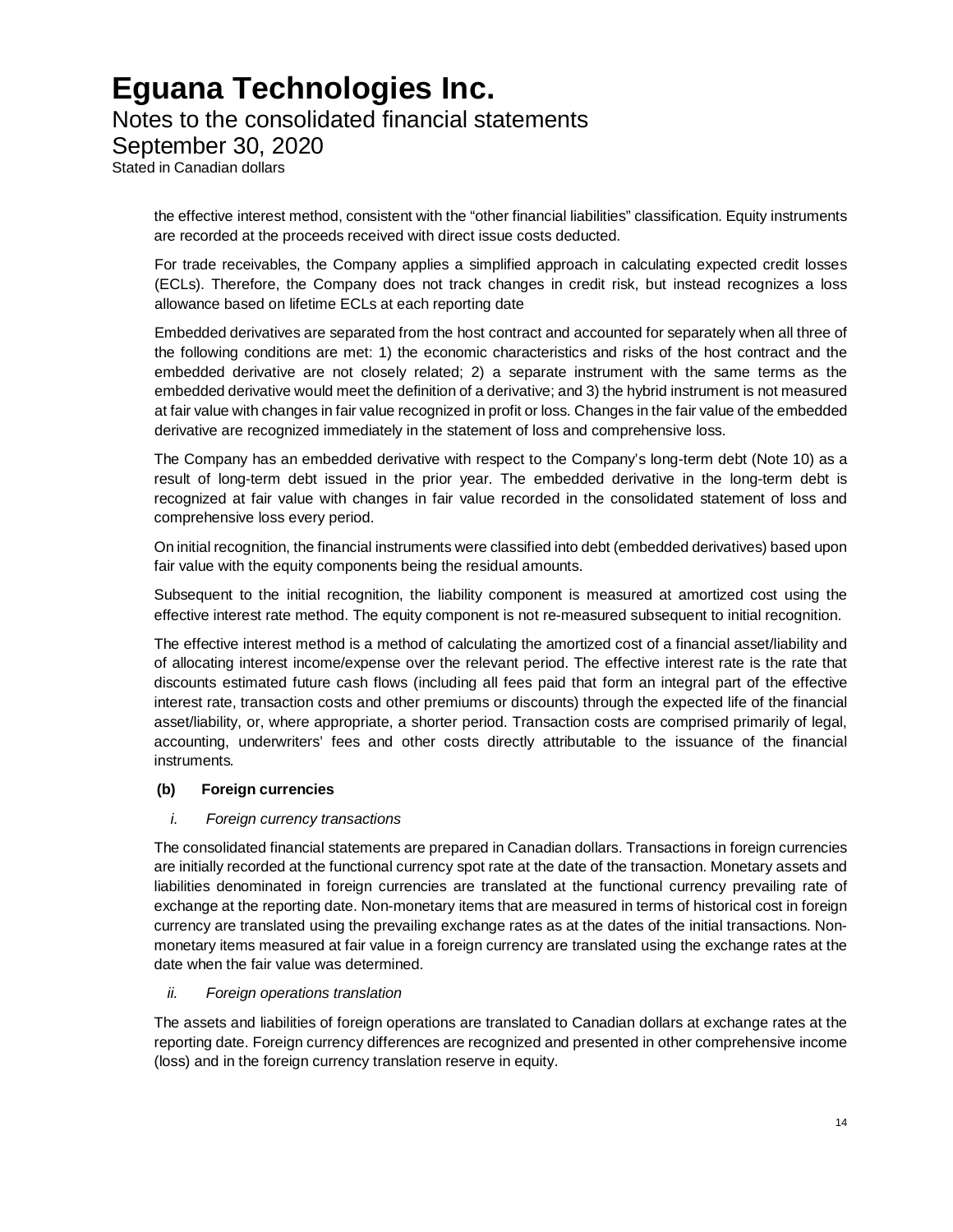### Notes to the consolidated financial statements

September 30, 2020

Stated in Canadian dollars

the effective interest method, consistent with the "other financial liabilities" classification. Equity instruments are recorded at the proceeds received with direct issue costs deducted.

For trade receivables, the Company applies a simplified approach in calculating expected credit losses (ECLs). Therefore, the Company does not track changes in credit risk, but instead recognizes a loss allowance based on lifetime ECLs at each reporting date

Embedded derivatives are separated from the host contract and accounted for separately when all three of the following conditions are met: 1) the economic characteristics and risks of the host contract and the embedded derivative are not closely related; 2) a separate instrument with the same terms as the embedded derivative would meet the definition of a derivative; and 3) the hybrid instrument is not measured at fair value with changes in fair value recognized in profit or loss. Changes in the fair value of the embedded derivative are recognized immediately in the statement of loss and comprehensive loss.

The Company has an embedded derivative with respect to the Company's long-term debt (Note 10) as a result of long-term debt issued in the prior year. The embedded derivative in the long-term debt is recognized at fair value with changes in fair value recorded in the consolidated statement of loss and comprehensive loss every period.

On initial recognition, the financial instruments were classified into debt (embedded derivatives) based upon fair value with the equity components being the residual amounts.

Subsequent to the initial recognition, the liability component is measured at amortized cost using the effective interest rate method. The equity component is not re-measured subsequent to initial recognition.

The effective interest method is a method of calculating the amortized cost of a financial asset/liability and of allocating interest income/expense over the relevant period. The effective interest rate is the rate that discounts estimated future cash flows (including all fees paid that form an integral part of the effective interest rate, transaction costs and other premiums or discounts) through the expected life of the financial asset/liability, or, where appropriate, a shorter period. Transaction costs are comprised primarily of legal, accounting, underwriters' fees and other costs directly attributable to the issuance of the financial instruments*.*

#### **(b) Foreign currencies**

#### *i. Foreign currency transactions*

The consolidated financial statements are prepared in Canadian dollars. Transactions in foreign currencies are initially recorded at the functional currency spot rate at the date of the transaction. Monetary assets and liabilities denominated in foreign currencies are translated at the functional currency prevailing rate of exchange at the reporting date. Non-monetary items that are measured in terms of historical cost in foreign currency are translated using the prevailing exchange rates as at the dates of the initial transactions. Nonmonetary items measured at fair value in a foreign currency are translated using the exchange rates at the date when the fair value was determined.

#### *ii. Foreign operations translation*

The assets and liabilities of foreign operations are translated to Canadian dollars at exchange rates at the reporting date. Foreign currency differences are recognized and presented in other comprehensive income (loss) and in the foreign currency translation reserve in equity.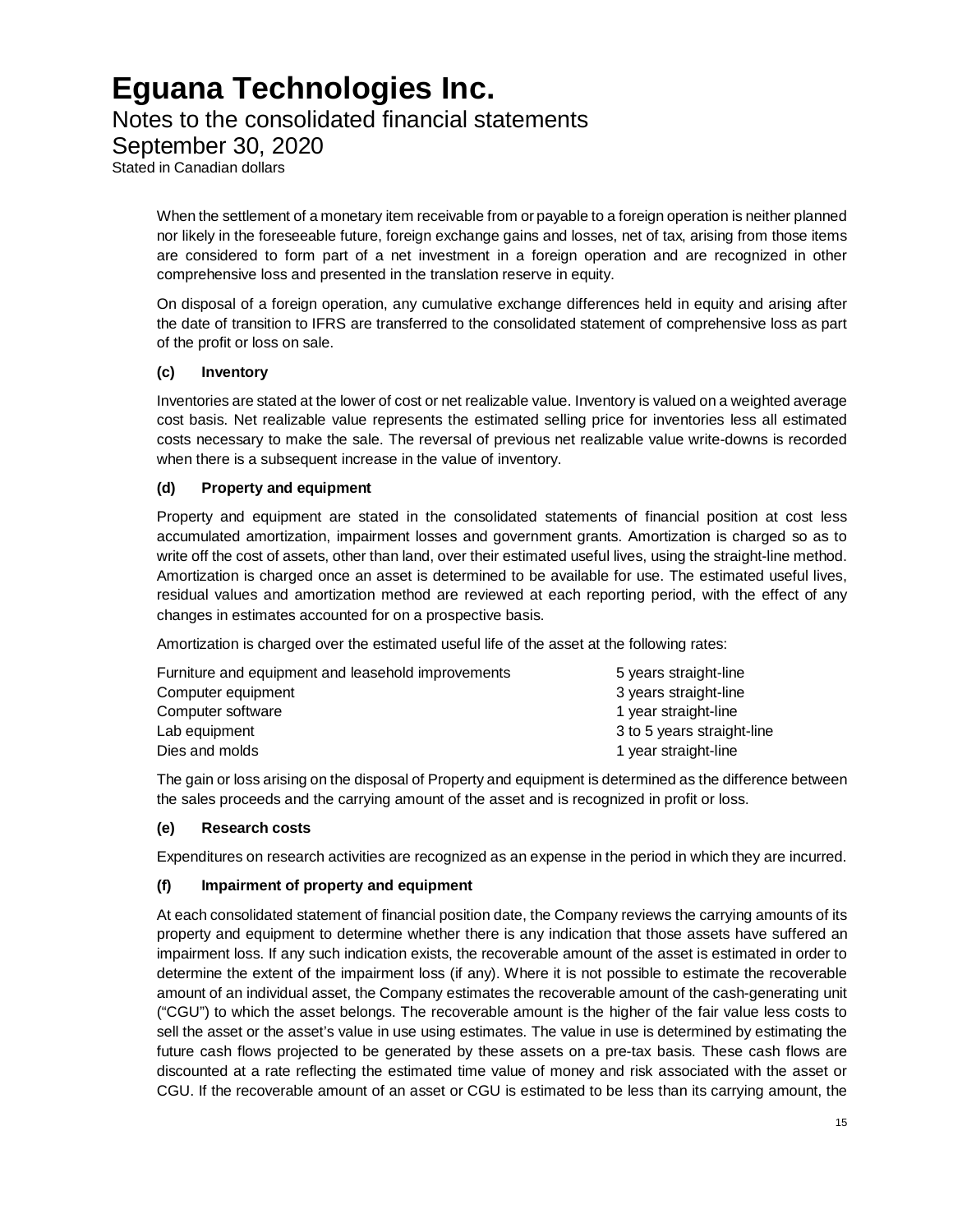### Notes to the consolidated financial statements

September 30, 2020

Stated in Canadian dollars

When the settlement of a monetary item receivable from or payable to a foreign operation is neither planned nor likely in the foreseeable future, foreign exchange gains and losses, net of tax, arising from those items are considered to form part of a net investment in a foreign operation and are recognized in other comprehensive loss and presented in the translation reserve in equity.

On disposal of a foreign operation, any cumulative exchange differences held in equity and arising after the date of transition to IFRS are transferred to the consolidated statement of comprehensive loss as part of the profit or loss on sale.

#### **(c) Inventory**

Inventories are stated at the lower of cost or net realizable value. Inventory is valued on a weighted average cost basis. Net realizable value represents the estimated selling price for inventories less all estimated costs necessary to make the sale. The reversal of previous net realizable value write-downs is recorded when there is a subsequent increase in the value of inventory.

#### **(d) Property and equipment**

Property and equipment are stated in the consolidated statements of financial position at cost less accumulated amortization, impairment losses and government grants. Amortization is charged so as to write off the cost of assets, other than land, over their estimated useful lives, using the straight-line method. Amortization is charged once an asset is determined to be available for use. The estimated useful lives, residual values and amortization method are reviewed at each reporting period, with the effect of any changes in estimates accounted for on a prospective basis.

Amortization is charged over the estimated useful life of the asset at the following rates:

| Furniture and equipment and leasehold improvements | 5 years straight-line      |
|----------------------------------------------------|----------------------------|
| Computer equipment                                 | 3 years straight-line      |
| Computer software                                  | 1 year straight-line       |
| Lab equipment                                      | 3 to 5 years straight-line |
| Dies and molds                                     | 1 year straight-line       |

The gain or loss arising on the disposal of Property and equipment is determined as the difference between the sales proceeds and the carrying amount of the asset and is recognized in profit or loss.

#### **(e) Research costs**

Expenditures on research activities are recognized as an expense in the period in which they are incurred.

#### **(f) Impairment of property and equipment**

At each consolidated statement of financial position date, the Company reviews the carrying amounts of its property and equipment to determine whether there is any indication that those assets have suffered an impairment loss. If any such indication exists, the recoverable amount of the asset is estimated in order to determine the extent of the impairment loss (if any). Where it is not possible to estimate the recoverable amount of an individual asset, the Company estimates the recoverable amount of the cash-generating unit ("CGU") to which the asset belongs. The recoverable amount is the higher of the fair value less costs to sell the asset or the asset's value in use using estimates. The value in use is determined by estimating the future cash flows projected to be generated by these assets on a pre-tax basis. These cash flows are discounted at a rate reflecting the estimated time value of money and risk associated with the asset or CGU. If the recoverable amount of an asset or CGU is estimated to be less than its carrying amount, the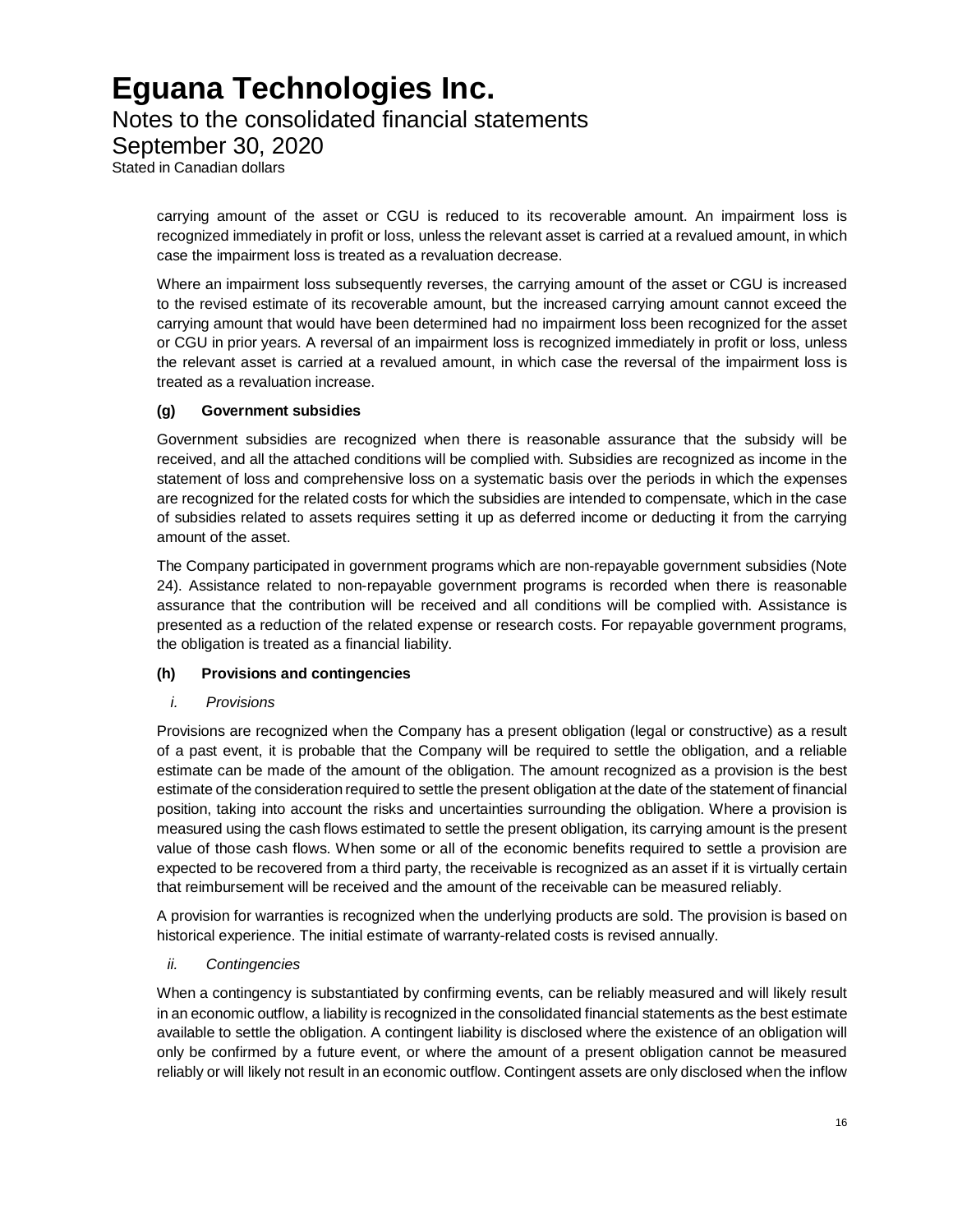### Notes to the consolidated financial statements

September 30, 2020

Stated in Canadian dollars

carrying amount of the asset or CGU is reduced to its recoverable amount. An impairment loss is recognized immediately in profit or loss, unless the relevant asset is carried at a revalued amount, in which case the impairment loss is treated as a revaluation decrease.

Where an impairment loss subsequently reverses, the carrying amount of the asset or CGU is increased to the revised estimate of its recoverable amount, but the increased carrying amount cannot exceed the carrying amount that would have been determined had no impairment loss been recognized for the asset or CGU in prior years. A reversal of an impairment loss is recognized immediately in profit or loss, unless the relevant asset is carried at a revalued amount, in which case the reversal of the impairment loss is treated as a revaluation increase.

#### **(g) Government subsidies**

Government subsidies are recognized when there is reasonable assurance that the subsidy will be received, and all the attached conditions will be complied with. Subsidies are recognized as income in the statement of loss and comprehensive loss on a systematic basis over the periods in which the expenses are recognized for the related costs for which the subsidies are intended to compensate, which in the case of subsidies related to assets requires setting it up as deferred income or deducting it from the carrying amount of the asset.

The Company participated in government programs which are non-repayable government subsidies (Note 24). Assistance related to non-repayable government programs is recorded when there is reasonable assurance that the contribution will be received and all conditions will be complied with. Assistance is presented as a reduction of the related expense or research costs. For repayable government programs, the obligation is treated as a financial liability.

#### **(h) Provisions and contingencies**

*i. Provisions*

Provisions are recognized when the Company has a present obligation (legal or constructive) as a result of a past event, it is probable that the Company will be required to settle the obligation, and a reliable estimate can be made of the amount of the obligation. The amount recognized as a provision is the best estimate of the consideration required to settle the present obligation at the date of the statement of financial position, taking into account the risks and uncertainties surrounding the obligation. Where a provision is measured using the cash flows estimated to settle the present obligation, its carrying amount is the present value of those cash flows. When some or all of the economic benefits required to settle a provision are expected to be recovered from a third party, the receivable is recognized as an asset if it is virtually certain that reimbursement will be received and the amount of the receivable can be measured reliably.

A provision for warranties is recognized when the underlying products are sold. The provision is based on historical experience. The initial estimate of warranty-related costs is revised annually.

#### *ii. Contingencies*

When a contingency is substantiated by confirming events, can be reliably measured and will likely result in an economic outflow, a liability is recognized in the consolidated financial statements as the best estimate available to settle the obligation. A contingent liability is disclosed where the existence of an obligation will only be confirmed by a future event, or where the amount of a present obligation cannot be measured reliably or will likely not result in an economic outflow. Contingent assets are only disclosed when the inflow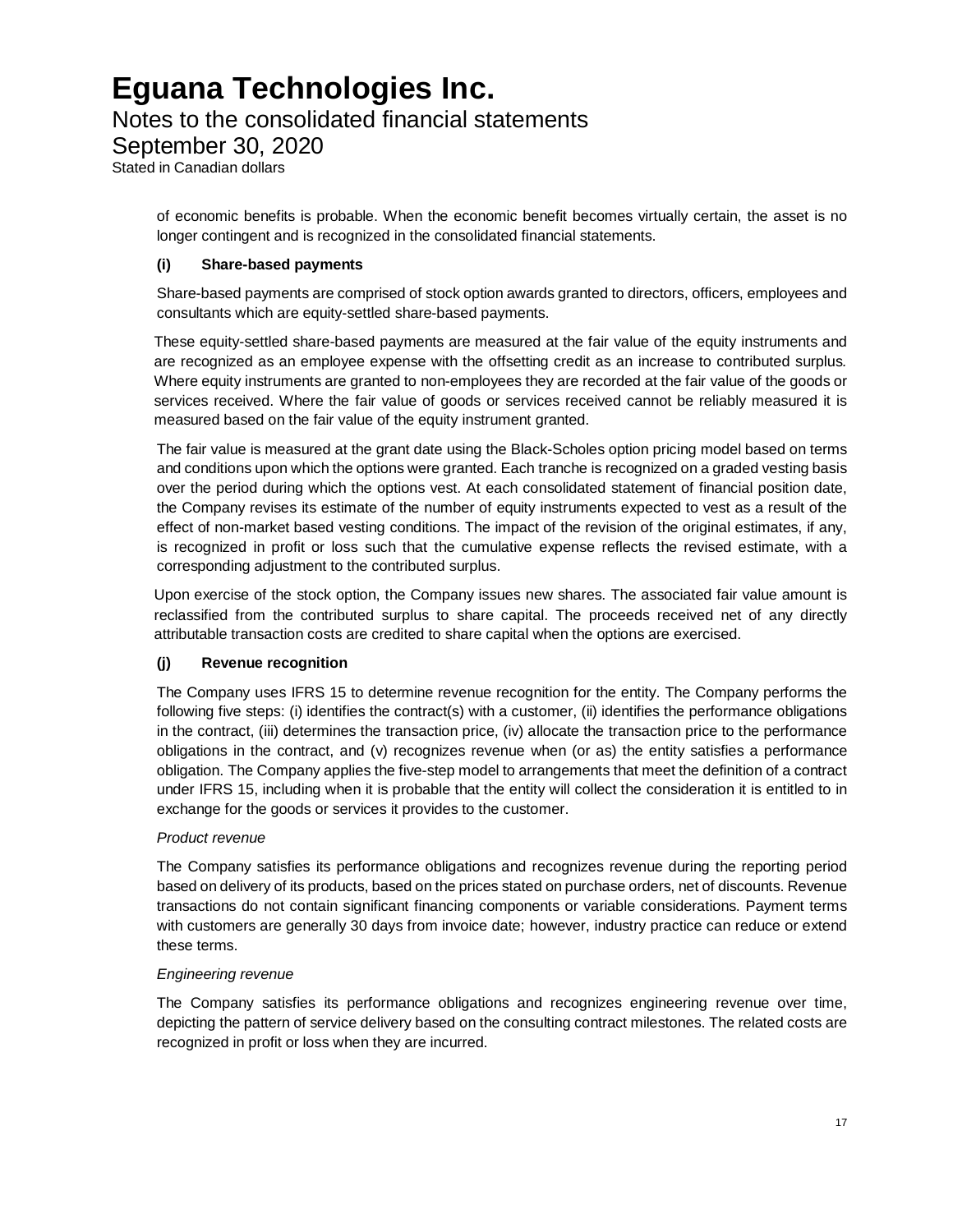### Notes to the consolidated financial statements

September 30, 2020

Stated in Canadian dollars

of economic benefits is probable. When the economic benefit becomes virtually certain, the asset is no longer contingent and is recognized in the consolidated financial statements.

#### **(i) Share-based payments**

Share-based payments are comprised of stock option awards granted to directors, officers, employees and consultants which are equity-settled share-based payments.

These equity-settled share-based payments are measured at the fair value of the equity instruments and are recognized as an employee expense with the offsetting credit as an increase to contributed surplus*.* Where equity instruments are granted to non-employees they are recorded at the fair value of the goods or services received. Where the fair value of goods or services received cannot be reliably measured it is measured based on the fair value of the equity instrument granted.

The fair value is measured at the grant date using the Black-Scholes option pricing model based on terms and conditions upon which the options were granted. Each tranche is recognized on a graded vesting basis over the period during which the options vest. At each consolidated statement of financial position date, the Company revises its estimate of the number of equity instruments expected to vest as a result of the effect of non-market based vesting conditions. The impact of the revision of the original estimates, if any, is recognized in profit or loss such that the cumulative expense reflects the revised estimate, with a corresponding adjustment to the contributed surplus.

Upon exercise of the stock option, the Company issues new shares. The associated fair value amount is reclassified from the contributed surplus to share capital. The proceeds received net of any directly attributable transaction costs are credited to share capital when the options are exercised.

#### **(j) Revenue recognition**

The Company uses IFRS 15 to determine revenue recognition for the entity. The Company performs the following five steps: (i) identifies the contract(s) with a customer, (ii) identifies the performance obligations in the contract, (iii) determines the transaction price, (iv) allocate the transaction price to the performance obligations in the contract, and (v) recognizes revenue when (or as) the entity satisfies a performance obligation. The Company applies the five-step model to arrangements that meet the definition of a contract under IFRS 15, including when it is probable that the entity will collect the consideration it is entitled to in exchange for the goods or services it provides to the customer.

#### *Product revenue*

The Company satisfies its performance obligations and recognizes revenue during the reporting period based on delivery of its products, based on the prices stated on purchase orders, net of discounts. Revenue transactions do not contain significant financing components or variable considerations. Payment terms with customers are generally 30 days from invoice date; however, industry practice can reduce or extend these terms.

#### *Engineering revenue*

The Company satisfies its performance obligations and recognizes engineering revenue over time, depicting the pattern of service delivery based on the consulting contract milestones. The related costs are recognized in profit or loss when they are incurred.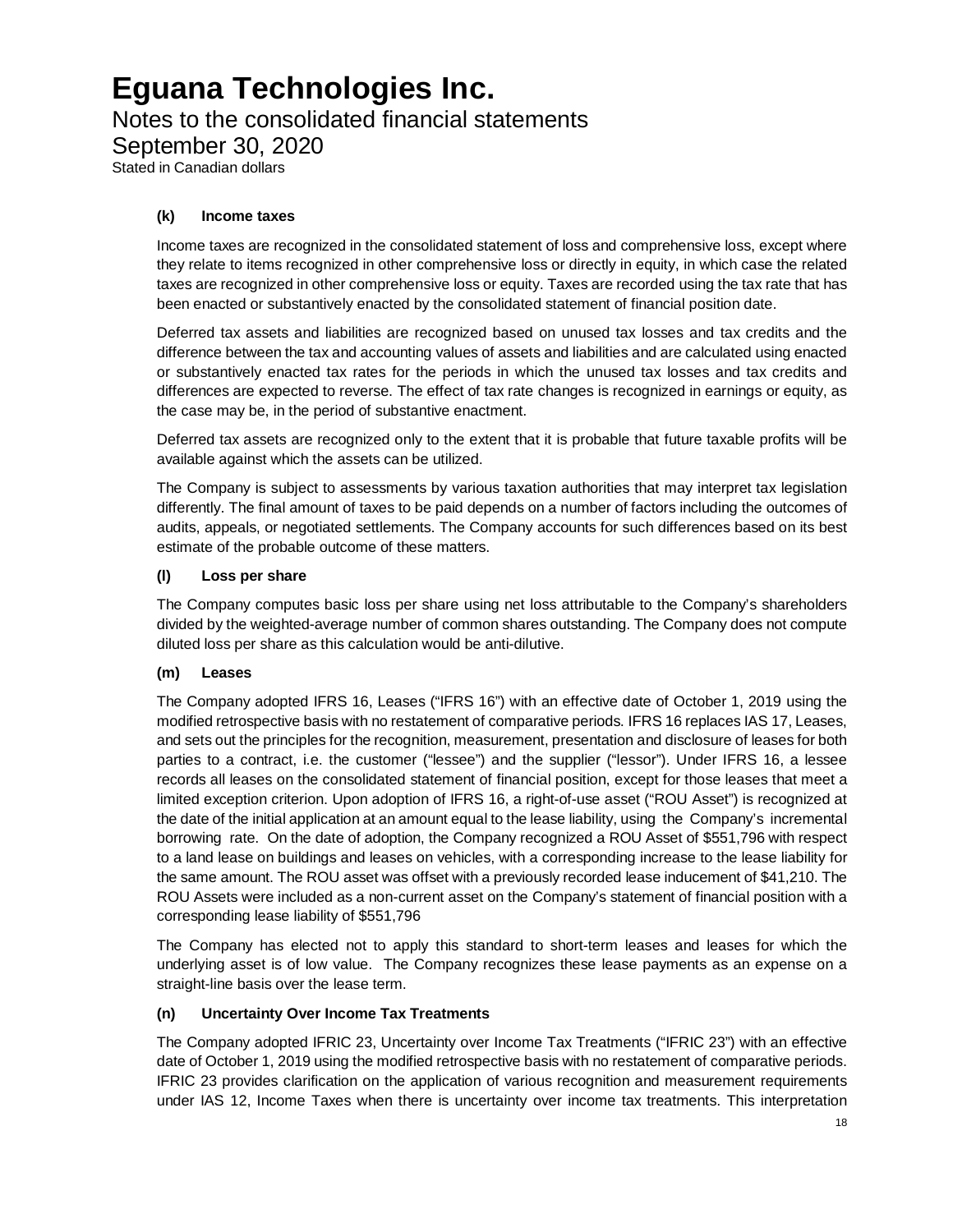Notes to the consolidated financial statements

September 30, 2020

Stated in Canadian dollars

#### **(k) Income taxes**

Income taxes are recognized in the consolidated statement of loss and comprehensive loss, except where they relate to items recognized in other comprehensive loss or directly in equity, in which case the related taxes are recognized in other comprehensive loss or equity. Taxes are recorded using the tax rate that has been enacted or substantively enacted by the consolidated statement of financial position date.

Deferred tax assets and liabilities are recognized based on unused tax losses and tax credits and the difference between the tax and accounting values of assets and liabilities and are calculated using enacted or substantively enacted tax rates for the periods in which the unused tax losses and tax credits and differences are expected to reverse. The effect of tax rate changes is recognized in earnings or equity, as the case may be, in the period of substantive enactment.

Deferred tax assets are recognized only to the extent that it is probable that future taxable profits will be available against which the assets can be utilized.

The Company is subject to assessments by various taxation authorities that may interpret tax legislation differently. The final amount of taxes to be paid depends on a number of factors including the outcomes of audits, appeals, or negotiated settlements. The Company accounts for such differences based on its best estimate of the probable outcome of these matters.

#### **(l) Loss per share**

The Company computes basic loss per share using net loss attributable to the Company's shareholders divided by the weighted-average number of common shares outstanding. The Company does not compute diluted loss per share as this calculation would be anti-dilutive.

#### **(m) Leases**

The Company adopted IFRS 16, Leases ("IFRS 16") with an effective date of October 1, 2019 using the modified retrospective basis with no restatement of comparative periods. IFRS 16 replaces IAS 17, Leases, and sets out the principles for the recognition, measurement, presentation and disclosure of leases for both parties to a contract, i.e. the customer ("lessee") and the supplier ("lessor"). Under IFRS 16, a lessee records all leases on the consolidated statement of financial position, except for those leases that meet a limited exception criterion. Upon adoption of IFRS 16, a right-of-use asset ("ROU Asset") is recognized at the date of the initial application at an amount equal to the lease liability, using the Company's incremental borrowing rate. On the date of adoption, the Company recognized a ROU Asset of \$551,796 with respect to a land lease on buildings and leases on vehicles, with a corresponding increase to the lease liability for the same amount. The ROU asset was offset with a previously recorded lease inducement of \$41,210. The ROU Assets were included as a non-current asset on the Company's statement of financial position with a corresponding lease liability of \$551,796

The Company has elected not to apply this standard to short-term leases and leases for which the underlying asset is of low value. The Company recognizes these lease payments as an expense on a straight-line basis over the lease term.

#### **(n) Uncertainty Over Income Tax Treatments**

The Company adopted IFRIC 23, Uncertainty over Income Tax Treatments ("IFRIC 23") with an effective date of October 1, 2019 using the modified retrospective basis with no restatement of comparative periods. IFRIC 23 provides clarification on the application of various recognition and measurement requirements under IAS 12, Income Taxes when there is uncertainty over income tax treatments. This interpretation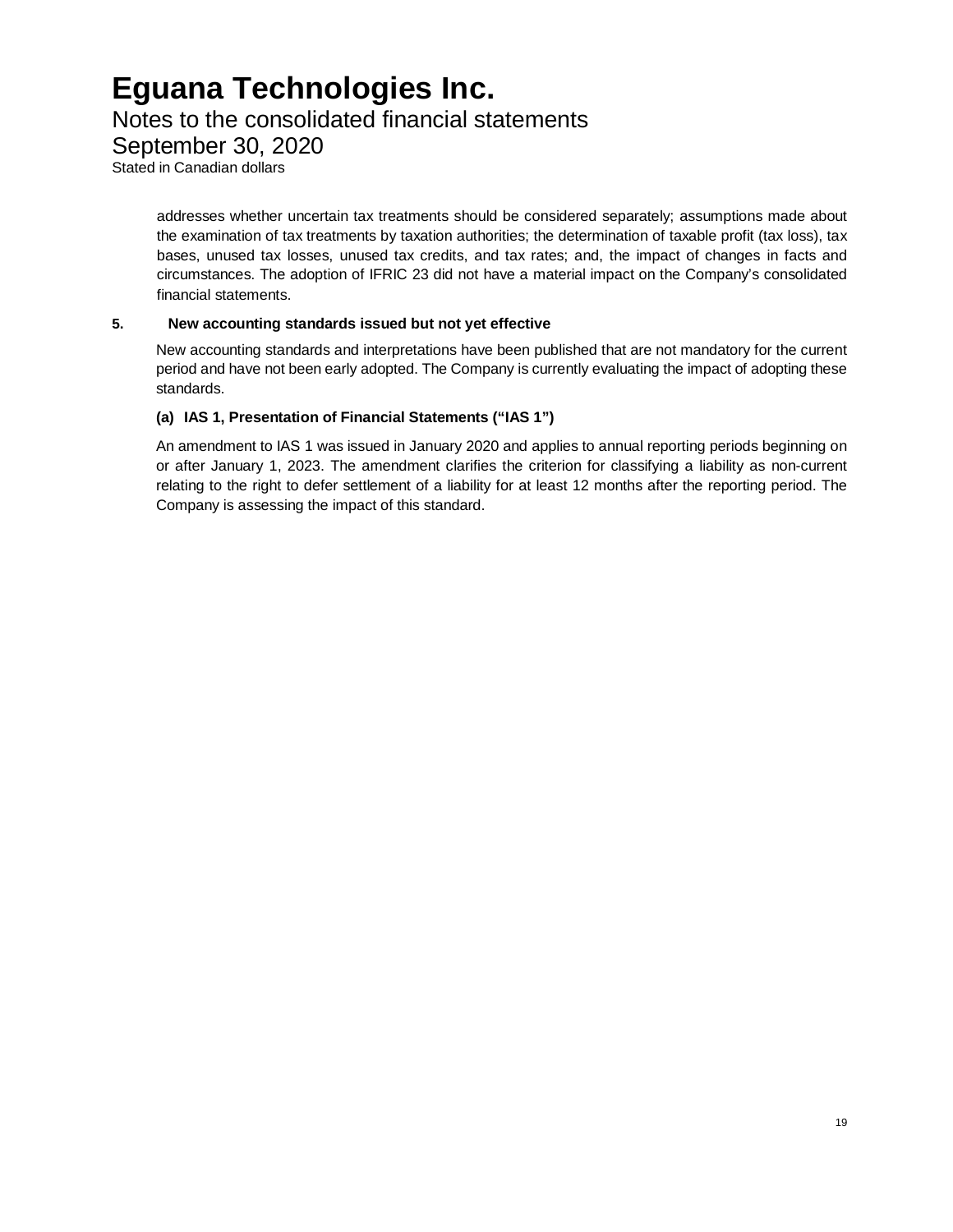### Notes to the consolidated financial statements

September 30, 2020

Stated in Canadian dollars

addresses whether uncertain tax treatments should be considered separately; assumptions made about the examination of tax treatments by taxation authorities; the determination of taxable profit (tax loss), tax bases, unused tax losses, unused tax credits, and tax rates; and, the impact of changes in facts and circumstances. The adoption of IFRIC 23 did not have a material impact on the Company's consolidated financial statements.

#### **5. New accounting standards issued but not yet effective**

New accounting standards and interpretations have been published that are not mandatory for the current period and have not been early adopted. The Company is currently evaluating the impact of adopting these standards.

#### **(a) IAS 1, Presentation of Financial Statements ("IAS 1")**

An amendment to IAS 1 was issued in January 2020 and applies to annual reporting periods beginning on or after January 1, 2023. The amendment clarifies the criterion for classifying a liability as non-current relating to the right to defer settlement of a liability for at least 12 months after the reporting period. The Company is assessing the impact of this standard.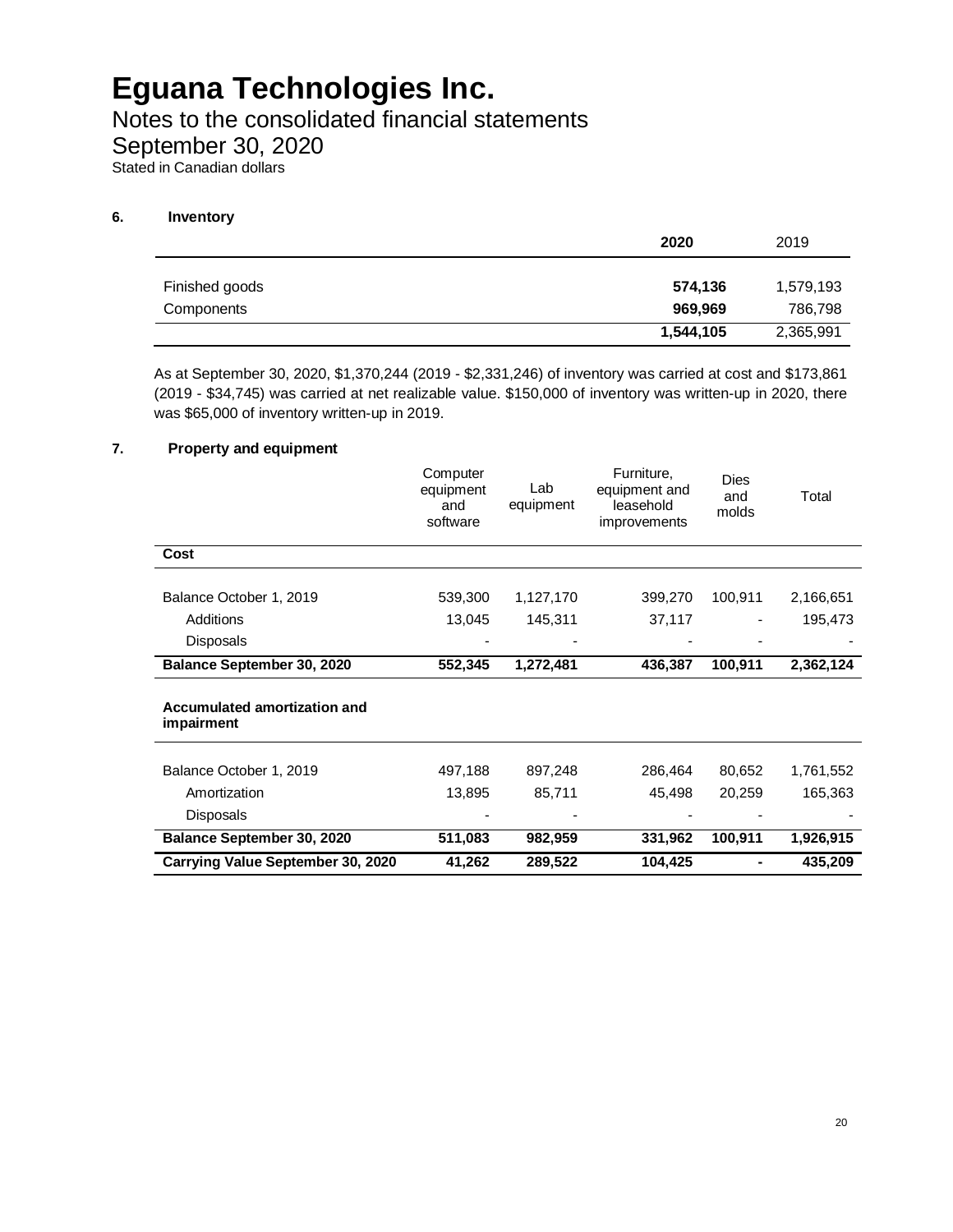Notes to the consolidated financial statements

September 30, 2020

Stated in Canadian dollars

#### **6. Inventory**

|                | 2020      | 2019      |
|----------------|-----------|-----------|
|                |           |           |
| Finished goods | 574,136   | 1,579,193 |
| Components     | 969,969   | 786,798   |
|                | 1,544,105 | 2,365,991 |

As at September 30, 2020, \$1,370,244 (2019 - \$2,331,246) of inventory was carried at cost and \$173,861 (2019 - \$34,745) was carried at net realizable value. \$150,000 of inventory was written-up in 2020, there was \$65,000 of inventory written-up in 2019.

#### **7. Property and equipment**

|                                            | Computer<br>equipment<br>and<br>software | Lab<br>equipment | Furniture,<br>equipment and<br>leasehold<br>improvements | <b>Dies</b><br>and<br>molds | Total     |
|--------------------------------------------|------------------------------------------|------------------|----------------------------------------------------------|-----------------------------|-----------|
| Cost                                       |                                          |                  |                                                          |                             |           |
| Balance October 1, 2019                    | 539,300                                  | 1,127,170        | 399,270                                                  | 100,911                     | 2,166,651 |
| Additions                                  | 13,045                                   | 145,311          | 37,117                                                   |                             | 195,473   |
| <b>Disposals</b>                           |                                          |                  |                                                          |                             |           |
| <b>Balance September 30, 2020</b>          | 552,345                                  | 1,272,481        | 436,387                                                  | 100,911                     | 2,362,124 |
| Accumulated amortization and<br>impairment |                                          |                  |                                                          |                             |           |
| Balance October 1, 2019                    | 497,188                                  | 897,248          | 286,464                                                  | 80,652                      | 1,761,552 |
| Amortization                               | 13,895                                   | 85,711           | 45,498                                                   | 20,259                      | 165,363   |
| <b>Disposals</b>                           |                                          |                  |                                                          |                             |           |
| Balance September 30, 2020                 | 511,083                                  | 982,959          | 331,962                                                  | 100,911                     | 1,926,915 |
| Carrying Value September 30, 2020          | 41,262                                   | 289,522          | 104,425                                                  |                             | 435,209   |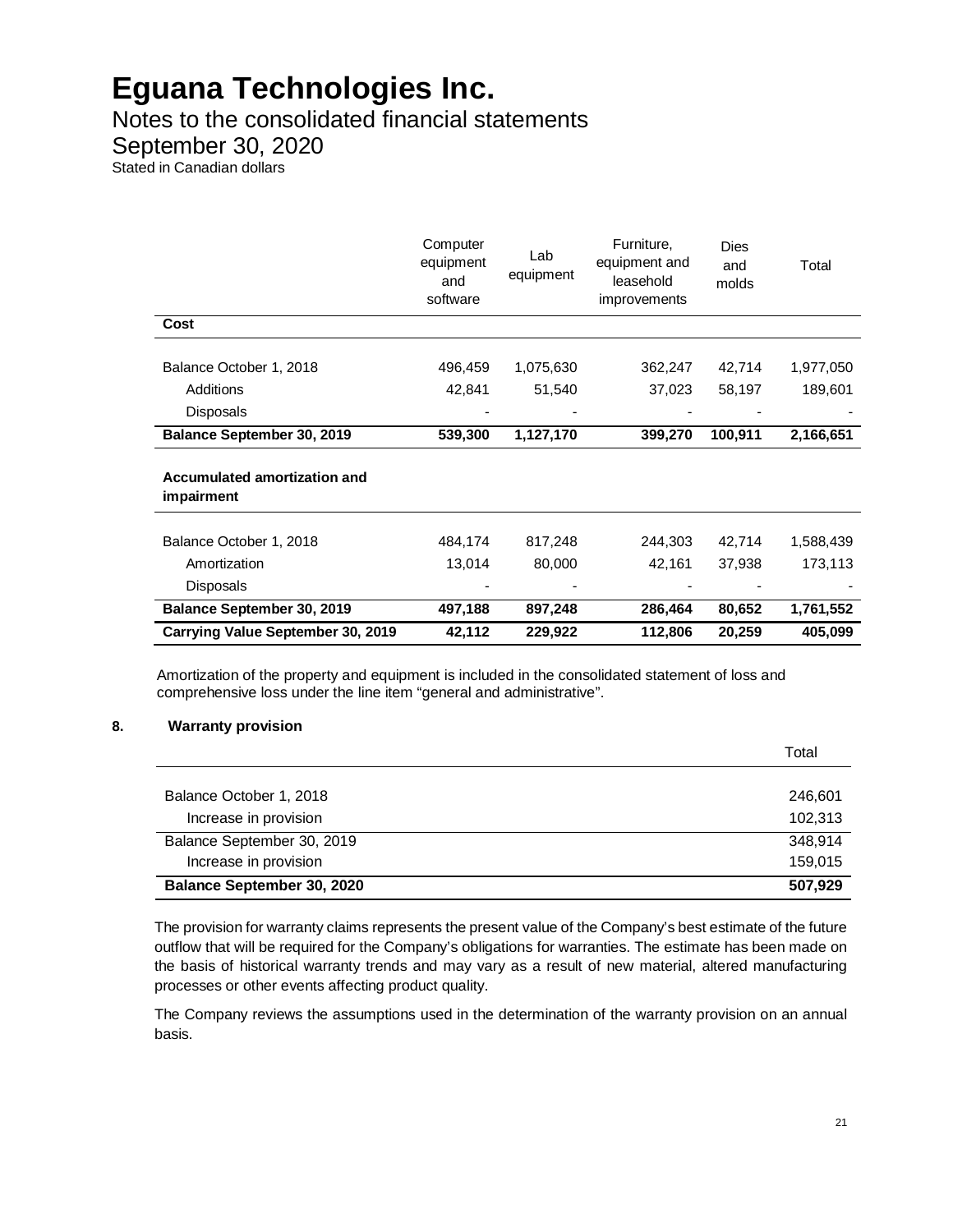Notes to the consolidated financial statements

September 30, 2020

Stated in Canadian dollars

|                                            | Computer<br>equipment<br>and<br>software | Lab<br>equipment | Furniture,<br>equipment and<br>leasehold<br>improvements | <b>Dies</b><br>and<br>molds | Total     |
|--------------------------------------------|------------------------------------------|------------------|----------------------------------------------------------|-----------------------------|-----------|
| Cost                                       |                                          |                  |                                                          |                             |           |
| Balance October 1, 2018                    | 496,459                                  | 1,075,630        | 362,247                                                  | 42,714                      | 1,977,050 |
| Additions                                  | 42,841                                   | 51,540           | 37,023                                                   | 58,197                      | 189,601   |
| <b>Disposals</b>                           |                                          |                  |                                                          |                             |           |
| Balance September 30, 2019                 | 539,300                                  | 1,127,170        | 399,270                                                  | 100,911                     | 2,166,651 |
| Accumulated amortization and<br>impairment |                                          |                  |                                                          |                             |           |
| Balance October 1, 2018                    | 484,174                                  | 817,248          | 244,303                                                  | 42,714                      | 1,588,439 |
| Amortization                               | 13,014                                   | 80,000           | 42,161                                                   | 37,938                      | 173,113   |
| Disposals                                  |                                          |                  |                                                          |                             |           |
| <b>Balance September 30, 2019</b>          | 497,188                                  | 897,248          | 286,464                                                  | 80,652                      | 1,761,552 |
| Carrying Value September 30, 2019          | 42,112                                   | 229,922          | 112,806                                                  | 20,259                      | 405,099   |

Amortization of the property and equipment is included in the consolidated statement of loss and comprehensive loss under the line item "general and administrative".

#### **8. Warranty provision**

|                                   | Total   |
|-----------------------------------|---------|
|                                   |         |
| Balance October 1, 2018           | 246,601 |
| Increase in provision             | 102,313 |
| Balance September 30, 2019        | 348.914 |
| Increase in provision             | 159.015 |
| <b>Balance September 30, 2020</b> | 507,929 |

The provision for warranty claims represents the present value of the Company's best estimate of the future outflow that will be required for the Company's obligations for warranties. The estimate has been made on the basis of historical warranty trends and may vary as a result of new material, altered manufacturing processes or other events affecting product quality.

The Company reviews the assumptions used in the determination of the warranty provision on an annual basis.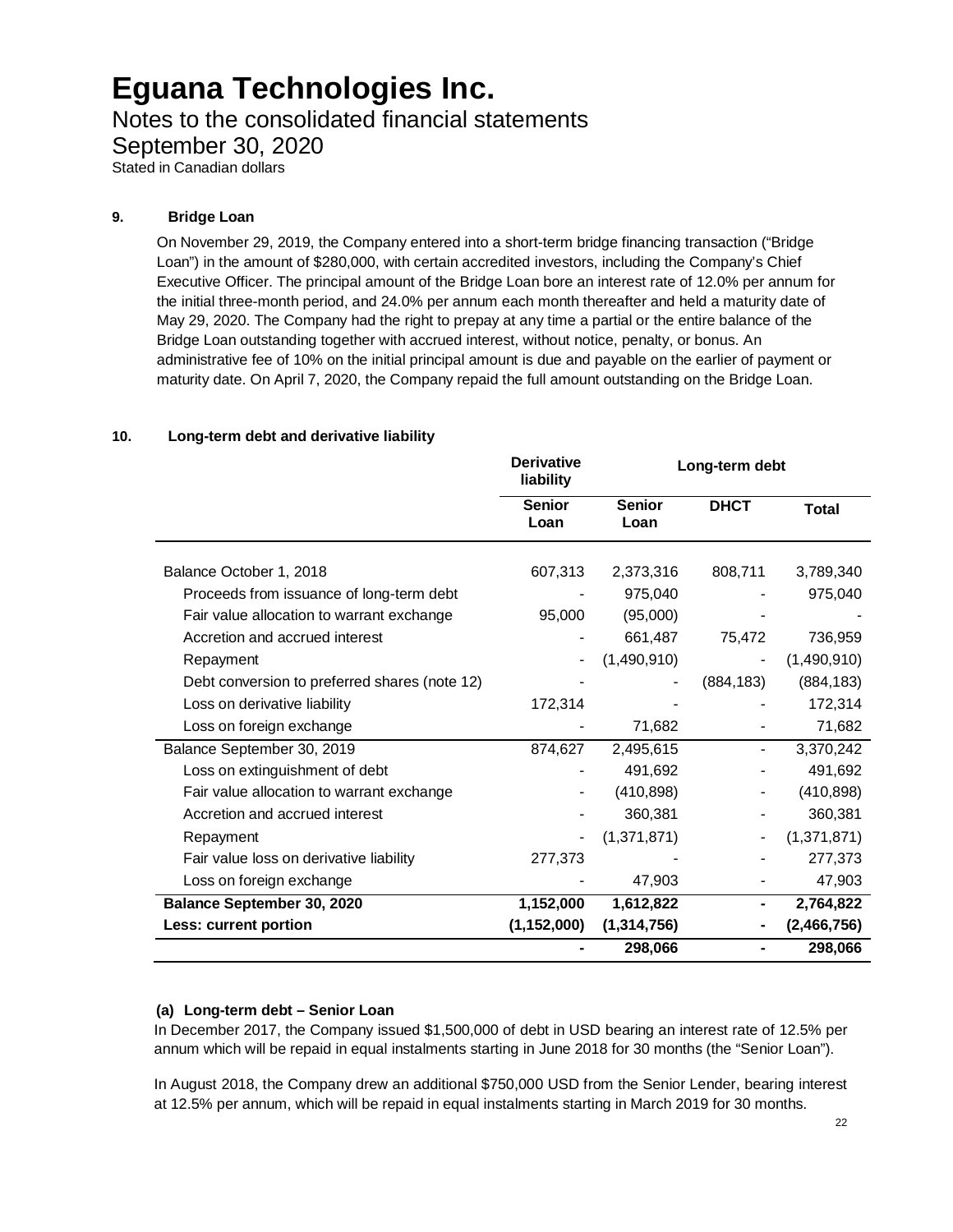Notes to the consolidated financial statements

September 30, 2020

Stated in Canadian dollars

#### **9. Bridge Loan**

On November 29, 2019, the Company entered into a short-term bridge financing transaction ("Bridge Loan") in the amount of \$280,000, with certain accredited investors, including the Company's Chief Executive Officer. The principal amount of the Bridge Loan bore an interest rate of 12.0% per annum for the initial three-month period, and 24.0% per annum each month thereafter and held a maturity date of May 29, 2020. The Company had the right to prepay at any time a partial or the entire balance of the Bridge Loan outstanding together with accrued interest, without notice, penalty, or bonus. An administrative fee of 10% on the initial principal amount is due and payable on the earlier of payment or maturity date. On April 7, 2020, the Company repaid the full amount outstanding on the Bridge Loan.

#### **10. Long-term debt and derivative liability**

|                                               | <b>Derivative</b><br>liability | Long-term debt        |                          |              |
|-----------------------------------------------|--------------------------------|-----------------------|--------------------------|--------------|
|                                               | <b>Senior</b><br>Loan          | <b>Senior</b><br>Loan | <b>DHCT</b>              | <b>Total</b> |
| Balance October 1, 2018                       | 607,313                        | 2,373,316             | 808,711                  | 3,789,340    |
| Proceeds from issuance of long-term debt      |                                | 975,040               |                          | 975,040      |
| Fair value allocation to warrant exchange     | 95,000                         | (95,000)              |                          |              |
| Accretion and accrued interest                |                                | 661,487               | 75,472                   | 736,959      |
| Repayment                                     |                                | (1,490,910)           |                          | (1,490,910)  |
| Debt conversion to preferred shares (note 12) |                                |                       | (884, 183)               | (884, 183)   |
| Loss on derivative liability                  | 172,314                        |                       |                          | 172,314      |
| Loss on foreign exchange                      |                                | 71,682                |                          | 71,682       |
| Balance September 30, 2019                    | 874,627                        | 2,495,615             | $\overline{\phantom{0}}$ | 3,370,242    |
| Loss on extinguishment of debt                |                                | 491,692               |                          | 491,692      |
| Fair value allocation to warrant exchange     |                                | (410, 898)            |                          | (410, 898)   |
| Accretion and accrued interest                |                                | 360,381               |                          | 360,381      |
| Repayment                                     |                                | (1,371,871)           |                          | (1,371,871)  |
| Fair value loss on derivative liability       | 277,373                        |                       |                          | 277,373      |
| Loss on foreign exchange                      |                                | 47,903                |                          | 47,903       |
| <b>Balance September 30, 2020</b>             | 1,152,000                      | 1,612,822             |                          | 2,764,822    |
| Less: current portion                         | (1, 152, 000)                  | (1, 314, 756)         |                          | (2,466,756)  |
|                                               |                                | 298,066               |                          | 298,066      |

#### **(a) Long-term debt – Senior Loan**

In December 2017, the Company issued \$1,500,000 of debt in USD bearing an interest rate of 12.5% per annum which will be repaid in equal instalments starting in June 2018 for 30 months (the "Senior Loan").

In August 2018, the Company drew an additional \$750,000 USD from the Senior Lender, bearing interest at 12.5% per annum, which will be repaid in equal instalments starting in March 2019 for 30 months.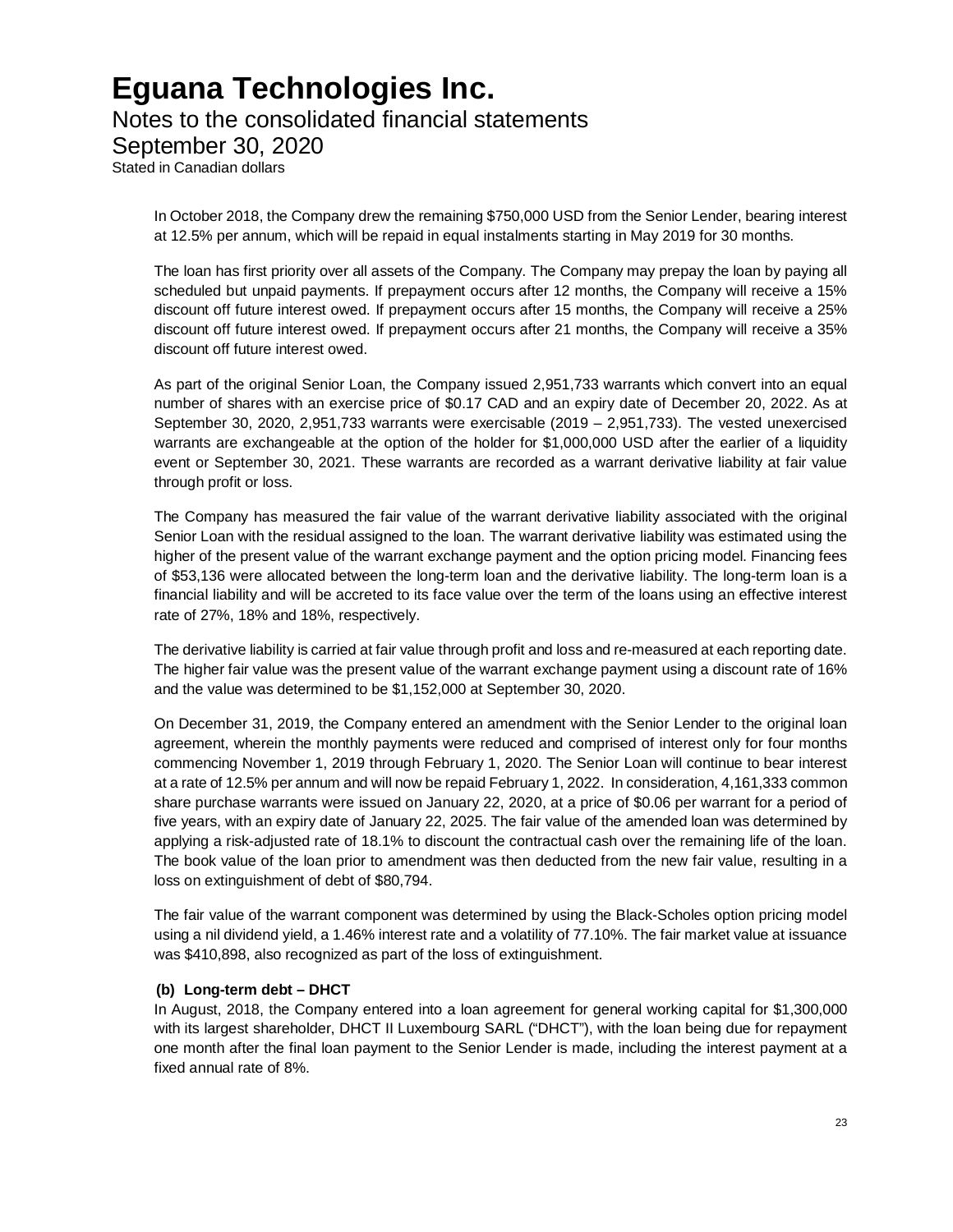### Notes to the consolidated financial statements

September 30, 2020

Stated in Canadian dollars

In October 2018, the Company drew the remaining \$750,000 USD from the Senior Lender, bearing interest at 12.5% per annum, which will be repaid in equal instalments starting in May 2019 for 30 months.

The loan has first priority over all assets of the Company. The Company may prepay the loan by paying all scheduled but unpaid payments. If prepayment occurs after 12 months, the Company will receive a 15% discount off future interest owed. If prepayment occurs after 15 months, the Company will receive a 25% discount off future interest owed. If prepayment occurs after 21 months, the Company will receive a 35% discount off future interest owed.

As part of the original Senior Loan, the Company issued 2,951,733 warrants which convert into an equal number of shares with an exercise price of \$0.17 CAD and an expiry date of December 20, 2022. As at September 30, 2020, 2,951,733 warrants were exercisable (2019 – 2,951,733). The vested unexercised warrants are exchangeable at the option of the holder for \$1,000,000 USD after the earlier of a liquidity event or September 30, 2021. These warrants are recorded as a warrant derivative liability at fair value through profit or loss.

The Company has measured the fair value of the warrant derivative liability associated with the original Senior Loan with the residual assigned to the loan. The warrant derivative liability was estimated using the higher of the present value of the warrant exchange payment and the option pricing model. Financing fees of \$53,136 were allocated between the long-term loan and the derivative liability. The long-term loan is a financial liability and will be accreted to its face value over the term of the loans using an effective interest rate of 27%, 18% and 18%, respectively.

The derivative liability is carried at fair value through profit and loss and re-measured at each reporting date. The higher fair value was the present value of the warrant exchange payment using a discount rate of 16% and the value was determined to be \$1,152,000 at September 30, 2020.

On December 31, 2019, the Company entered an amendment with the Senior Lender to the original loan agreement, wherein the monthly payments were reduced and comprised of interest only for four months commencing November 1, 2019 through February 1, 2020. The Senior Loan will continue to bear interest at a rate of 12.5% per annum and will now be repaid February 1, 2022. In consideration, 4,161,333 common share purchase warrants were issued on January 22, 2020, at a price of \$0.06 per warrant for a period of five years, with an expiry date of January 22, 2025. The fair value of the amended loan was determined by applying a risk-adjusted rate of 18.1% to discount the contractual cash over the remaining life of the loan. The book value of the loan prior to amendment was then deducted from the new fair value, resulting in a loss on extinguishment of debt of \$80,794.

The fair value of the warrant component was determined by using the Black-Scholes option pricing model using a nil dividend yield, a 1.46% interest rate and a volatility of 77.10%. The fair market value at issuance was \$410,898, also recognized as part of the loss of extinguishment.

#### **(b) Long-term debt – DHCT**

In August, 2018, the Company entered into a loan agreement for general working capital for \$1,300,000 with its largest shareholder, DHCT II Luxembourg SARL ("DHCT"), with the loan being due for repayment one month after the final loan payment to the Senior Lender is made, including the interest payment at a fixed annual rate of 8%.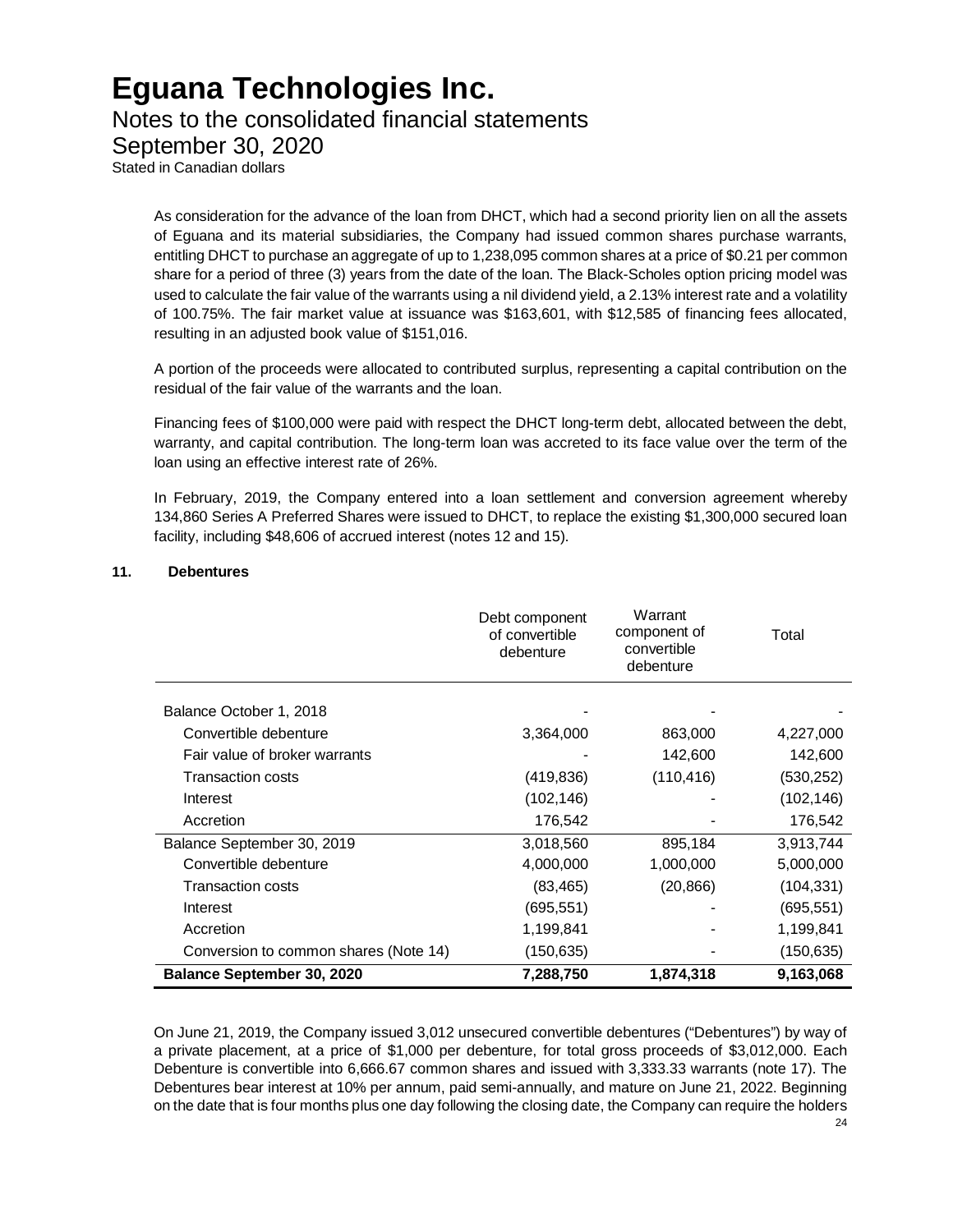### Notes to the consolidated financial statements

September 30, 2020

Stated in Canadian dollars

As consideration for the advance of the loan from DHCT, which had a second priority lien on all the assets of Eguana and its material subsidiaries, the Company had issued common shares purchase warrants, entitling DHCT to purchase an aggregate of up to 1,238,095 common shares at a price of \$0.21 per common share for a period of three (3) years from the date of the loan. The Black-Scholes option pricing model was used to calculate the fair value of the warrants using a nil dividend yield, a 2.13% interest rate and a volatility of 100.75%. The fair market value at issuance was \$163,601, with \$12,585 of financing fees allocated, resulting in an adjusted book value of \$151,016.

A portion of the proceeds were allocated to contributed surplus, representing a capital contribution on the residual of the fair value of the warrants and the loan.

Financing fees of \$100,000 were paid with respect the DHCT long-term debt, allocated between the debt, warranty, and capital contribution. The long-term loan was accreted to its face value over the term of the loan using an effective interest rate of 26%.

In February, 2019, the Company entered into a loan settlement and conversion agreement whereby 134,860 Series A Preferred Shares were issued to DHCT, to replace the existing \$1,300,000 secured loan facility, including \$48,606 of accrued interest (notes 12 and 15).

#### **11. Debentures**

|                                       | Debt component<br>of convertible<br>debenture | Warrant<br>component of<br>convertible<br>debenture | Total      |
|---------------------------------------|-----------------------------------------------|-----------------------------------------------------|------------|
| Balance October 1, 2018               |                                               |                                                     |            |
| Convertible debenture                 | 3,364,000                                     | 863,000                                             | 4,227,000  |
| Fair value of broker warrants         |                                               | 142,600                                             | 142,600    |
| <b>Transaction costs</b>              | (419,836)                                     | (110, 416)                                          | (530, 252) |
| Interest                              | (102, 146)                                    |                                                     | (102, 146) |
| Accretion                             | 176,542                                       |                                                     | 176,542    |
| Balance September 30, 2019            | 3,018,560                                     | 895,184                                             | 3,913,744  |
| Convertible debenture                 | 4,000,000                                     | 1,000,000                                           | 5,000,000  |
| <b>Transaction costs</b>              | (83, 465)                                     | (20, 866)                                           | (104, 331) |
| Interest                              | (695, 551)                                    |                                                     | (695, 551) |
| Accretion                             | 1,199,841                                     |                                                     | 1,199,841  |
| Conversion to common shares (Note 14) | (150, 635)                                    |                                                     | (150,635)  |
| <b>Balance September 30, 2020</b>     | 7,288,750                                     | 1,874,318                                           | 9,163,068  |

24 On June 21, 2019, the Company issued 3,012 unsecured convertible debentures ("Debentures") by way of a private placement, at a price of \$1,000 per debenture, for total gross proceeds of \$3,012,000. Each Debenture is convertible into 6,666.67 common shares and issued with 3,333.33 warrants (note 17). The Debentures bear interest at 10% per annum, paid semi-annually, and mature on June 21, 2022. Beginning on the date that is four months plus one day following the closing date, the Company can require the holders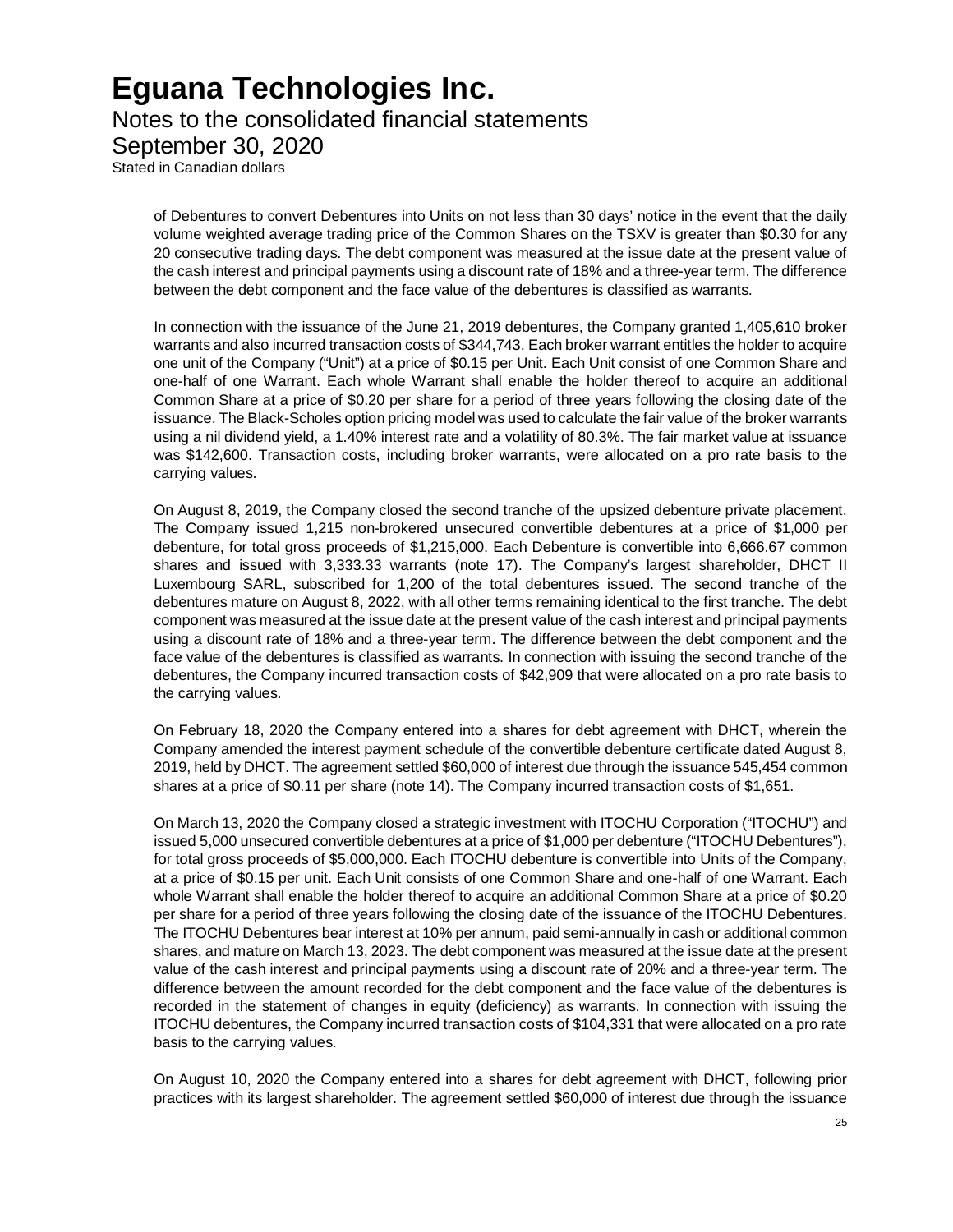Notes to the consolidated financial statements September 30, 2020 Stated in Canadian dollars

of Debentures to convert Debentures into Units on not less than 30 days' notice in the event that the daily volume weighted average trading price of the Common Shares on the TSXV is greater than \$0.30 for any 20 consecutive trading days. The debt component was measured at the issue date at the present value of the cash interest and principal payments using a discount rate of 18% and a three-year term. The difference between the debt component and the face value of the debentures is classified as warrants.

In connection with the issuance of the June 21, 2019 debentures, the Company granted 1,405,610 broker warrants and also incurred transaction costs of \$344,743. Each broker warrant entitles the holder to acquire one unit of the Company ("Unit") at a price of \$0.15 per Unit. Each Unit consist of one Common Share and one-half of one Warrant. Each whole Warrant shall enable the holder thereof to acquire an additional Common Share at a price of \$0.20 per share for a period of three years following the closing date of the issuance. The Black-Scholes option pricing model was used to calculate the fair value of the broker warrants using a nil dividend yield, a 1.40% interest rate and a volatility of 80.3%. The fair market value at issuance was \$142,600. Transaction costs, including broker warrants, were allocated on a pro rate basis to the carrying values.

On August 8, 2019, the Company closed the second tranche of the upsized debenture private placement. The Company issued 1,215 non-brokered unsecured convertible debentures at a price of \$1,000 per debenture, for total gross proceeds of \$1,215,000. Each Debenture is convertible into 6,666.67 common shares and issued with 3,333.33 warrants (note 17). The Company's largest shareholder, DHCT II Luxembourg SARL, subscribed for 1,200 of the total debentures issued. The second tranche of the debentures mature on August 8, 2022, with all other terms remaining identical to the first tranche. The debt component was measured at the issue date at the present value of the cash interest and principal payments using a discount rate of 18% and a three-year term. The difference between the debt component and the face value of the debentures is classified as warrants. In connection with issuing the second tranche of the debentures, the Company incurred transaction costs of \$42,909 that were allocated on a pro rate basis to the carrying values.

On February 18, 2020 the Company entered into a shares for debt agreement with DHCT, wherein the Company amended the interest payment schedule of the convertible debenture certificate dated August 8, 2019, held by DHCT. The agreement settled \$60,000 of interest due through the issuance 545,454 common shares at a price of \$0.11 per share (note 14). The Company incurred transaction costs of \$1,651.

On March 13, 2020 the Company closed a strategic investment with ITOCHU Corporation ("ITOCHU") and issued 5,000 unsecured convertible debentures at a price of \$1,000 per debenture ("ITOCHU Debentures"), for total gross proceeds of \$5,000,000. Each ITOCHU debenture is convertible into Units of the Company, at a price of \$0.15 per unit. Each Unit consists of one Common Share and one-half of one Warrant. Each whole Warrant shall enable the holder thereof to acquire an additional Common Share at a price of \$0.20 per share for a period of three years following the closing date of the issuance of the ITOCHU Debentures. The ITOCHU Debentures bear interest at 10% per annum, paid semi-annually in cash or additional common shares, and mature on March 13, 2023. The debt component was measured at the issue date at the present value of the cash interest and principal payments using a discount rate of 20% and a three-year term. The difference between the amount recorded for the debt component and the face value of the debentures is recorded in the statement of changes in equity (deficiency) as warrants. In connection with issuing the ITOCHU debentures, the Company incurred transaction costs of \$104,331 that were allocated on a pro rate basis to the carrying values.

On August 10, 2020 the Company entered into a shares for debt agreement with DHCT, following prior practices with its largest shareholder. The agreement settled \$60,000 of interest due through the issuance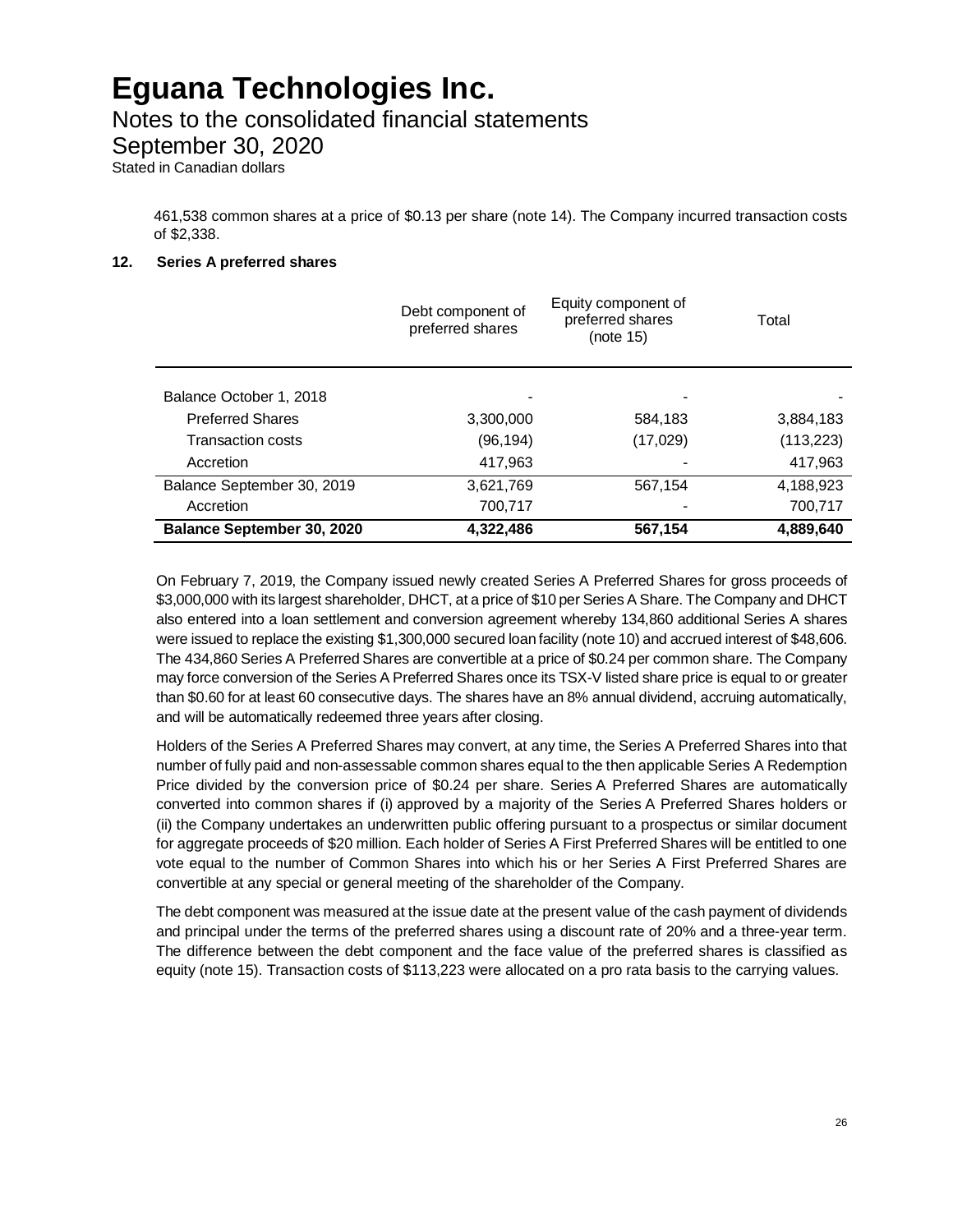### Notes to the consolidated financial statements

September 30, 2020

Stated in Canadian dollars

461,538 common shares at a price of \$0.13 per share (note 14). The Company incurred transaction costs of \$2,338.

#### **12. Series A preferred shares**

|                                   | Debt component of<br>preferred shares | Equity component of<br>preferred shares<br>(note 15) | Total      |
|-----------------------------------|---------------------------------------|------------------------------------------------------|------------|
| Balance October 1, 2018           |                                       |                                                      |            |
| <b>Preferred Shares</b>           | 3,300,000                             | 584,183                                              | 3,884,183  |
| Transaction costs                 | (96,194)                              | (17, 029)                                            | (113, 223) |
| Accretion                         | 417,963                               |                                                      | 417,963    |
| Balance September 30, 2019        | 3,621,769                             | 567,154                                              | 4,188,923  |
| Accretion                         | 700,717                               |                                                      | 700,717    |
| <b>Balance September 30, 2020</b> | 4,322,486                             | 567,154                                              | 4,889,640  |

On February 7, 2019, the Company issued newly created Series A Preferred Shares for gross proceeds of \$3,000,000 with its largest shareholder, DHCT, at a price of \$10 per Series A Share. The Company and DHCT also entered into a loan settlement and conversion agreement whereby 134,860 additional Series A shares were issued to replace the existing \$1,300,000 secured loan facility (note 10) and accrued interest of \$48,606. The 434,860 Series A Preferred Shares are convertible at a price of \$0.24 per common share. The Company may force conversion of the Series A Preferred Shares once its TSX-V listed share price is equal to or greater than \$0.60 for at least 60 consecutive days. The shares have an 8% annual dividend, accruing automatically, and will be automatically redeemed three years after closing.

Holders of the Series A Preferred Shares may convert, at any time, the Series A Preferred Shares into that number of fully paid and non-assessable common shares equal to the then applicable Series A Redemption Price divided by the conversion price of \$0.24 per share. Series A Preferred Shares are automatically converted into common shares if (i) approved by a majority of the Series A Preferred Shares holders or (ii) the Company undertakes an underwritten public offering pursuant to a prospectus or similar document for aggregate proceeds of \$20 million. Each holder of Series A First Preferred Shares will be entitled to one vote equal to the number of Common Shares into which his or her Series A First Preferred Shares are convertible at any special or general meeting of the shareholder of the Company.

The debt component was measured at the issue date at the present value of the cash payment of dividends and principal under the terms of the preferred shares using a discount rate of 20% and a three-year term. The difference between the debt component and the face value of the preferred shares is classified as equity (note 15). Transaction costs of \$113,223 were allocated on a pro rata basis to the carrying values.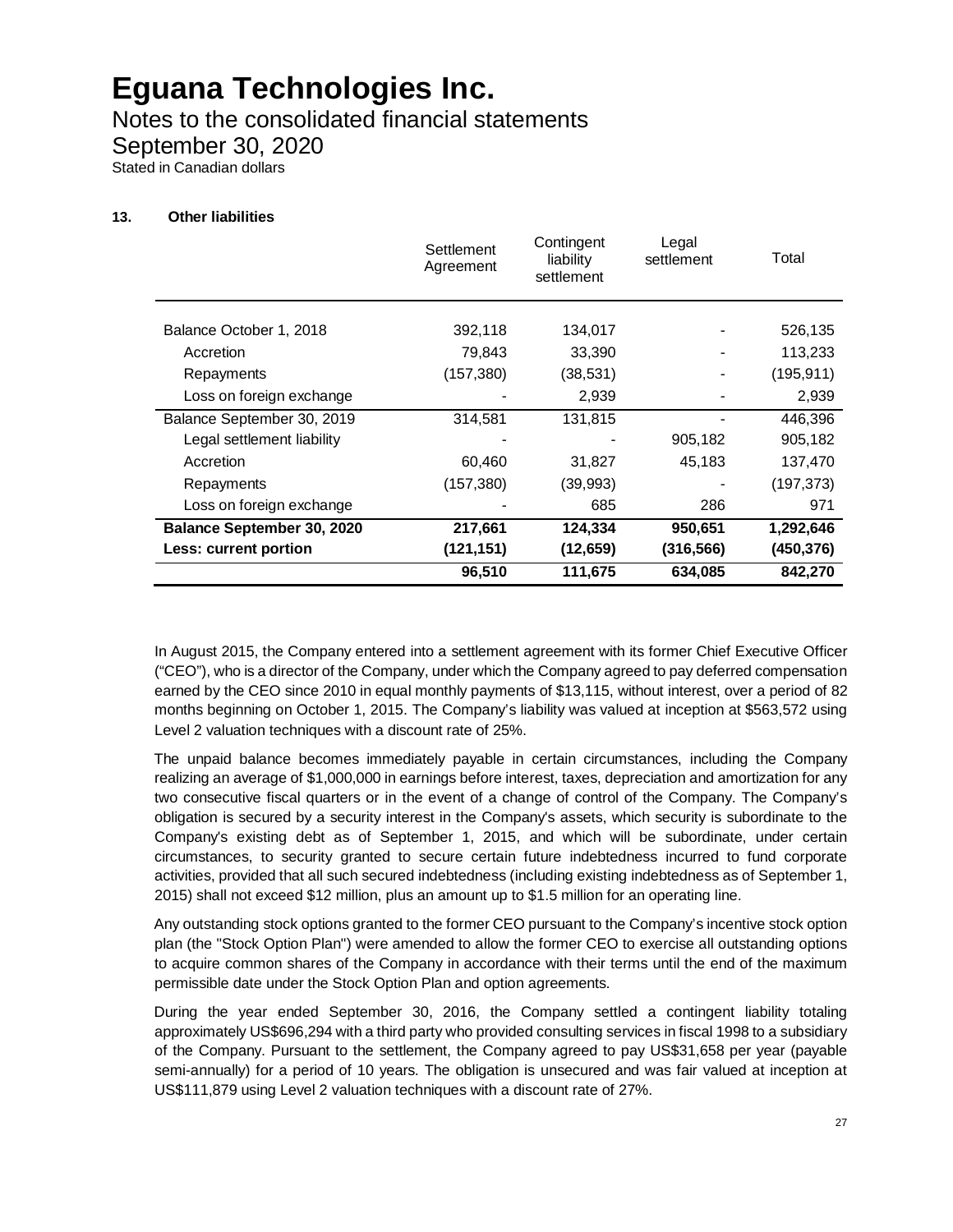Notes to the consolidated financial statements

September 30, 2020

Stated in Canadian dollars

#### **13. Other liabilities**

|                                   | Settlement<br>Agreement | Contingent<br>liability<br>settlement | Legal<br>settlement | Total      |
|-----------------------------------|-------------------------|---------------------------------------|---------------------|------------|
| Balance October 1, 2018           | 392,118                 | 134,017                               |                     | 526,135    |
| Accretion                         | 79,843                  | 33,390                                |                     | 113,233    |
| Repayments                        | (157, 380)              | (38,531)                              |                     | (195, 911) |
| Loss on foreign exchange          |                         | 2,939                                 |                     | 2,939      |
| Balance September 30, 2019        | 314,581                 | 131,815                               |                     | 446.396    |
| Legal settlement liability        |                         |                                       | 905,182             | 905,182    |
| Accretion                         | 60,460                  | 31,827                                | 45,183              | 137,470    |
| Repayments                        | (157,380)               | (39,993)                              |                     | (197, 373) |
| Loss on foreign exchange          |                         | 685                                   | 286                 | 971        |
| <b>Balance September 30, 2020</b> | 217,661                 | 124,334                               | 950,651             | 1,292,646  |
| Less: current portion             | (121, 151)              | (12, 659)                             | (316, 566)          | (450, 376) |
|                                   | 96,510                  | 111,675                               | 634,085             | 842,270    |

In August 2015, the Company entered into a settlement agreement with its former Chief Executive Officer ("CEO"), who is a director of the Company, under which the Company agreed to pay deferred compensation earned by the CEO since 2010 in equal monthly payments of \$13,115, without interest, over a period of 82 months beginning on October 1, 2015. The Company's liability was valued at inception at \$563,572 using Level 2 valuation techniques with a discount rate of 25%.

The unpaid balance becomes immediately payable in certain circumstances, including the Company realizing an average of \$1,000,000 in earnings before interest, taxes, depreciation and amortization for any two consecutive fiscal quarters or in the event of a change of control of the Company. The Company's obligation is secured by a security interest in the Company's assets, which security is subordinate to the Company's existing debt as of September 1, 2015, and which will be subordinate, under certain circumstances, to security granted to secure certain future indebtedness incurred to fund corporate activities, provided that all such secured indebtedness (including existing indebtedness as of September 1, 2015) shall not exceed \$12 million, plus an amount up to \$1.5 million for an operating line.

Any outstanding stock options granted to the former CEO pursuant to the Company's incentive stock option plan (the "Stock Option Plan") were amended to allow the former CEO to exercise all outstanding options to acquire common shares of the Company in accordance with their terms until the end of the maximum permissible date under the Stock Option Plan and option agreements.

During the year ended September 30, 2016, the Company settled a contingent liability totaling approximately US\$696,294 with a third party who provided consulting services in fiscal 1998 to a subsidiary of the Company. Pursuant to the settlement, the Company agreed to pay US\$31,658 per year (payable semi-annually) for a period of 10 years. The obligation is unsecured and was fair valued at inception at US\$111,879 using Level 2 valuation techniques with a discount rate of 27%.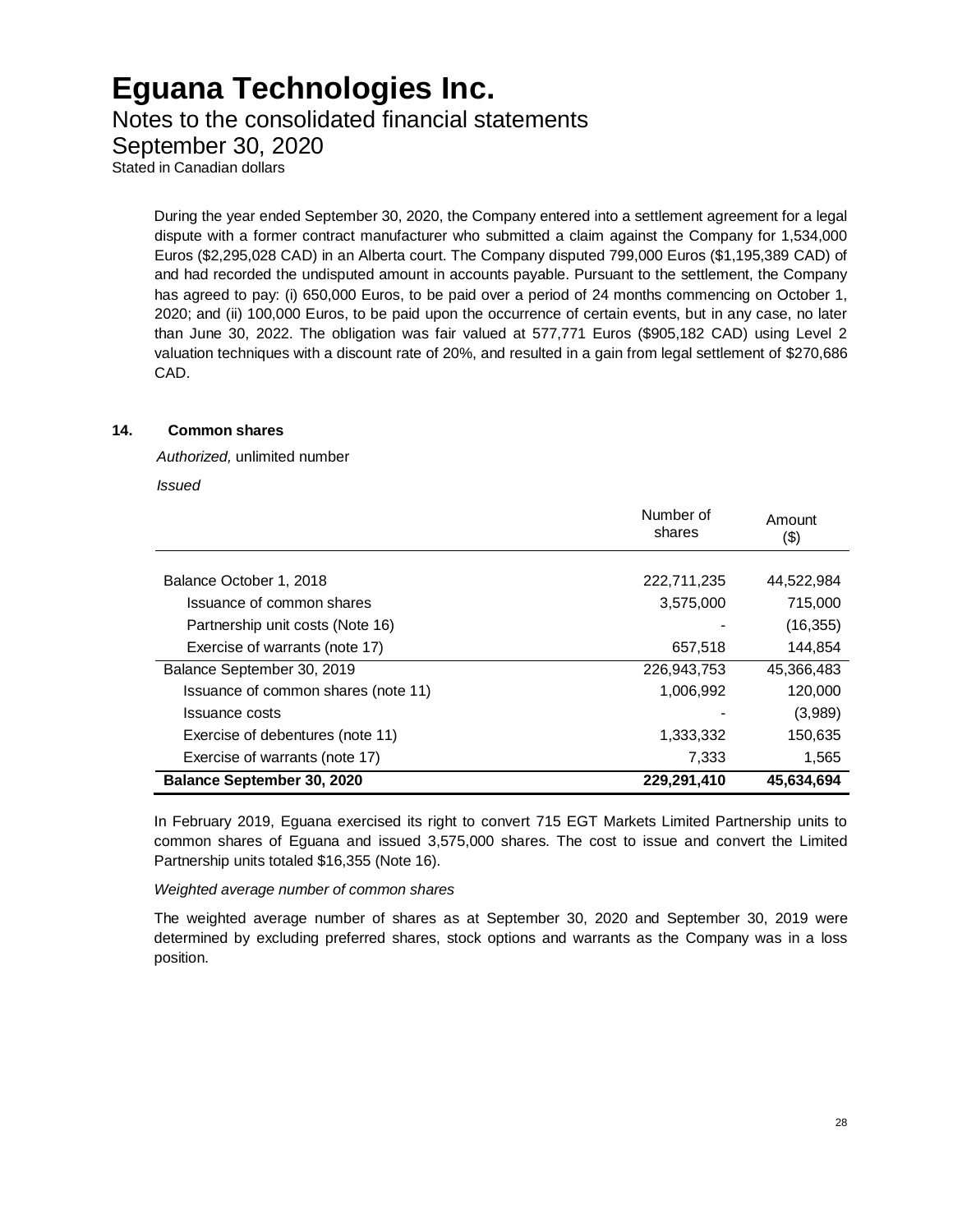Notes to the consolidated financial statements

September 30, 2020

Stated in Canadian dollars

During the year ended September 30, 2020, the Company entered into a settlement agreement for a legal dispute with a former contract manufacturer who submitted a claim against the Company for 1,534,000 Euros (\$2,295,028 CAD) in an Alberta court. The Company disputed 799,000 Euros (\$1,195,389 CAD) of and had recorded the undisputed amount in accounts payable. Pursuant to the settlement, the Company has agreed to pay: (i) 650,000 Euros, to be paid over a period of 24 months commencing on October 1, 2020; and (ii) 100,000 Euros, to be paid upon the occurrence of certain events, but in any case, no later than June 30, 2022. The obligation was fair valued at 577,771 Euros (\$905,182 CAD) using Level 2 valuation techniques with a discount rate of 20%, and resulted in a gain from legal settlement of \$270,686 CAD.

#### **14. Common shares**

*Authorized,* unlimited number

*Issued*

|                                     | Number of<br>shares | Amount<br>(\$) |
|-------------------------------------|---------------------|----------------|
|                                     |                     |                |
| Balance October 1, 2018             | 222,711,235         | 44,522,984     |
| Issuance of common shares           | 3,575,000           | 715,000        |
| Partnership unit costs (Note 16)    |                     | (16, 355)      |
| Exercise of warrants (note 17)      | 657,518             | 144,854        |
| Balance September 30, 2019          | 226,943,753         | 45,366,483     |
| Issuance of common shares (note 11) | 1,006,992           | 120,000        |
| Issuance costs                      |                     | (3,989)        |
| Exercise of debentures (note 11)    | 1,333,332           | 150,635        |
| Exercise of warrants (note 17)      | 7,333               | 1,565          |
| Balance September 30, 2020          | 229.291.410         | 45.634.694     |

In February 2019, Eguana exercised its right to convert 715 EGT Markets Limited Partnership units to common shares of Eguana and issued 3,575,000 shares. The cost to issue and convert the Limited Partnership units totaled \$16,355 (Note 16).

#### *Weighted average number of common shares*

The weighted average number of shares as at September 30, 2020 and September 30, 2019 were determined by excluding preferred shares, stock options and warrants as the Company was in a loss position.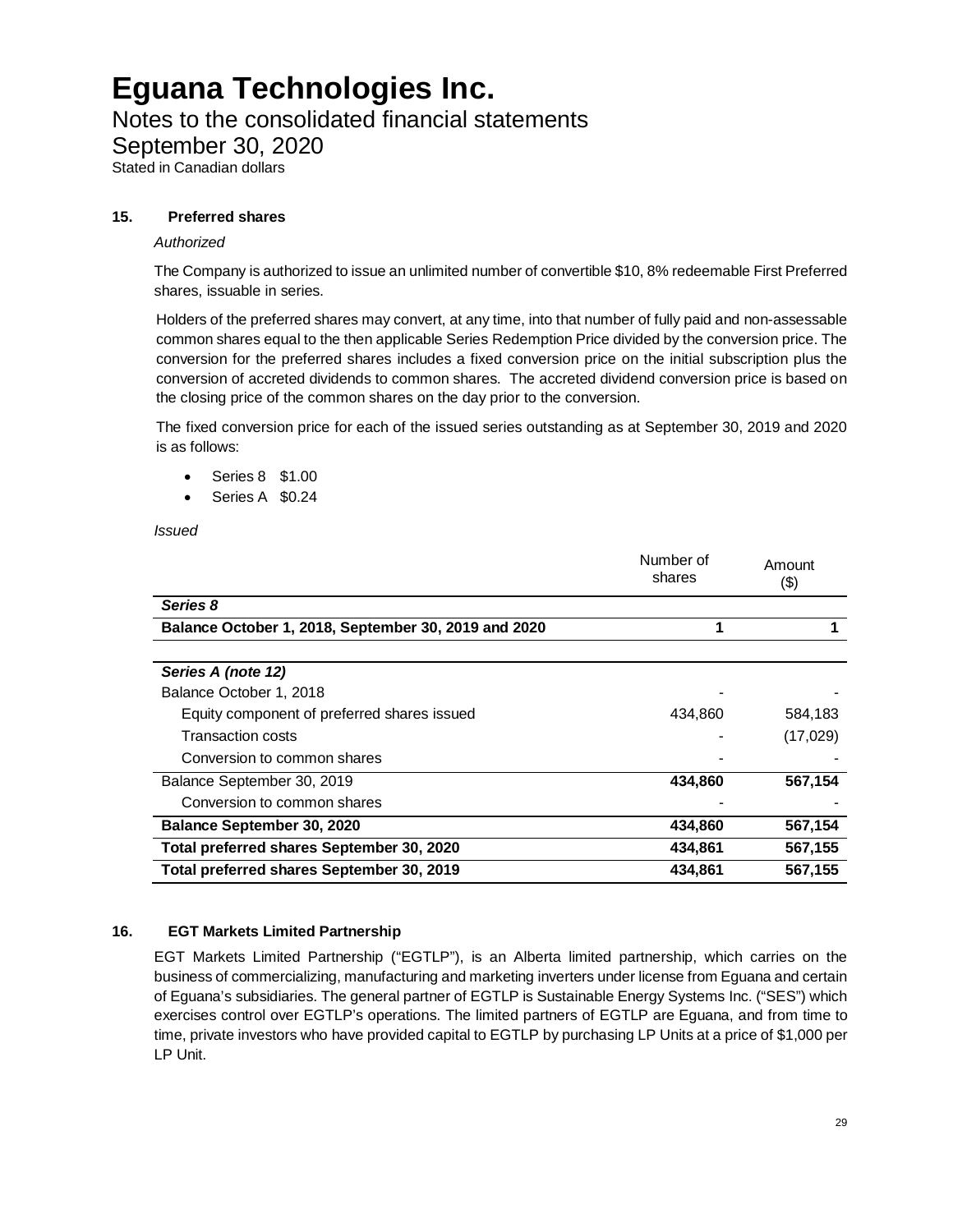### Notes to the consolidated financial statements

September 30, 2020

Stated in Canadian dollars

#### **15. Preferred shares**

#### *Authorized*

The Company is authorized to issue an unlimited number of convertible \$10, 8% redeemable First Preferred shares, issuable in series.

Holders of the preferred shares may convert, at any time, into that number of fully paid and non-assessable common shares equal to the then applicable Series Redemption Price divided by the conversion price. The conversion for the preferred shares includes a fixed conversion price on the initial subscription plus the conversion of accreted dividends to common shares. The accreted dividend conversion price is based on the closing price of the common shares on the day prior to the conversion.

The fixed conversion price for each of the issued series outstanding as at September 30, 2019 and 2020 is as follows:

- · Series 8 \$1.00
- Series A \$0.24

*Issued*

|                                                      | Number of<br>shares | Amount<br>(\$) |  |
|------------------------------------------------------|---------------------|----------------|--|
| Series 8                                             |                     |                |  |
| Balance October 1, 2018, September 30, 2019 and 2020 | 1                   |                |  |
| Series A (note 12)                                   |                     |                |  |
| Balance October 1, 2018                              |                     |                |  |
| Equity component of preferred shares issued          | 434,860             | 584,183        |  |
| Transaction costs                                    |                     | (17,029)       |  |
| Conversion to common shares                          |                     |                |  |
| Balance September 30, 2019                           | 434.860             | 567,154        |  |
| Conversion to common shares                          |                     |                |  |
| <b>Balance September 30, 2020</b>                    | 434.860             | 567,154        |  |
| Total preferred shares September 30, 2020            | 434,861             | 567,155        |  |
| Total preferred shares September 30, 2019            | 434,861             | 567,155        |  |

#### **16. EGT Markets Limited Partnership**

EGT Markets Limited Partnership ("EGTLP"), is an Alberta limited partnership, which carries on the business of commercializing, manufacturing and marketing inverters under license from Eguana and certain of Eguana's subsidiaries. The general partner of EGTLP is Sustainable Energy Systems Inc. ("SES") which exercises control over EGTLP's operations. The limited partners of EGTLP are Eguana, and from time to time, private investors who have provided capital to EGTLP by purchasing LP Units at a price of \$1,000 per LP Unit.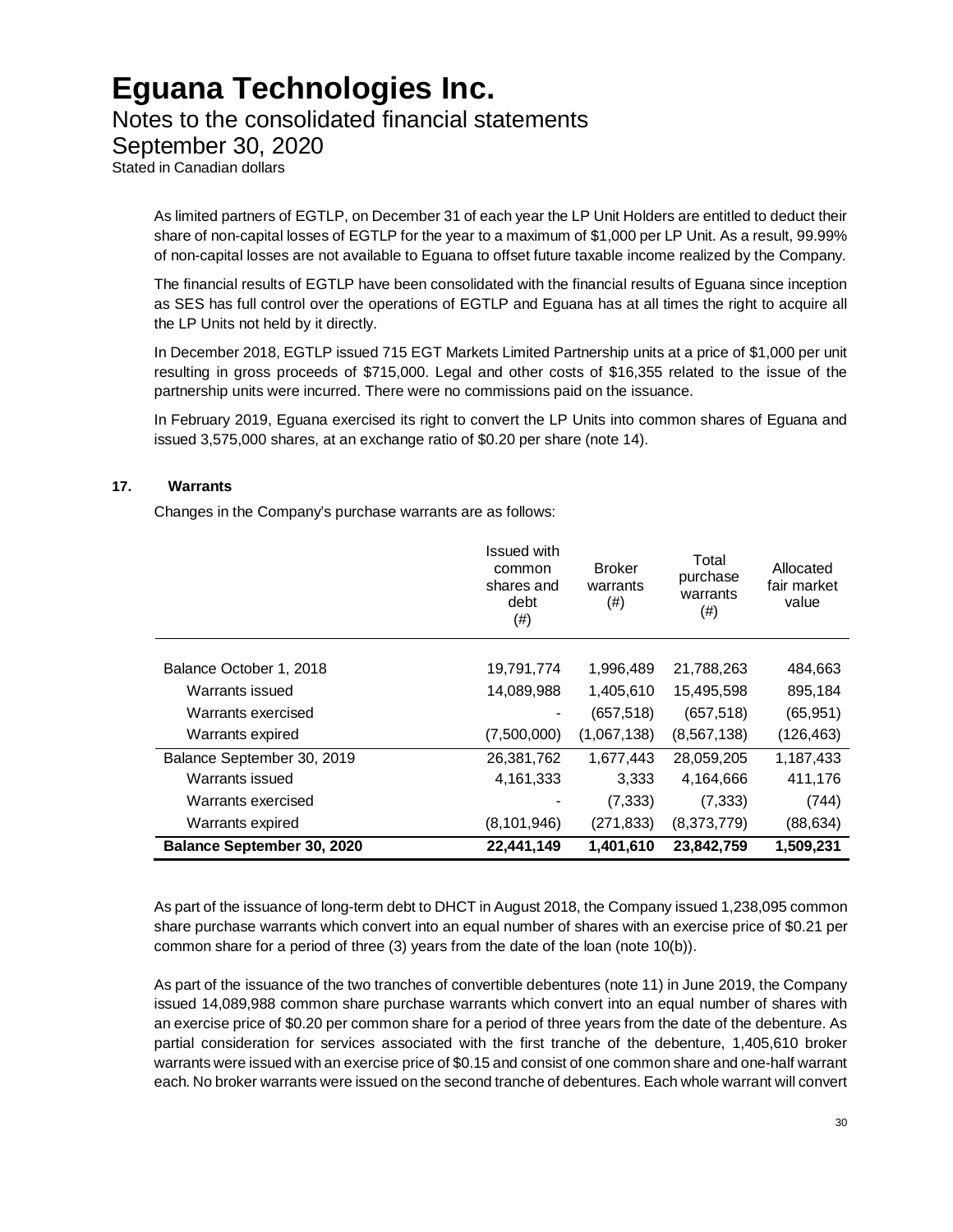### Notes to the consolidated financial statements

September 30, 2020

Stated in Canadian dollars

As limited partners of EGTLP, on December 31 of each year the LP Unit Holders are entitled to deduct their share of non-capital losses of EGTLP for the year to a maximum of \$1,000 per LP Unit. As a result, 99.99% of non-capital losses are not available to Eguana to offset future taxable income realized by the Company.

The financial results of EGTLP have been consolidated with the financial results of Eguana since inception as SES has full control over the operations of EGTLP and Eguana has at all times the right to acquire all the LP Units not held by it directly.

In December 2018, EGTLP issued 715 EGT Markets Limited Partnership units at a price of \$1,000 per unit resulting in gross proceeds of \$715,000. Legal and other costs of \$16,355 related to the issue of the partnership units were incurred. There were no commissions paid on the issuance.

In February 2019, Eguana exercised its right to convert the LP Units into common shares of Eguana and issued 3,575,000 shares, at an exchange ratio of \$0.20 per share (note 14).

#### **17. Warrants**

Changes in the Company's purchase warrants are as follows:

|                                   | Issued with<br>common<br>shares and<br>debt<br>(#) | <b>Broker</b><br>warrants<br>$^{(#)}$ | Total<br>purchase<br>warrants<br>(#) | Allocated<br>fair market<br>value |
|-----------------------------------|----------------------------------------------------|---------------------------------------|--------------------------------------|-----------------------------------|
|                                   |                                                    |                                       |                                      |                                   |
| Balance October 1, 2018           | 19,791,774                                         | 1,996,489                             | 21,788,263                           | 484,663                           |
| Warrants issued                   | 14,089,988                                         | 1,405,610                             | 15,495,598                           | 895,184                           |
| Warrants exercised                |                                                    | (657, 518)                            | (657, 518)                           | (65, 951)                         |
| Warrants expired                  | (7,500,000)                                        | (1,067,138)                           | (8, 567, 138)                        | (126, 463)                        |
| Balance September 30, 2019        | 26,381,762                                         | 1,677,443                             | 28,059,205                           | 1,187,433                         |
| Warrants issued                   | 4, 161, 333                                        | 3,333                                 | 4,164,666                            | 411,176                           |
| Warrants exercised                |                                                    | (7, 333)                              | (7, 333)                             | (744)                             |
| Warrants expired                  | (8,101,946)                                        | (271, 833)                            | (8,373,779)                          | (88,634)                          |
| <b>Balance September 30, 2020</b> | 22,441,149                                         | 1,401,610                             | 23,842,759                           | 1,509,231                         |

As part of the issuance of long-term debt to DHCT in August 2018, the Company issued 1,238,095 common share purchase warrants which convert into an equal number of shares with an exercise price of \$0.21 per common share for a period of three (3) years from the date of the loan (note 10(b)).

As part of the issuance of the two tranches of convertible debentures (note 11) in June 2019, the Company issued 14,089,988 common share purchase warrants which convert into an equal number of shares with an exercise price of \$0.20 per common share for a period of three years from the date of the debenture. As partial consideration for services associated with the first tranche of the debenture, 1,405,610 broker warrants were issued with an exercise price of \$0.15 and consist of one common share and one-half warrant each. No broker warrants were issued on the second tranche of debentures. Each whole warrant will convert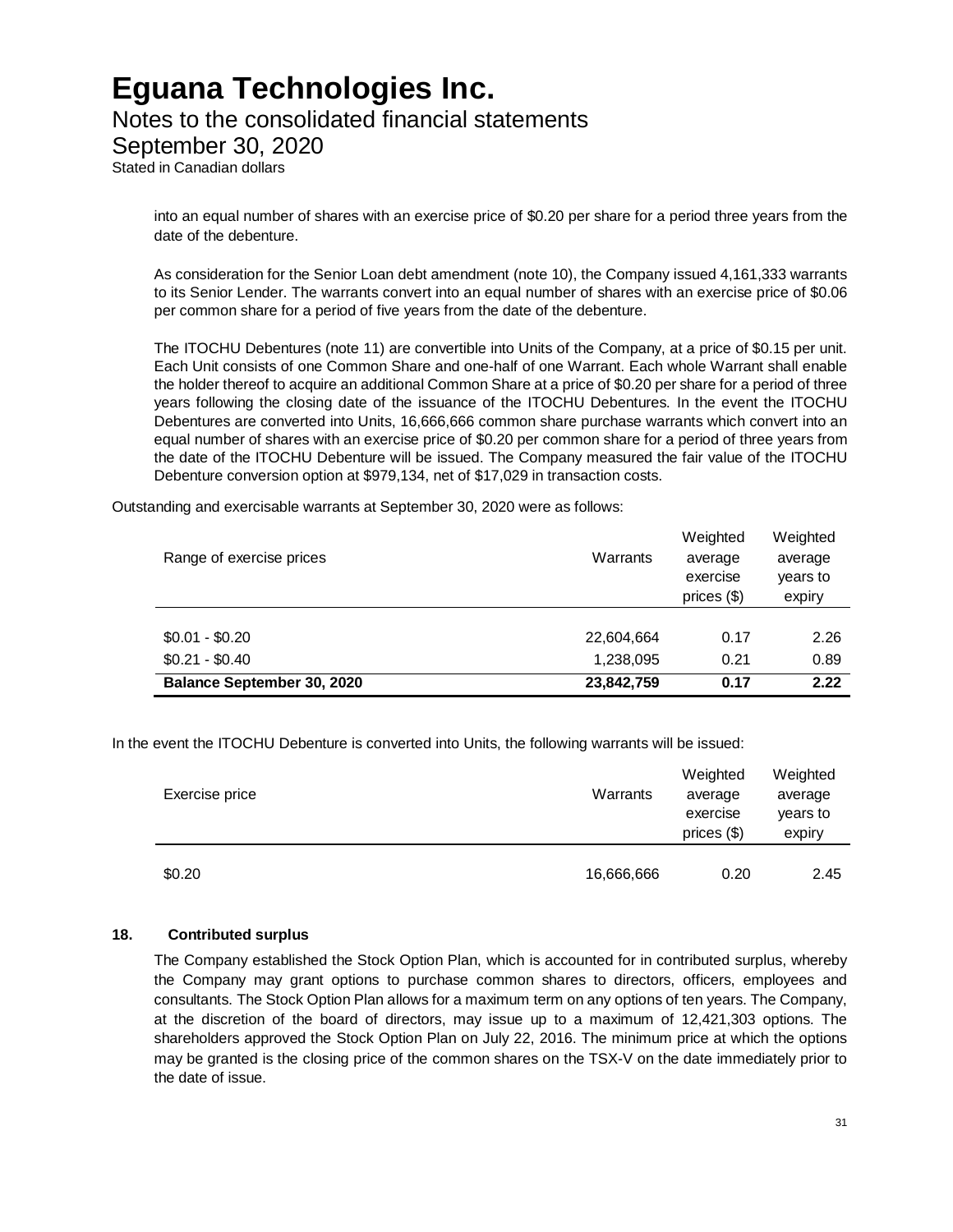### Notes to the consolidated financial statements

September 30, 2020

Stated in Canadian dollars

into an equal number of shares with an exercise price of \$0.20 per share for a period three years from the date of the debenture.

As consideration for the Senior Loan debt amendment (note 10), the Company issued 4,161,333 warrants to its Senior Lender. The warrants convert into an equal number of shares with an exercise price of \$0.06 per common share for a period of five years from the date of the debenture.

The ITOCHU Debentures (note 11) are convertible into Units of the Company, at a price of \$0.15 per unit. Each Unit consists of one Common Share and one-half of one Warrant. Each whole Warrant shall enable the holder thereof to acquire an additional Common Share at a price of \$0.20 per share for a period of three years following the closing date of the issuance of the ITOCHU Debentures. In the event the ITOCHU Debentures are converted into Units, 16,666,666 common share purchase warrants which convert into an equal number of shares with an exercise price of \$0.20 per common share for a period of three years from the date of the ITOCHU Debenture will be issued. The Company measured the fair value of the ITOCHU Debenture conversion option at \$979,134, net of \$17,029 in transaction costs.

Outstanding and exercisable warrants at September 30, 2020 were as follows:

| Range of exercise prices           | Warrants                | Weighted<br>average<br>exercise<br>prices $($ \$) | Weighted<br>average<br>years to<br>expiry |
|------------------------------------|-------------------------|---------------------------------------------------|-------------------------------------------|
| $$0.01 - $0.20$<br>$$0.21 - $0.40$ | 22,604,664<br>1,238,095 | 0.17<br>0.21                                      | 2.26<br>0.89                              |
| <b>Balance September 30, 2020</b>  | 23,842,759              | 0.17                                              | 2.22                                      |

In the event the ITOCHU Debenture is converted into Units, the following warrants will be issued:

| Exercise price | Warrants   | Weighted<br>average<br>exercise<br>prices $($ \$) | Weighted<br>average<br>years to<br>expiry |
|----------------|------------|---------------------------------------------------|-------------------------------------------|
| \$0.20         | 16,666,666 | 0.20                                              | 2.45                                      |

#### **18. Contributed surplus**

The Company established the Stock Option Plan, which is accounted for in contributed surplus, whereby the Company may grant options to purchase common shares to directors, officers, employees and consultants. The Stock Option Plan allows for a maximum term on any options of ten years. The Company, at the discretion of the board of directors, may issue up to a maximum of 12,421,303 options. The shareholders approved the Stock Option Plan on July 22, 2016. The minimum price at which the options may be granted is the closing price of the common shares on the TSX-V on the date immediately prior to the date of issue.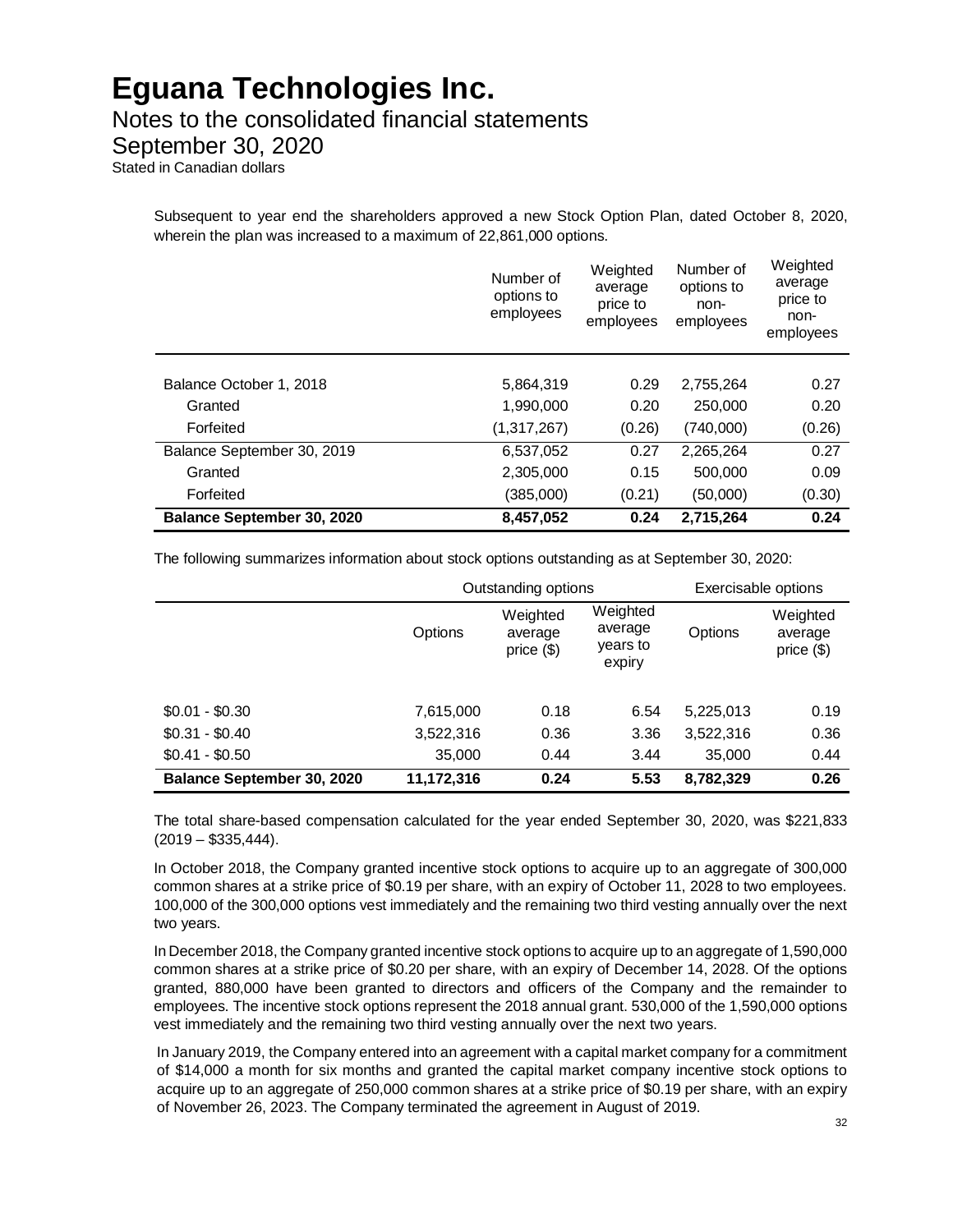### Notes to the consolidated financial statements

September 30, 2020

Stated in Canadian dollars

Subsequent to year end the shareholders approved a new Stock Option Plan, dated October 8, 2020, wherein the plan was increased to a maximum of 22,861,000 options.

|                                   | Number of<br>options to<br>employees | Weighted<br>average<br>price to<br>employees | Number of<br>options to<br>non-<br>employees | Weighted<br>average<br>price to<br>non-<br>employees |
|-----------------------------------|--------------------------------------|----------------------------------------------|----------------------------------------------|------------------------------------------------------|
|                                   |                                      |                                              |                                              |                                                      |
| Balance October 1, 2018           | 5,864,319                            | 0.29                                         | 2,755,264                                    | 0.27                                                 |
| Granted                           | 1,990,000                            | 0.20                                         | 250,000                                      | 0.20                                                 |
| Forfeited                         | (1,317,267)                          | (0.26)                                       | (740,000)                                    | (0.26)                                               |
| Balance September 30, 2019        | 6.537.052                            | 0.27                                         | 2,265,264                                    | 0.27                                                 |
| Granted                           | 2,305,000                            | 0.15                                         | 500,000                                      | 0.09                                                 |
| Forfeited                         | (385,000)                            | (0.21)                                       | (50,000)                                     | (0.30)                                               |
| <b>Balance September 30, 2020</b> | 8,457,052                            | 0.24                                         | 2,715,264                                    | 0.24                                                 |

The following summarizes information about stock options outstanding as at September 30, 2020:

|                                   | Outstanding options |                                     | Exercisable options                       |                |                                  |
|-----------------------------------|---------------------|-------------------------------------|-------------------------------------------|----------------|----------------------------------|
|                                   | Options             | Weighted<br>average<br>price $(\$)$ | Weighted<br>average<br>years to<br>expiry | <b>Options</b> | Weighted<br>average<br>price $($ |
| $$0.01 - $0.30$                   | 7,615,000           | 0.18                                | 6.54                                      | 5,225,013      | 0.19                             |
| $$0.31 - $0.40$                   | 3,522,316           | 0.36                                | 3.36                                      | 3,522,316      | 0.36                             |
| $$0.41 - $0.50$                   | 35,000              | 0.44                                | 3.44                                      | 35,000         | 0.44                             |
| <b>Balance September 30, 2020</b> | 11,172,316          | 0.24                                | 5.53                                      | 8,782,329      | 0.26                             |

The total share-based compensation calculated for the year ended September 30, 2020, was \$221,833 (2019 – \$335,444).

In October 2018, the Company granted incentive stock options to acquire up to an aggregate of 300,000 common shares at a strike price of \$0.19 per share, with an expiry of October 11, 2028 to two employees. 100,000 of the 300,000 options vest immediately and the remaining two third vesting annually over the next two years.

In December 2018, the Company granted incentive stock options to acquire up to an aggregate of 1,590,000 common shares at a strike price of \$0.20 per share, with an expiry of December 14, 2028. Of the options granted, 880,000 have been granted to directors and officers of the Company and the remainder to employees. The incentive stock options represent the 2018 annual grant. 530,000 of the 1,590,000 options vest immediately and the remaining two third vesting annually over the next two years.

In January 2019, the Company entered into an agreement with a capital market company for a commitment of \$14,000 a month for six months and granted the capital market company incentive stock options to acquire up to an aggregate of 250,000 common shares at a strike price of \$0.19 per share, with an expiry of November 26, 2023. The Company terminated the agreement in August of 2019.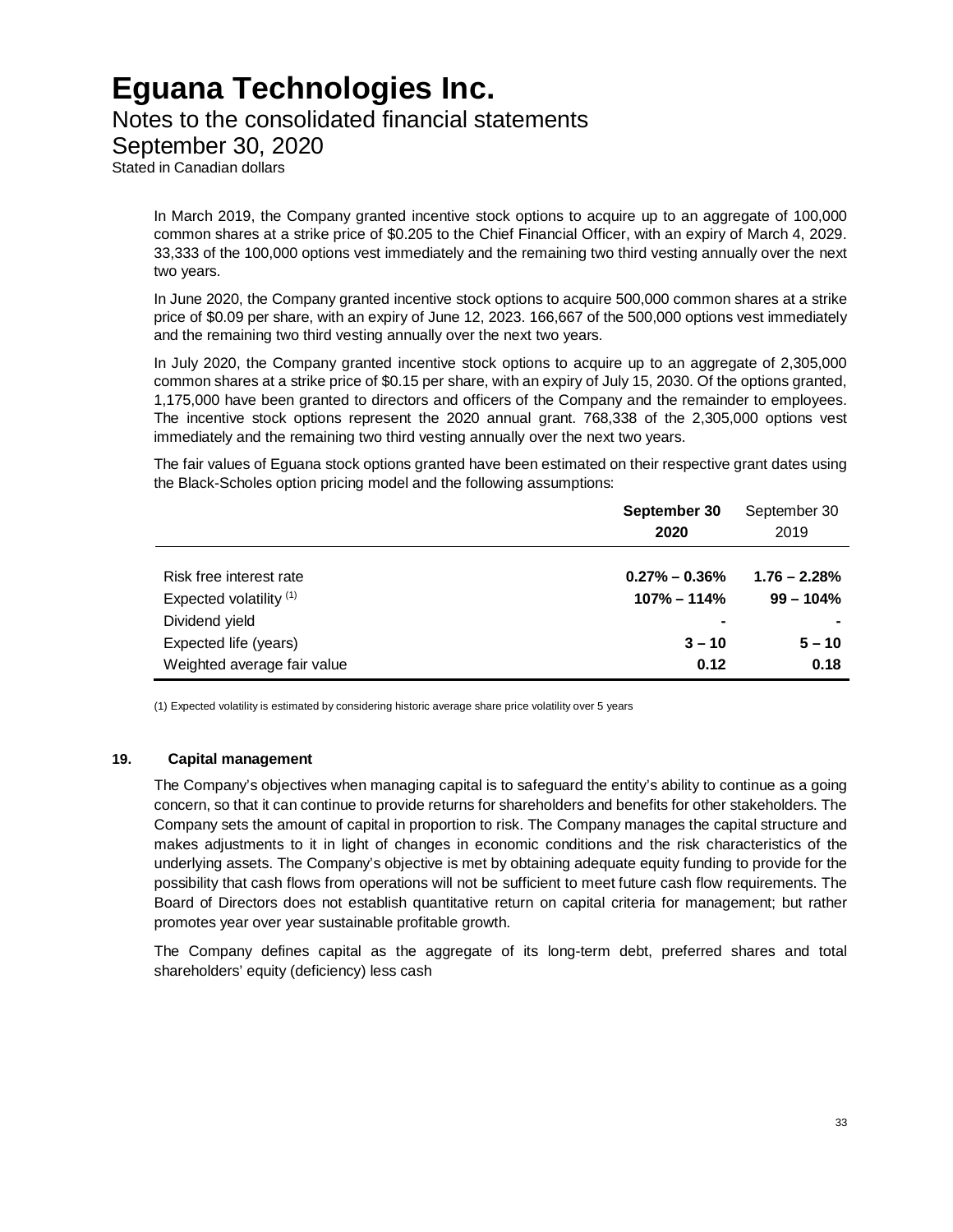### Notes to the consolidated financial statements

September 30, 2020

Stated in Canadian dollars

In March 2019, the Company granted incentive stock options to acquire up to an aggregate of 100,000 common shares at a strike price of \$0.205 to the Chief Financial Officer, with an expiry of March 4, 2029. 33,333 of the 100,000 options vest immediately and the remaining two third vesting annually over the next two years.

In June 2020, the Company granted incentive stock options to acquire 500,000 common shares at a strike price of \$0.09 per share, with an expiry of June 12, 2023. 166,667 of the 500,000 options vest immediately and the remaining two third vesting annually over the next two years.

In July 2020, the Company granted incentive stock options to acquire up to an aggregate of 2,305,000 common shares at a strike price of \$0.15 per share, with an expiry of July 15, 2030. Of the options granted, 1,175,000 have been granted to directors and officers of the Company and the remainder to employees. The incentive stock options represent the 2020 annual grant. 768,338 of the 2,305,000 options vest immediately and the remaining two third vesting annually over the next two years.

The fair values of Eguana stock options granted have been estimated on their respective grant dates using the Black-Scholes option pricing model and the following assumptions:

|                                                      | September 30<br>2020 | September 30<br>2019 |
|------------------------------------------------------|----------------------|----------------------|
| Risk free interest rate                              | $0.27\% - 0.36\%$    | $1.76 - 2.28%$       |
| Expected volatility <sup>(1)</sup><br>Dividend yield | $107\% - 114\%$<br>٠ | $99 - 104%$          |
| Expected life (years)                                | $3 - 10$             | $5 - 10$             |
| Weighted average fair value                          | 0.12                 | 0.18                 |

(1) Expected volatility is estimated by considering historic average share price volatility over 5 years

#### **19. Capital management**

The Company's objectives when managing capital is to safeguard the entity's ability to continue as a going concern, so that it can continue to provide returns for shareholders and benefits for other stakeholders. The Company sets the amount of capital in proportion to risk. The Company manages the capital structure and makes adjustments to it in light of changes in economic conditions and the risk characteristics of the underlying assets. The Company's objective is met by obtaining adequate equity funding to provide for the possibility that cash flows from operations will not be sufficient to meet future cash flow requirements. The Board of Directors does not establish quantitative return on capital criteria for management; but rather promotes year over year sustainable profitable growth.

The Company defines capital as the aggregate of its long-term debt, preferred shares and total shareholders' equity (deficiency) less cash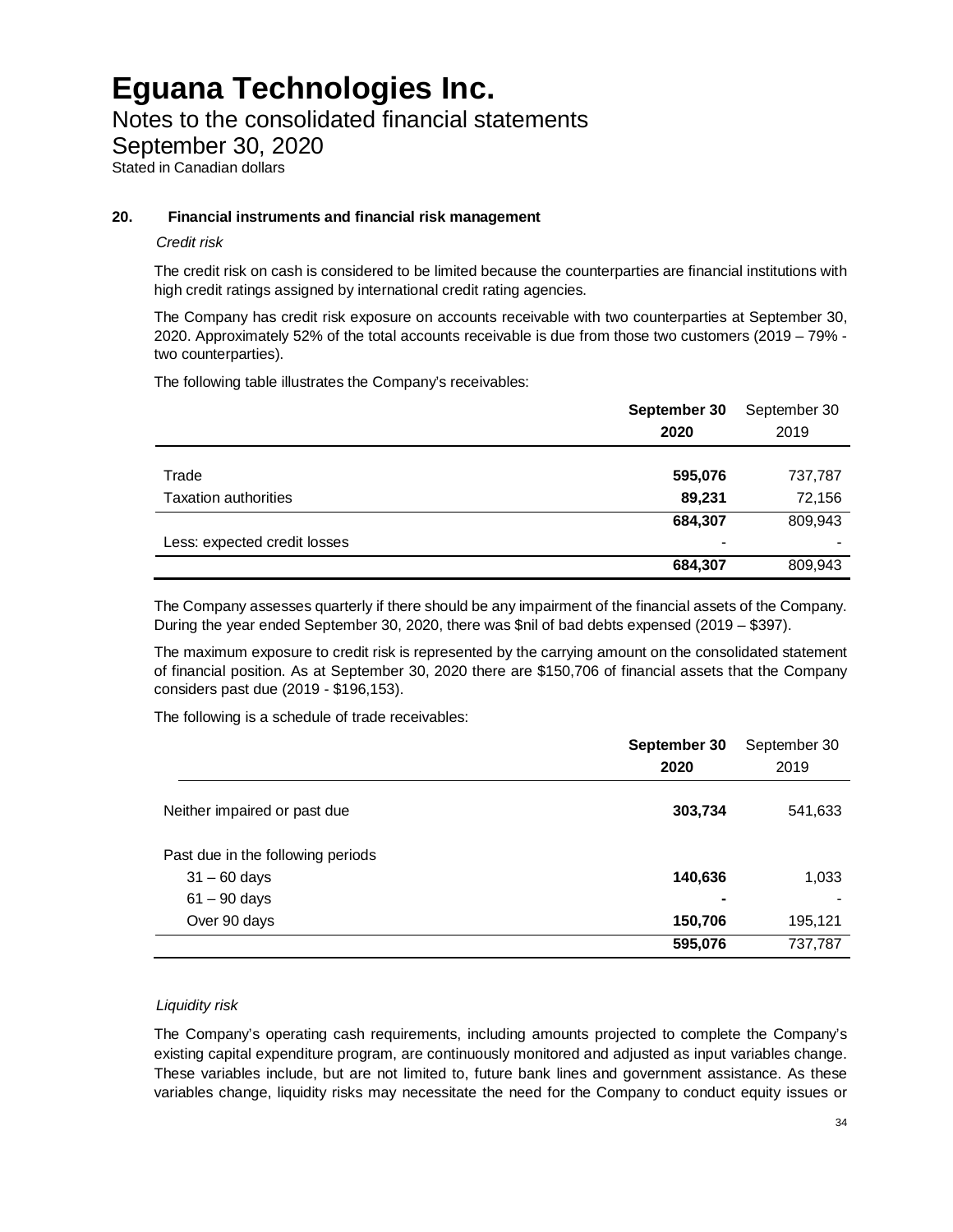### Notes to the consolidated financial statements

September 30, 2020

Stated in Canadian dollars

#### **20. Financial instruments and financial risk management**

#### *Credit risk*

The credit risk on cash is considered to be limited because the counterparties are financial institutions with high credit ratings assigned by international credit rating agencies.

The Company has credit risk exposure on accounts receivable with two counterparties at September 30, 2020. Approximately 52% of the total accounts receivable is due from those two customers (2019 – 79% two counterparties).

The following table illustrates the Company's receivables:

|                              | September 30<br>2020     | September 30<br>2019 |
|------------------------------|--------------------------|----------------------|
| Trade                        | 595,076                  | 737,787              |
| <b>Taxation authorities</b>  | 89,231                   | 72,156               |
|                              | 684,307                  | 809,943              |
| Less: expected credit losses | $\overline{\phantom{0}}$ |                      |
|                              | 684,307                  | 809,943              |

The Company assesses quarterly if there should be any impairment of the financial assets of the Company. During the year ended September 30, 2020, there was \$nil of bad debts expensed (2019 – \$397).

The maximum exposure to credit risk is represented by the carrying amount on the consolidated statement of financial position. As at September 30, 2020 there are \$150,706 of financial assets that the Company considers past due (2019 - \$196,153).

The following is a schedule of trade receivables:

|                                   | September 30 | September 30 |
|-----------------------------------|--------------|--------------|
|                                   | 2020         | 2019         |
| Neither impaired or past due      | 303,734      | 541,633      |
| Past due in the following periods |              |              |
| $31 - 60$ days                    | 140,636      | 1,033        |
| $61 - 90$ days                    |              |              |
| Over 90 days                      | 150,706      | 195,121      |
|                                   | 595,076      | 737,787      |

#### *Liquidity risk*

The Company's operating cash requirements, including amounts projected to complete the Company's existing capital expenditure program, are continuously monitored and adjusted as input variables change. These variables include, but are not limited to, future bank lines and government assistance. As these variables change, liquidity risks may necessitate the need for the Company to conduct equity issues or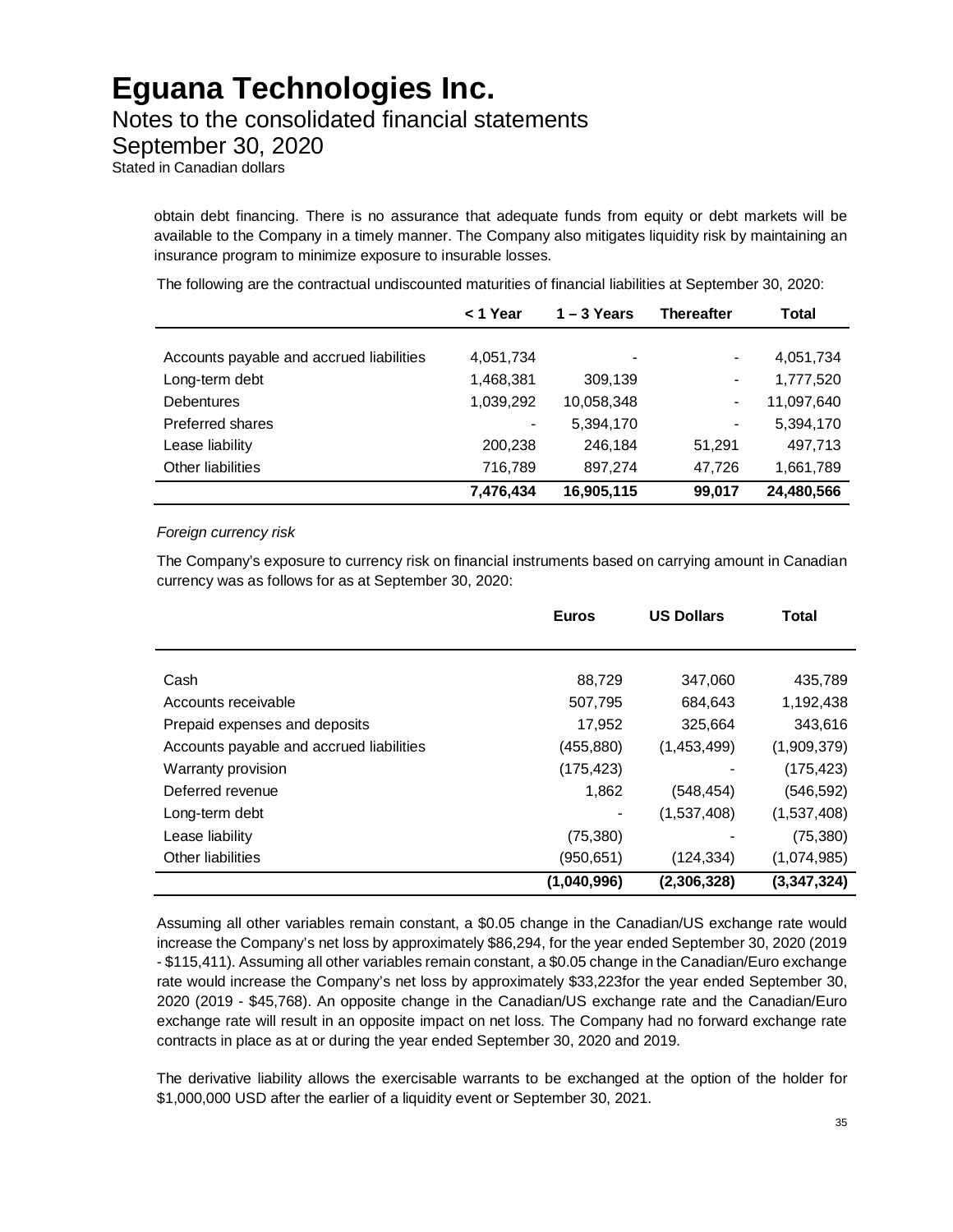### Notes to the consolidated financial statements

September 30, 2020

Stated in Canadian dollars

obtain debt financing. There is no assurance that adequate funds from equity or debt markets will be available to the Company in a timely manner. The Company also mitigates liquidity risk by maintaining an insurance program to minimize exposure to insurable losses.

|                                          | < 1 Year       | $1 - 3$ Years | <b>Thereafter</b>            | <b>Total</b> |
|------------------------------------------|----------------|---------------|------------------------------|--------------|
|                                          |                |               |                              |              |
| Accounts payable and accrued liabilities | 4,051,734      |               | $\blacksquare$               | 4,051,734    |
| Long-term debt                           | 1,468,381      | 309,139       | $\blacksquare$               | 1,777,520    |
| <b>Debentures</b>                        | 1,039,292      | 10,058,348    | $\blacksquare$               | 11,097,640   |
| Preferred shares                         | $\blacksquare$ | 5,394,170     | $\qquad \qquad \blacksquare$ | 5,394,170    |
| Lease liability                          | 200,238        | 246,184       | 51,291                       | 497,713      |
| Other liabilities                        | 716,789        | 897,274       | 47,726                       | 1,661,789    |
|                                          | 7.476.434      | 16,905,115    | 99.017                       | 24.480.566   |

The following are the contractual undiscounted maturities of financial liabilities at September 30, 2020:

#### *Foreign currency risk*

The Company's exposure to currency risk on financial instruments based on carrying amount in Canadian currency was as follows for as at September 30, 2020:

|                                          | <b>Euros</b> | <b>US Dollars</b> | <b>Total</b> |
|------------------------------------------|--------------|-------------------|--------------|
|                                          |              |                   |              |
|                                          |              |                   |              |
| Cash                                     | 88,729       | 347,060           | 435,789      |
| Accounts receivable                      | 507,795      | 684,643           | 1,192,438    |
| Prepaid expenses and deposits            | 17,952       | 325,664           | 343,616      |
| Accounts payable and accrued liabilities | (455, 880)   | (1,453,499)       | (1,909,379)  |
| Warranty provision                       | (175, 423)   |                   | (175,423)    |
| Deferred revenue                         | 1,862        | (548, 454)        | (546, 592)   |
| Long-term debt                           |              | (1,537,408)       | (1,537,408)  |
| Lease liability                          | (75, 380)    |                   | (75, 380)    |
| Other liabilities                        | (950, 651)   | (124, 334)        | (1,074,985)  |
|                                          | (1,040,996)  | (2,306,328)       | (3,347,324)  |

Assuming all other variables remain constant, a \$0.05 change in the Canadian/US exchange rate would increase the Company's net loss by approximately \$86,294, for the year ended September 30, 2020 (2019 - \$115,411). Assuming all other variables remain constant, a \$0.05 change in the Canadian/Euro exchange rate would increase the Company's net loss by approximately \$33,223for the year ended September 30, 2020 (2019 - \$45,768). An opposite change in the Canadian/US exchange rate and the Canadian/Euro exchange rate will result in an opposite impact on net loss. The Company had no forward exchange rate contracts in place as at or during the year ended September 30, 2020 and 2019.

The derivative liability allows the exercisable warrants to be exchanged at the option of the holder for \$1,000,000 USD after the earlier of a liquidity event or September 30, 2021.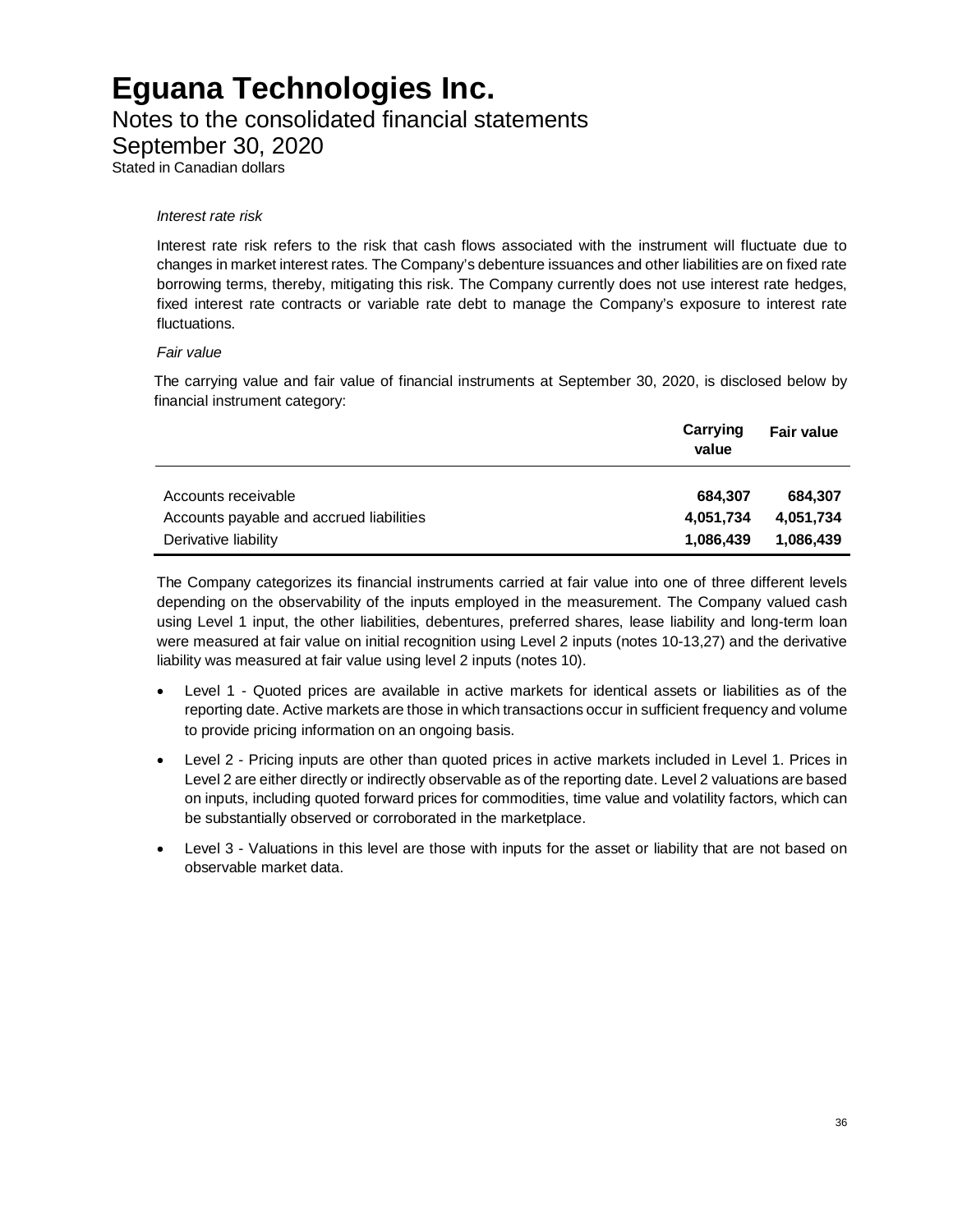### Notes to the consolidated financial statements

September 30, 2020

Stated in Canadian dollars

#### *Interest rate risk*

Interest rate risk refers to the risk that cash flows associated with the instrument will fluctuate due to changes in market interest rates. The Company's debenture issuances and other liabilities are on fixed rate borrowing terms, thereby, mitigating this risk. The Company currently does not use interest rate hedges, fixed interest rate contracts or variable rate debt to manage the Company's exposure to interest rate fluctuations.

#### *Fair value*

The carrying value and fair value of financial instruments at September 30, 2020, is disclosed below by financial instrument category:

|                                          | Carrying<br>value | <b>Fair value</b> |
|------------------------------------------|-------------------|-------------------|
| Accounts receivable                      | 684.307           | 684.307           |
| Accounts payable and accrued liabilities | 4,051,734         | 4.051.734         |
| Derivative liability                     | 1,086,439         | 1.086.439         |

The Company categorizes its financial instruments carried at fair value into one of three different levels depending on the observability of the inputs employed in the measurement. The Company valued cash using Level 1 input, the other liabilities, debentures, preferred shares, lease liability and long-term loan were measured at fair value on initial recognition using Level 2 inputs (notes 10-13,27) and the derivative liability was measured at fair value using level 2 inputs (notes 10).

- Level 1 Quoted prices are available in active markets for identical assets or liabilities as of the reporting date. Active markets are those in which transactions occur in sufficient frequency and volume to provide pricing information on an ongoing basis.
- · Level 2 Pricing inputs are other than quoted prices in active markets included in Level 1. Prices in Level 2 are either directly or indirectly observable as of the reporting date. Level 2 valuations are based on inputs, including quoted forward prices for commodities, time value and volatility factors, which can be substantially observed or corroborated in the marketplace.
- Level 3 Valuations in this level are those with inputs for the asset or liability that are not based on observable market data.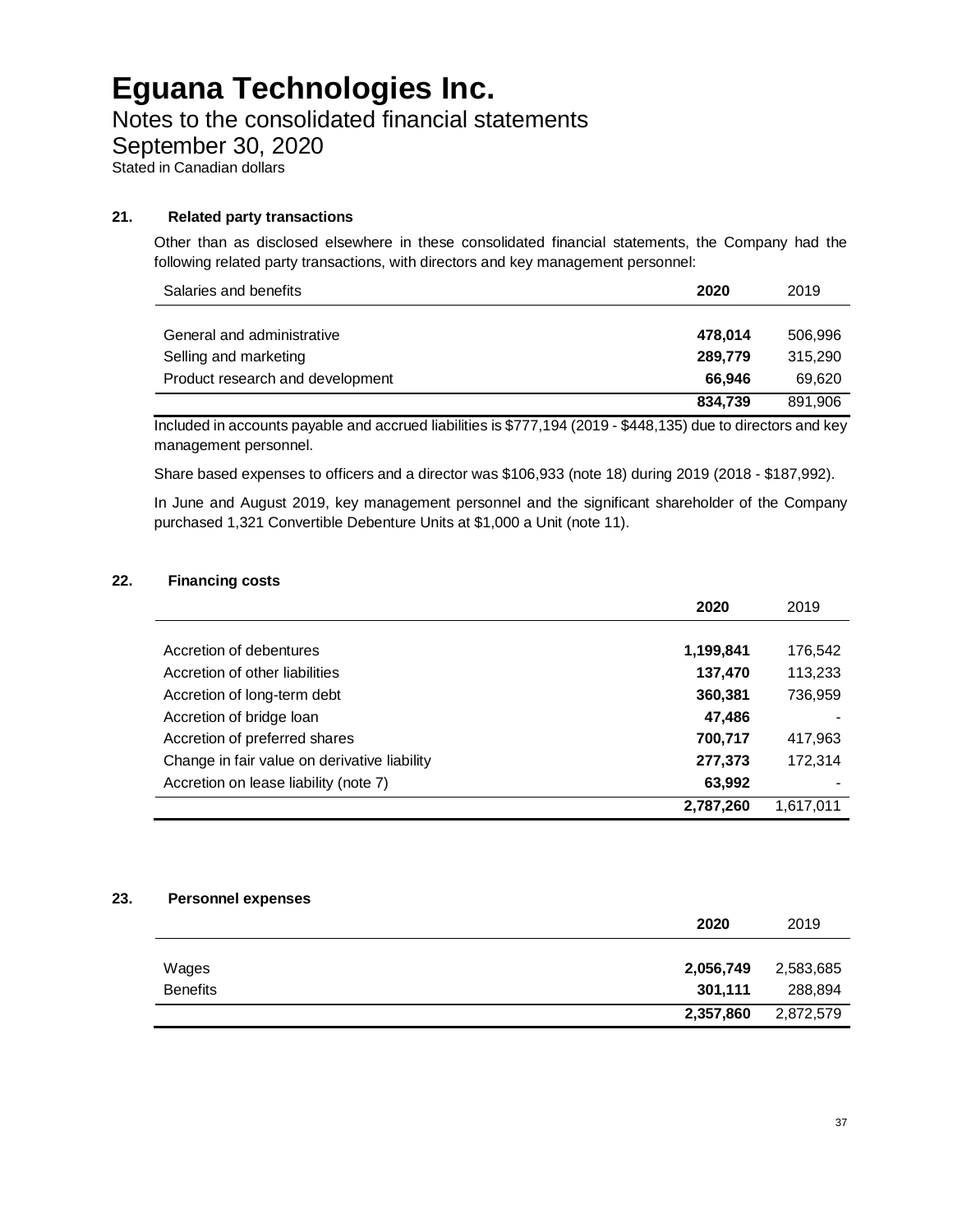### Notes to the consolidated financial statements

September 30, 2020

Stated in Canadian dollars

#### **21. Related party transactions**

Other than as disclosed elsewhere in these consolidated financial statements, the Company had the following related party transactions, with directors and key management personnel:

| Salaries and benefits            | 2020    | 2019    |
|----------------------------------|---------|---------|
|                                  |         |         |
| General and administrative       | 478,014 | 506.996 |
| Selling and marketing            | 289,779 | 315,290 |
| Product research and development | 66.946  | 69,620  |
|                                  | 834,739 | 891,906 |

Included in accounts payable and accrued liabilities is \$777,194 (2019 - \$448,135) due to directors and key management personnel.

Share based expenses to officers and a director was \$106,933 (note 18) during 2019 (2018 - \$187,992).

In June and August 2019, key management personnel and the significant shareholder of the Company purchased 1,321 Convertible Debenture Units at \$1,000 a Unit (note 11).

#### **22. Financing costs**

|                                              | 2020      | 2019      |
|----------------------------------------------|-----------|-----------|
| Accretion of debentures                      |           |           |
| Accretion of other liabilities               | 1,199,841 | 176,542   |
|                                              | 137,470   | 113,233   |
| Accretion of long-term debt                  | 360,381   | 736,959   |
| Accretion of bridge loan                     | 47,486    |           |
| Accretion of preferred shares                | 700,717   | 417,963   |
| Change in fair value on derivative liability | 277,373   | 172.314   |
| Accretion on lease liability (note 7)        | 63,992    |           |
|                                              | 2,787,260 | 1.617.011 |

#### **23. Personnel expenses**

|                 | 2020      | 2019      |
|-----------------|-----------|-----------|
|                 |           |           |
| Wages           | 2,056,749 | 2,583,685 |
| <b>Benefits</b> | 301,111   | 288,894   |
|                 | 2,357,860 | 2,872,579 |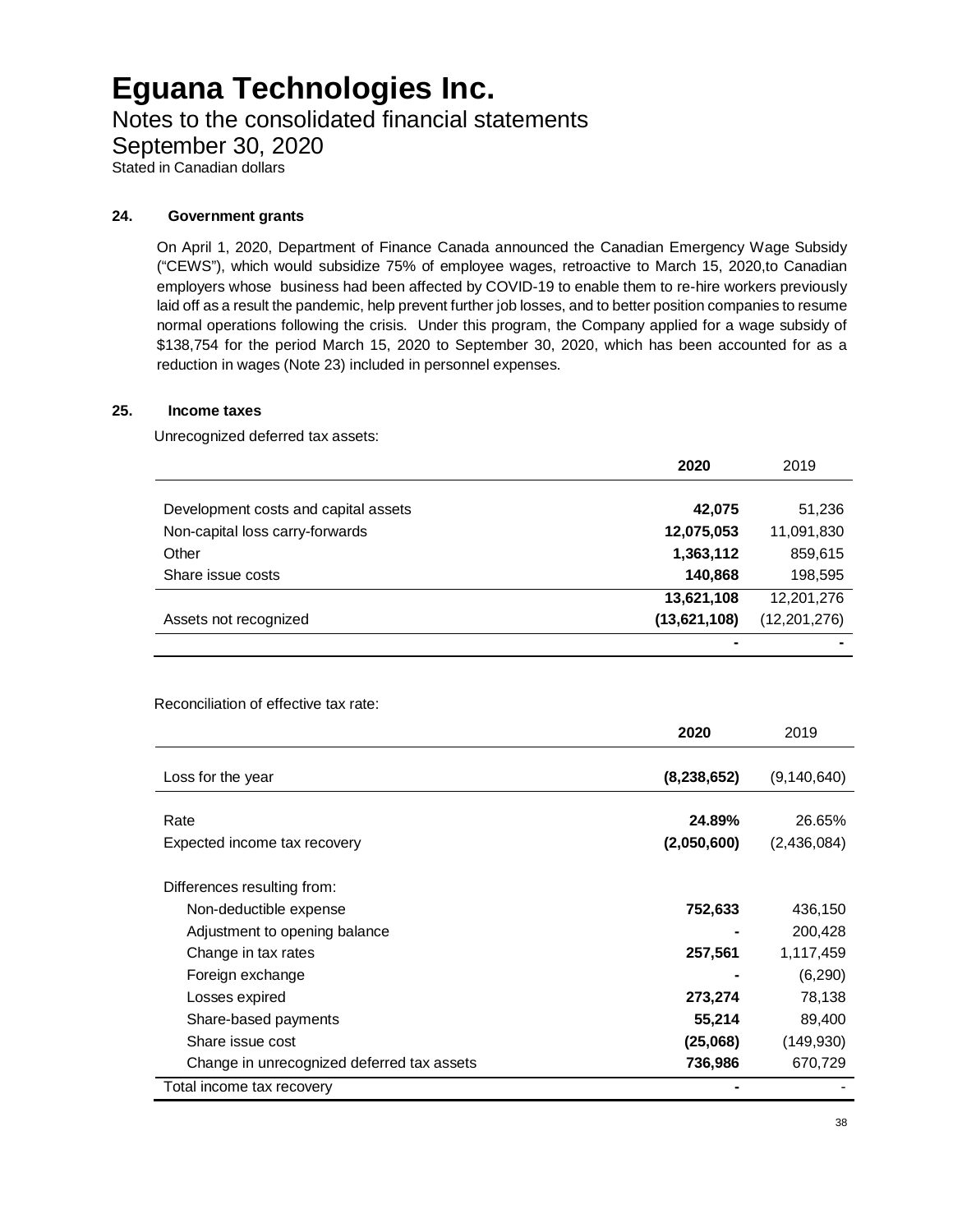Notes to the consolidated financial statements

September 30, 2020

Stated in Canadian dollars

#### **24. Government grants**

On April 1, 2020, Department of Finance Canada announced the Canadian Emergency Wage Subsidy ("CEWS"), which would subsidize 75% of employee wages, retroactive to March 15, 2020,to Canadian employers whose business had been affected by COVID-19 to enable them to re-hire workers previously laid off as a result the pandemic, help prevent further job losses, and to better position companies to resume normal operations following the crisis. Under this program, the Company applied for a wage subsidy of \$138,754 for the period March 15, 2020 to September 30, 2020, which has been accounted for as a reduction in wages (Note 23) included in personnel expenses.

#### **25. Income taxes**

Unrecognized deferred tax assets:

|                                      | 2020         | 2019           |
|--------------------------------------|--------------|----------------|
|                                      |              |                |
| Development costs and capital assets | 42,075       | 51,236         |
| Non-capital loss carry-forwards      | 12,075,053   | 11,091,830     |
| Other                                | 1,363,112    | 859,615        |
| Share issue costs                    | 140,868      | 198,595        |
|                                      | 13,621,108   | 12,201,276     |
| Assets not recognized                | (13,621,108) | (12, 201, 276) |
|                                      | ۰            |                |

Reconciliation of effective tax rate:

|                                            | 2020          | 2019        |
|--------------------------------------------|---------------|-------------|
| Loss for the year                          | (8, 238, 652) | (9,140,640) |
|                                            |               |             |
| Rate                                       | 24.89%        | 26.65%      |
| Expected income tax recovery               | (2,050,600)   | (2,436,084) |
|                                            |               |             |
| Differences resulting from:                |               |             |
| Non-deductible expense                     | 752,633       | 436,150     |
| Adjustment to opening balance              |               | 200,428     |
| Change in tax rates                        | 257,561       | 1,117,459   |
| Foreign exchange                           |               | (6, 290)    |
| Losses expired                             | 273,274       | 78,138      |
| Share-based payments                       | 55,214        | 89,400      |
| Share issue cost                           | (25,068)      | (149, 930)  |
| Change in unrecognized deferred tax assets | 736,986       | 670,729     |
| Total income tax recovery                  |               |             |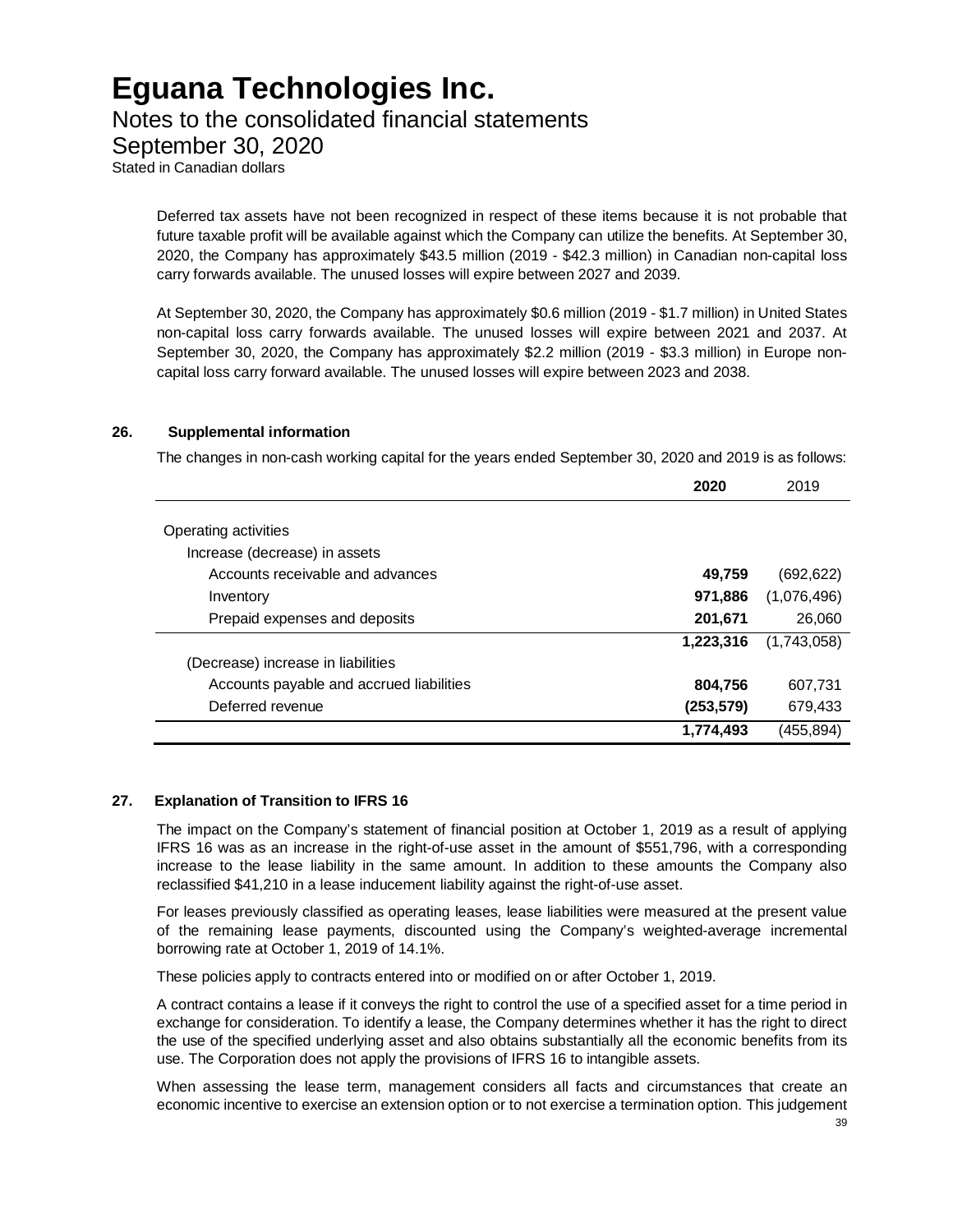Notes to the consolidated financial statements

September 30, 2020

Stated in Canadian dollars

Deferred tax assets have not been recognized in respect of these items because it is not probable that future taxable profit will be available against which the Company can utilize the benefits. At September 30, 2020, the Company has approximately \$43.5 million (2019 - \$42.3 million) in Canadian non-capital loss carry forwards available. The unused losses will expire between 2027 and 2039.

At September 30, 2020, the Company has approximately \$0.6 million (2019 - \$1.7 million) in United States non-capital loss carry forwards available. The unused losses will expire between 2021 and 2037. At September 30, 2020, the Company has approximately \$2.2 million (2019 - \$3.3 million) in Europe noncapital loss carry forward available. The unused losses will expire between 2023 and 2038.

#### **26. Supplemental information**

The changes in non-cash working capital for the years ended September 30, 2020 and 2019 is as follows:

|                                          | 2020       | 2019        |
|------------------------------------------|------------|-------------|
|                                          |            |             |
| Operating activities                     |            |             |
| Increase (decrease) in assets            |            |             |
| Accounts receivable and advances         | 49.759     | (692, 622)  |
| Inventory                                | 971,886    | (1,076,496) |
| Prepaid expenses and deposits            | 201,671    | 26,060      |
|                                          | 1,223,316  | (1,743,058) |
| (Decrease) increase in liabilities       |            |             |
| Accounts payable and accrued liabilities | 804,756    | 607,731     |
| Deferred revenue                         | (253, 579) | 679,433     |
|                                          | 1,774,493  | (455,894)   |

#### **27. Explanation of Transition to IFRS 16**

The impact on the Company's statement of financial position at October 1, 2019 as a result of applying IFRS 16 was as an increase in the right-of-use asset in the amount of \$551,796, with a corresponding increase to the lease liability in the same amount. In addition to these amounts the Company also reclassified \$41,210 in a lease inducement liability against the right-of-use asset.

For leases previously classified as operating leases, lease liabilities were measured at the present value of the remaining lease payments, discounted using the Company's weighted-average incremental borrowing rate at October 1, 2019 of 14.1%.

These policies apply to contracts entered into or modified on or after October 1, 2019.

A contract contains a lease if it conveys the right to control the use of a specified asset for a time period in exchange for consideration. To identify a lease, the Company determines whether it has the right to direct the use of the specified underlying asset and also obtains substantially all the economic benefits from its use. The Corporation does not apply the provisions of IFRS 16 to intangible assets.

When assessing the lease term, management considers all facts and circumstances that create an economic incentive to exercise an extension option or to not exercise a termination option. This judgement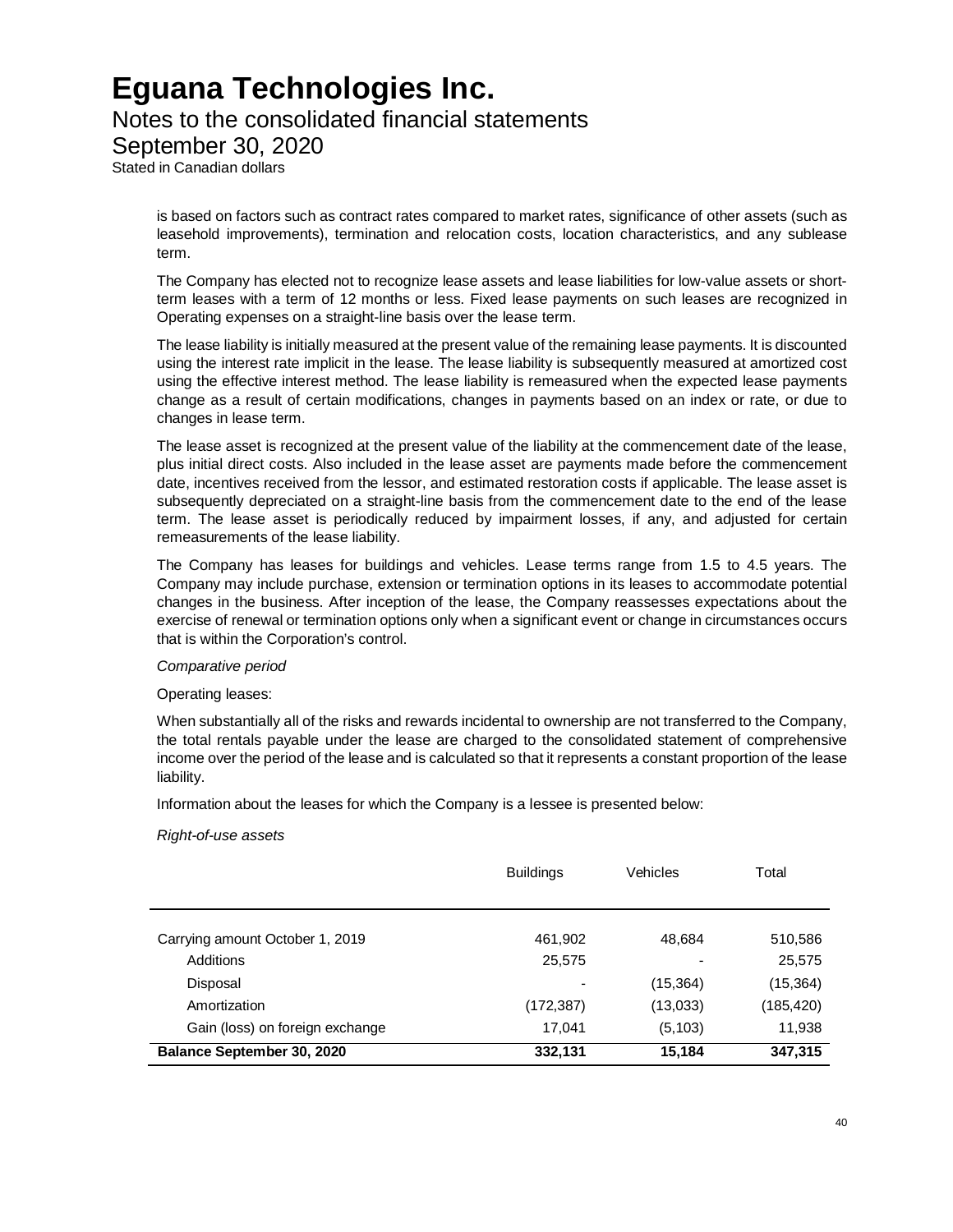### Notes to the consolidated financial statements

September 30, 2020

Stated in Canadian dollars

is based on factors such as contract rates compared to market rates, significance of other assets (such as leasehold improvements), termination and relocation costs, location characteristics, and any sublease term.

The Company has elected not to recognize lease assets and lease liabilities for low-value assets or shortterm leases with a term of 12 months or less. Fixed lease payments on such leases are recognized in Operating expenses on a straight-line basis over the lease term.

The lease liability is initially measured at the present value of the remaining lease payments. It is discounted using the interest rate implicit in the lease. The lease liability is subsequently measured at amortized cost using the effective interest method. The lease liability is remeasured when the expected lease payments change as a result of certain modifications, changes in payments based on an index or rate, or due to changes in lease term.

The lease asset is recognized at the present value of the liability at the commencement date of the lease, plus initial direct costs. Also included in the lease asset are payments made before the commencement date, incentives received from the lessor, and estimated restoration costs if applicable. The lease asset is subsequently depreciated on a straight-line basis from the commencement date to the end of the lease term. The lease asset is periodically reduced by impairment losses, if any, and adjusted for certain remeasurements of the lease liability.

The Company has leases for buildings and vehicles. Lease terms range from 1.5 to 4.5 years. The Company may include purchase, extension or termination options in its leases to accommodate potential changes in the business. After inception of the lease, the Company reassesses expectations about the exercise of renewal or termination options only when a significant event or change in circumstances occurs that is within the Corporation's control.

#### *Comparative period*

#### Operating leases:

When substantially all of the risks and rewards incidental to ownership are not transferred to the Company, the total rentals payable under the lease are charged to the consolidated statement of comprehensive income over the period of the lease and is calculated so that it represents a constant proportion of the lease liability.

Information about the leases for which the Company is a lessee is presented below:

#### *Right-of-use assets*

|                                 | <b>Buildings</b> | Vehicles  | Total      |  |
|---------------------------------|------------------|-----------|------------|--|
|                                 |                  |           |            |  |
| Carrying amount October 1, 2019 | 461,902          | 48,684    | 510,586    |  |
| Additions                       | 25,575           |           | 25,575     |  |
| Disposal                        |                  | (15, 364) | (15, 364)  |  |
| Amortization                    | (172, 387)       | (13,033)  | (185, 420) |  |
| Gain (loss) on foreign exchange | 17,041           | (5, 103)  | 11,938     |  |
| Balance September 30, 2020      | 332,131          | 15,184    | 347,315    |  |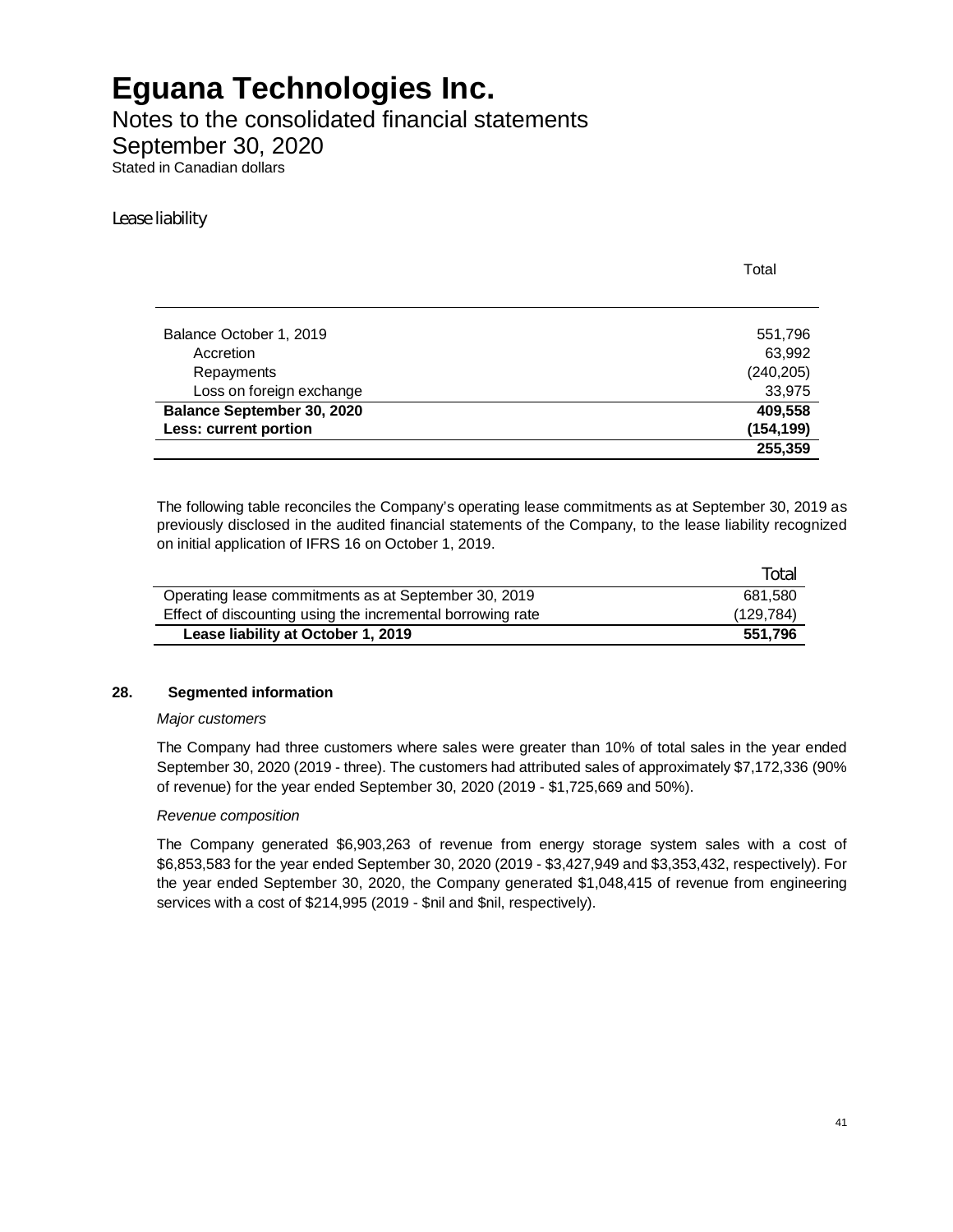Notes to the consolidated financial statements

September 30, 2020

Stated in Canadian dollars

*Lease liability*

| Balance October 1, 2019           | 551,796    |
|-----------------------------------|------------|
| Accretion                         | 63,992     |
| Repayments                        | (240, 205) |
| Loss on foreign exchange          | 33,975     |
| <b>Balance September 30, 2020</b> | 409,558    |
| Less: current portion             | (154, 199) |
|                                   | 255,359    |

The following table reconciles the Company's operating lease commitments as at September 30, 2019 as previously disclosed in the audited financial statements of the Company, to the lease liability recognized on initial application of IFRS 16 on October 1, 2019.

|                                                            | Total     |
|------------------------------------------------------------|-----------|
| Operating lease commitments as at September 30, 2019       | 681.580   |
| Effect of discounting using the incremental borrowing rate | (129,784) |
| Lease liability at October 1, 2019                         | 551.796   |

#### **28. Segmented information**

#### *Major customers*

The Company had three customers where sales were greater than 10% of total sales in the year ended September 30, 2020 (2019 - three). The customers had attributed sales of approximately \$7,172,336 (90% of revenue) for the year ended September 30, 2020 (2019 - \$1,725,669 and 50%).

#### *Revenue composition*

The Company generated \$6,903,263 of revenue from energy storage system sales with a cost of \$6,853,583 for the year ended September 30, 2020 (2019 - \$3,427,949 and \$3,353,432, respectively). For the year ended September 30, 2020, the Company generated \$1,048,415 of revenue from engineering services with a cost of \$214,995 (2019 - \$nil and \$nil, respectively).

Total